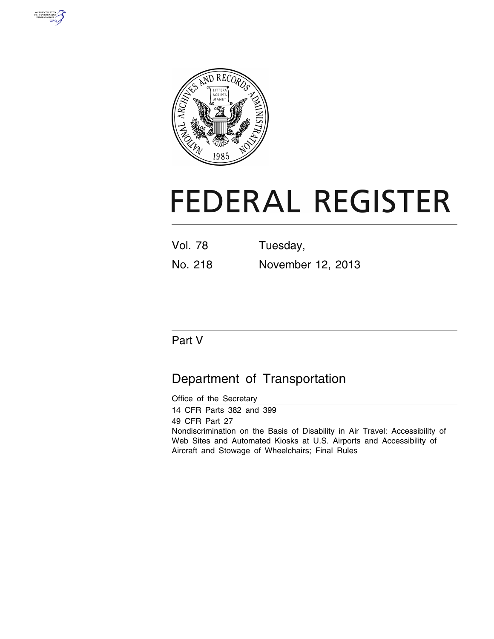



# **FEDERAL REGISTER**

| <b>Vol. 78</b> | Tuesday,          |
|----------------|-------------------|
| No. 218        | November 12, 2013 |

# Part V

# Department of Transportation

| Office of the Secretary                                                                                                                                                                                                    |  |
|----------------------------------------------------------------------------------------------------------------------------------------------------------------------------------------------------------------------------|--|
| 14 CFR Parts 382 and 399                                                                                                                                                                                                   |  |
| 49 CFR Part 27<br>Nondiscrimination on the Basis of Disability in Air Travel: Accessibility of<br>Web Sites and Automated Kiosks at U.S. Airports and Accessibility of<br>Aircraft and Stowage of Wheelchairs; Final Rules |  |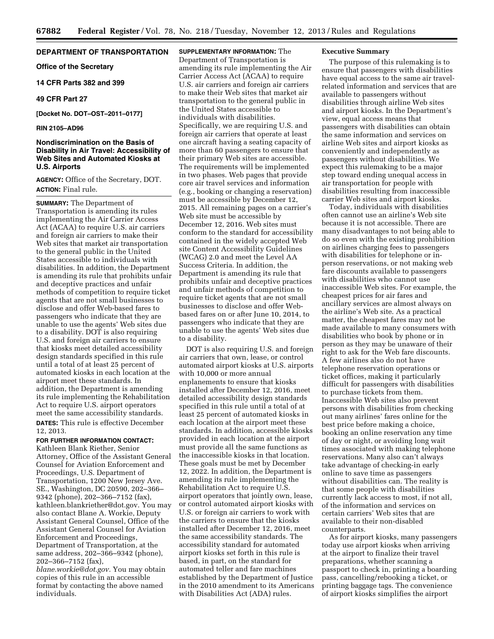# **DEPARTMENT OF TRANSPORTATION**

**Office of the Secretary** 

# **14 CFR Parts 382 and 399**

#### **49 CFR Part 27**

**[Docket No. DOT–OST–2011–0177]** 

#### **RIN 2105–AD96**

# **Nondiscrimination on the Basis of Disability in Air Travel: Accessibility of Web Sites and Automated Kiosks at U.S. Airports**

**AGENCY:** Office of the Secretary, DOT. **ACTION:** Final rule.

**SUMMARY:** The Department of Transportation is amending its rules implementing the Air Carrier Access Act (ACAA) to require U.S. air carriers and foreign air carriers to make their Web sites that market air transportation to the general public in the United States accessible to individuals with disabilities. In addition, the Department is amending its rule that prohibits unfair and deceptive practices and unfair methods of competition to require ticket agents that are not small businesses to disclose and offer Web-based fares to passengers who indicate that they are unable to use the agents' Web sites due to a disability. DOT is also requiring U.S. and foreign air carriers to ensure that kiosks meet detailed accessibility design standards specified in this rule until a total of at least 25 percent of automated kiosks in each location at the airport meet these standards. In addition, the Department is amending its rule implementing the Rehabilitation Act to require U.S. airport operators meet the same accessibility standards. **DATES:** This rule is effective December 12, 2013.

**FOR FURTHER INFORMATION CONTACT:**  Kathleen Blank Riether, Senior Attorney, Office of the Assistant General Counsel for Aviation Enforcement and Proceedings, U.S. Department of Transportation, 1200 New Jersey Ave. SE., Washington, DC 20590, 202–366– 9342 (phone), 202–366–7152 (fax), kathleen.blankriether@dot.gov. You may also contact Blane A. Workie, Deputy Assistant General Counsel, Office of the Assistant General Counsel for Aviation Enforcement and Proceedings, Department of Transportation, at the same address, 202–366–9342 (phone), 202–366–7152 (fax),

*[blane.workie@dot.gov.](mailto:blane.workie@dot.gov)* You may obtain copies of this rule in an accessible format by contacting the above named individuals.

**SUPPLEMENTARY INFORMATION:** The Department of Transportation is amending its rule implementing the Air Carrier Access Act (ACAA) to require U.S. air carriers and foreign air carriers to make their Web sites that market air transportation to the general public in the United States accessible to individuals with disabilities. Specifically, we are requiring U.S. and foreign air carriers that operate at least one aircraft having a seating capacity of more than 60 passengers to ensure that their primary Web sites are accessible. The requirements will be implemented in two phases. Web pages that provide core air travel services and information (e.g., booking or changing a reservation) must be accessible by December 12, 2015. All remaining pages on a carrier's Web site must be accessible by December 12, 2016. Web sites must conform to the standard for accessibility contained in the widely accepted Web site Content Accessibility Guidelines (WCAG) 2.0 and meet the Level AA Success Criteria. In addition, the Department is amending its rule that prohibits unfair and deceptive practices and unfair methods of competition to require ticket agents that are not small businesses to disclose and offer Webbased fares on or after June 10, 2014, to passengers who indicate that they are unable to use the agents' Web sites due to a disability.

DOT is also requiring U.S. and foreign air carriers that own, lease, or control automated airport kiosks at U.S. airports with 10,000 or more annual enplanements to ensure that kiosks installed after December 12, 2016, meet detailed accessibility design standards specified in this rule until a total of at least 25 percent of automated kiosks in each location at the airport meet these standards. In addition, accessible kiosks provided in each location at the airport must provide all the same functions as the inaccessible kiosks in that location. These goals must be met by December 12, 2022. In addition, the Department is amending its rule implementing the Rehabilitation Act to require U.S. airport operators that jointly own, lease, or control automated airport kiosks with U.S. or foreign air carriers to work with the carriers to ensure that the kiosks installed after December 12, 2016, meet the same accessibility standards. The accessibility standard for automated airport kiosks set forth in this rule is based, in part, on the standard for automated teller and fare machines established by the Department of Justice in the 2010 amendment to its Americans with Disabilities Act (ADA) rules.

# **Executive Summary**

The purpose of this rulemaking is to ensure that passengers with disabilities have equal access to the same air travelrelated information and services that are available to passengers without disabilities through airline Web sites and airport kiosks. In the Department's view, equal access means that passengers with disabilities can obtain the same information and services on airline Web sites and airport kiosks as conveniently and independently as passengers without disabilities. We expect this rulemaking to be a major step toward ending unequal access in air transportation for people with disabilities resulting from inaccessible carrier Web sites and airport kiosks.

Today, individuals with disabilities often cannot use an airline's Web site because it is not accessible. There are many disadvantages to not being able to do so even with the existing prohibition on airlines charging fees to passengers with disabilities for telephone or inperson reservations, or not making web fare discounts available to passengers with disabilities who cannot use inaccessible Web sites. For example, the cheapest prices for air fares and ancillary services are almost always on the airline's Web site. As a practical matter, the cheapest fares may not be made available to many consumers with disabilities who book by phone or in person as they may be unaware of their right to ask for the Web fare discounts. A few airlines also do not have telephone reservation operations or ticket offices, making it particularly difficult for passengers with disabilities to purchase tickets from them. Inaccessible Web sites also prevent persons with disabilities from checking out many airlines' fares online for the best price before making a choice, booking an online reservation any time of day or night, or avoiding long wait times associated with making telephone reservations. Many also can't always take advantage of checking-in early online to save time as passengers without disabilities can. The reality is that some people with disabilities currently lack access to most, if not all, of the information and services on certain carriers' Web sites that are available to their non-disabled counterparts.

As for airport kiosks, many passengers today use airport kiosks when arriving at the airport to finalize their travel preparations, whether scanning a passport to check in, printing a boarding pass, cancelling/rebooking a ticket, or printing baggage tags. The convenience of airport kiosks simplifies the airport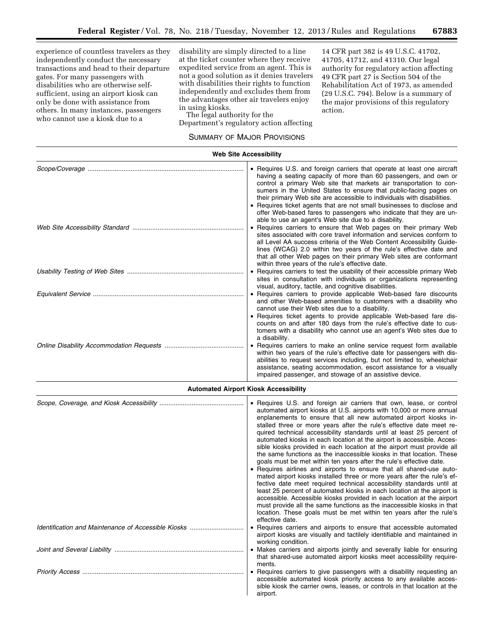experience of countless travelers as they independently conduct the necessary transactions and head to their departure gates. For many passengers with disabilities who are otherwise selfsufficient, using an airport kiosk can only be done with assistance from others. In many instances, passengers who cannot use a kiosk due to a

disability are simply directed to a line at the ticket counter where they receive expedited service from an agent. This is not a good solution as it denies travelers with disabilities their rights to function independently and excludes them from the advantages other air travelers enjoy in using kiosks.

The legal authority for the Department's regulatory action affecting

# SUMMARY OF MAJOR PROVISIONS

14 CFR part 382 is 49 U.S.C. 41702, 41705, 41712, and 41310. Our legal authority for regulatory action affecting 49 CFR part 27 is Section 504 of the Rehabilitation Act of 1973, as amended (29 U.S.C. 794). Below is a summary of the major provisions of this regulatory action.

| • Requires U.S. and foreign carriers that operate at least one aircraft<br>having a seating capacity of more than 60 passengers, and own or<br>control a primary Web site that markets air transportation to con-<br>sumers in the United States to ensure that public-facing pages on<br>their primary Web site are accessible to individuals with disabilities.                                                                                                                                                                                                                                                                                                                                                                                                                                                                                                                                                                                                                                                                                                                                                                                                                                                                                                                                  |
|----------------------------------------------------------------------------------------------------------------------------------------------------------------------------------------------------------------------------------------------------------------------------------------------------------------------------------------------------------------------------------------------------------------------------------------------------------------------------------------------------------------------------------------------------------------------------------------------------------------------------------------------------------------------------------------------------------------------------------------------------------------------------------------------------------------------------------------------------------------------------------------------------------------------------------------------------------------------------------------------------------------------------------------------------------------------------------------------------------------------------------------------------------------------------------------------------------------------------------------------------------------------------------------------------|
| • Requires ticket agents that are not small businesses to disclose and<br>offer Web-based fares to passengers who indicate that they are un-<br>able to use an agent's Web site due to a disability.                                                                                                                                                                                                                                                                                                                                                                                                                                                                                                                                                                                                                                                                                                                                                                                                                                                                                                                                                                                                                                                                                               |
| • Requires carriers to ensure that Web pages on their primary Web<br>sites associated with core travel information and services conform to<br>all Level AA success criteria of the Web Content Accessibility Guide-<br>lines (WCAG) 2.0 within two years of the rule's effective date and<br>that all other Web pages on their primary Web sites are conformant<br>within three years of the rule's effective date.                                                                                                                                                                                                                                                                                                                                                                                                                                                                                                                                                                                                                                                                                                                                                                                                                                                                                |
| • Requires carriers to test the usability of their accessible primary Web<br>sites in consultation with individuals or organizations representing<br>visual, auditory, tactile, and cognitive disabilities.                                                                                                                                                                                                                                                                                                                                                                                                                                                                                                                                                                                                                                                                                                                                                                                                                                                                                                                                                                                                                                                                                        |
| • Requires carriers to provide applicable Web-based fare discounts<br>and other Web-based amenities to customers with a disability who<br>cannot use their Web sites due to a disability.<br>• Requires ticket agents to provide applicable Web-based fare dis-<br>counts on and after 180 days from the rule's effective date to cus-<br>tomers with a disability who cannot use an agent's Web sites due to<br>a disability.                                                                                                                                                                                                                                                                                                                                                                                                                                                                                                                                                                                                                                                                                                                                                                                                                                                                     |
| • Requires carriers to make an online service request form available<br>within two years of the rule's effective date for passengers with dis-<br>abilities to request services including, but not limited to, wheelchair<br>assistance, seating accommodation, escort assistance for a visually<br>impaired passenger, and stowage of an assistive device.                                                                                                                                                                                                                                                                                                                                                                                                                                                                                                                                                                                                                                                                                                                                                                                                                                                                                                                                        |
| <b>Automated Airport Kiosk Accessibility</b>                                                                                                                                                                                                                                                                                                                                                                                                                                                                                                                                                                                                                                                                                                                                                                                                                                                                                                                                                                                                                                                                                                                                                                                                                                                       |
| • Requires U.S. and foreign air carriers that own, lease, or control<br>automated airport kiosks at U.S. airports with 10,000 or more annual<br>enplanements to ensure that all new automated airport kiosks in-<br>stalled three or more years after the rule's effective date meet re-<br>quired technical accessibility standards until at least 25 percent of<br>automated kiosks in each location at the airport is accessible. Acces-<br>sible kiosks provided in each location at the airport must provide all<br>the same functions as the inaccessible kiosks in that location. These<br>goals must be met within ten years after the rule's effective date.<br>• Requires airlines and airports to ensure that all shared-use auto-<br>mated airport kiosks installed three or more years after the rule's ef-<br>fective date meet required technical accessibility standards until at<br>least 25 percent of automated kiosks in each location at the airport is<br>accessible. Accessible kiosks provided in each location at the airport<br>must provide all the same functions as the inaccessible kiosks in that<br>location. These goals must be met within ten years after the rule's<br>effective date.<br>• Requires carriers and airports to ensure that accessible automated |
|                                                                                                                                                                                                                                                                                                                                                                                                                                                                                                                                                                                                                                                                                                                                                                                                                                                                                                                                                                                                                                                                                                                                                                                                                                                                                                    |

airport kiosks are visually and tactilely identifiable and maintained in working condition. *Joint and Several Liability* ........................................................................ • Makes carriers and airports jointly and severally liable for ensuring

that shared-use automated airport kiosks meet accessibility requirements.<br>• Requires carriers to give passengers with a disability requesting an *Priority Access* .......................................................................................... • Requires carriers to give passengers with a disability requesting an

accessible automated kiosk priority access to any available accessible kiosk the carrier owns, leases, or controls in that location at the airport.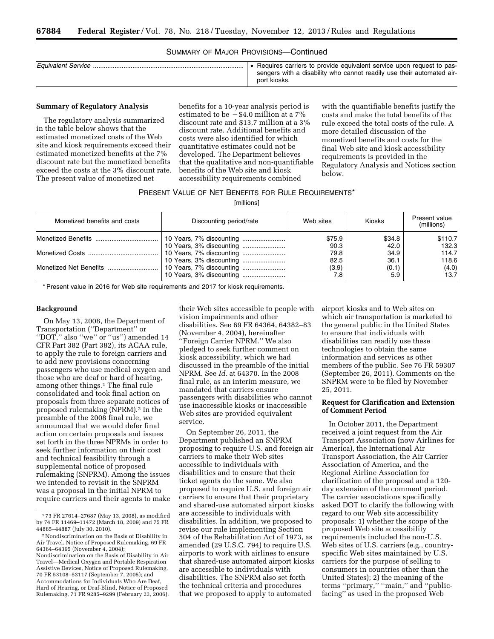# SUMMARY OF MAJOR PROVISIONS—Continued

| • Requires carriers to provide equivalent service upon request to pas-<br>sengers with a disability who cannot readily use their automated air-<br>port kiosks. |
|-----------------------------------------------------------------------------------------------------------------------------------------------------------------|
|                                                                                                                                                                 |

#### **Summary of Regulatory Analysis**

The regulatory analysis summarized in the table below shows that the estimated monetized costs of the Web site and kiosk requirements exceed their estimated monetized benefits at the 7% discount rate but the monetized benefits exceed the costs at the 3% discount rate. The present value of monetized net

benefits for a 10-year analysis period is estimated to be  $-$  \$4.0 million at a 7% discount rate and \$13.7 million at a 3% discount rate. Additional benefits and costs were also identified for which quantitative estimates could not be developed. The Department believes that the qualitative and non-quantifiable benefits of the Web site and kiosk accessibility requirements combined

with the quantifiable benefits justify the costs and make the total benefits of the rule exceed the total costs of the rule. A more detailed discussion of the monetized benefits and costs for the final Web site and kiosk accessibility requirements is provided in the Regulatory Analysis and Notices section below.

# PRESENT VALUE OF NET BENEFITS FOR RULE REQUIREMENTS\*

[millions]

| Monetized benefits and costs | Discounting period/rate  | Web sites | <b>Kiosks</b> | Present value<br>(millions) |
|------------------------------|--------------------------|-----------|---------------|-----------------------------|
|                              |                          | \$75.9    | \$34.8        | \$110.7                     |
|                              |                          | 90.3      | 42.0          | 132.3                       |
|                              |                          | 79.8      | 34.9          | 114.7                       |
|                              |                          | 82.5      | 36.1          | 118.6                       |
|                              | 10 Years, 7% discounting | (3.9)     | (0.1)         | (4.0)                       |
|                              |                          | 7.8       | 5.9           | 13.7                        |

\* Present value in 2016 for Web site requirements and 2017 for kiosk requirements.

#### **Background**

On May 13, 2008, the Department of Transportation (''Department'' or ''DOT,'' also ''we'' or ''us'') amended 14 CFR Part 382 (Part 382), its ACAA rule, to apply the rule to foreign carriers and to add new provisions concerning passengers who use medical oxygen and those who are deaf or hard of hearing, among other things.1 The final rule consolidated and took final action on proposals from three separate notices of proposed rulemaking (NPRM).2 In the preamble of the 2008 final rule, we announced that we would defer final action on certain proposals and issues set forth in the three NPRMs in order to seek further information on their cost and technical feasibility through a supplemental notice of proposed rulemaking (SNPRM). Among the issues we intended to revisit in the SNPRM was a proposal in the initial NPRM to require carriers and their agents to make their Web sites accessible to people with vision impairments and other disabilities. See 69 FR 64364, 64382–83 (November 4, 2004), hereinafter ''Foreign Carrier NPRM.'' We also pledged to seek further comment on kiosk accessibility, which we had discussed in the preamble of the initial NPRM. See *Id.* at 64370. In the 2008 final rule, as an interim measure, we mandated that carriers ensure passengers with disabilities who cannot use inaccessible kiosks or inaccessible Web sites are provided equivalent service.

On September 26, 2011, the Department published an SNPRM proposing to require U.S. and foreign air carriers to make their Web sites accessible to individuals with disabilities and to ensure that their ticket agents do the same. We also proposed to require U.S. and foreign air carriers to ensure that their proprietary and shared-use automated airport kiosks are accessible to individuals with disabilities. In addition, we proposed to revise our rule implementing Section 504 of the Rehabilitation Act of 1973, as amended (29 U.S.C. 794) to require U.S. airports to work with airlines to ensure that shared-use automated airport kiosks are accessible to individuals with disabilities. The SNPRM also set forth the technical criteria and procedures that we proposed to apply to automated

airport kiosks and to Web sites on which air transportation is marketed to the general public in the United States to ensure that individuals with disabilities can readily use these technologies to obtain the same information and services as other members of the public. See 76 FR 59307 (September 26, 2011). Comments on the SNPRM were to be filed by November 25, 2011.

# **Request for Clarification and Extension of Comment Period**

In October 2011, the Department received a joint request from the Air Transport Association (now Airlines for America), the International Air Transport Association, the Air Carrier Association of America, and the Regional Airline Association for clarification of the proposal and a 120 day extension of the comment period. The carrier associations specifically asked DOT to clarify the following with regard to our Web site accessibility proposals: 1) whether the scope of the proposed Web site accessibility requirements included the non-U.S. Web sites of U.S. carriers (e.g., countryspecific Web sites maintained by U.S. carriers for the purpose of selling to consumers in countries other than the United States); 2) the meaning of the terms ''primary,'' ''main,'' and ''publicfacing'' as used in the proposed Web

<sup>1</sup> 73 FR 27614–27687 (May 13, 2008), as modified by 74 FR 11469–11472 (March 18, 2009) and 75 FR 44885–44887 (July 30, 2010).

<sup>2</sup>Nondiscrimination on the Basis of Disability in Air Travel, Notice of Proposed Rulemaking, 69 FR 64364–64395 (November 4, 2004); Nondiscrimination on the Basis of Disability in Air Travel—Medical Oxygen and Portable Respiration Assistive Devices, Notice of Proposed Rulemaking, 70 FR 53108–53117 (September 7, 2005); and Accommodations for Individuals Who Are Deaf, Hard of Hearing, or Deaf-Blind, Notice of Proposed Rulemaking, 71 FR 9285–9299 (February 23, 2006).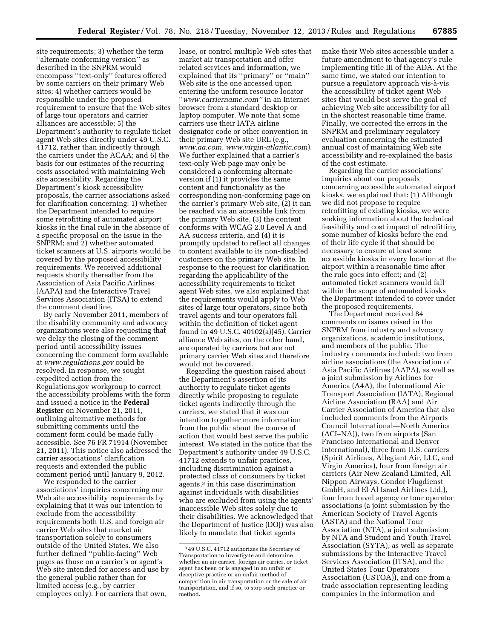site requirements; 3) whether the term ''alternate conforming version'' as described in the SNPRM would encompass ''text-only'' features offered by some carriers on their primary Web sites; 4) whether carriers would be responsible under the proposed requirement to ensure that the Web sites of large tour operators and carrier alliances are accessible; 5) the Department's authority to regulate ticket agent Web sites directly under 49 U.S.C. 41712, rather than indirectly through the carriers under the ACAA; and 6) the basis for our estimates of the recurring costs associated with maintaining Web site accessibility. Regarding the Department's kiosk accessibility proposals, the carrier associations asked for clarification concerning: 1) whether the Department intended to require some retrofitting of automated airport kiosks in the final rule in the absence of a specific proposal on the issue in the SNPRM; and 2) whether automated ticket scanners at U.S. airports would be covered by the proposed accessibility requirements. We received additional requests shortly thereafter from the Association of Asia Pacific Airlines (AAPA) and the Interactive Travel Services Association (ITSA) to extend the comment deadline.

By early November 2011, members of the disability community and advocacy organizations were also requesting that we delay the closing of the comment period until accessibility issues concerning the comment form available at *[www.regulations.gov](http://www.regulations.gov)* could be resolved. In response, we sought expedited action from the Regulations.gov workgroup to correct the accessibility problems with the form and issued a notice in the **Federal Register** on November 21, 2011, outlining alternative methods for submitting comments until the comment form could be made fully accessible. See 76 FR 71914 (November 21, 2011). This notice also addressed the carrier associations' clarification requests and extended the public comment period until January 9, 2012.

We responded to the carrier associations' inquiries concerning our Web site accessibility requirements by explaining that it was our intention to exclude from the accessibility requirements both U.S. and foreign air carrier Web sites that market air transportation solely to consumers outside of the United States. We also further defined ''public-facing'' Web pages as those on a carrier's or agent's Web site intended for access and use by the general public rather than for limited access (e.g., by carrier employees only). For carriers that own,

lease, or control multiple Web sites that market air transportation and offer related services and information, we explained that its ''primary'' or ''main'' Web site is the one accessed upon entering the uniform resource locator ''*[www.carriername.com''](http://www.carriername.com)* in an Internet browser from a standard desktop or laptop computer. We note that some carriers use their IATA airline designator code or other convention in their primary Web site URL (e.g., *[www.aa.com,](http://www.aa.com) www.virgin-atlantic.com*). We further explained that a carrier's text-only Web page may only be considered a conforming alternate version if (1) it provides the same content and functionality as the corresponding non-conforming page on the carrier's primary Web site, (2) it can be reached via an accessible link from the primary Web site, (3) the content conforms with WCAG 2.0 Level A and AA success criteria, and (4) it is promptly updated to reflect all changes to content available to its non-disabled customers on the primary Web site. In response to the request for clarification regarding the applicability of the accessibility requirements to ticket agent Web sites, we also explained that the requirements would apply to Web sites of large tour operators, since both travel agents and tour operators fall within the definition of ticket agent found in 49 U.S.C. 40102(a)(45). Carrier alliance Web sites, on the other hand, are operated by carriers but are not primary carrier Web sites and therefore would not be covered.

Regarding the question raised about the Department's assertion of its authority to regulate ticket agents directly while proposing to regulate ticket agents indirectly through the carriers, we stated that it was our intention to gather more information from the public about the course of action that would best serve the public interest. We stated in the notice that the Department's authority under 49 U.S.C. 41712 extends to unfair practices, including discrimination against a protected class of consumers by ticket agents,3 in this case discrimination against individuals with disabilities who are excluded from using the agents' inaccessible Web sites solely due to their disabilities. We acknowledged that the Department of Justice (DOJ) was also likely to mandate that ticket agents

make their Web sites accessible under a future amendment to that agency's rule implementing title III of the ADA. At the same time, we stated our intention to pursue a regulatory approach vis-à-vis the accessibility of ticket agent Web sites that would best serve the goal of achieving Web site accessibility for all in the shortest reasonable time frame. Finally, we corrected the errors in the SNPRM and preliminary regulatory evaluation concerning the estimated annual cost of maintaining Web site accessibility and re-explained the basis of the cost estimate.

Regarding the carrier associations' inquiries about our proposals concerning accessible automated airport kiosks, we explained that: (1) Although we did not propose to require retrofitting of existing kiosks, we were seeking information about the technical feasibility and cost impact of retrofitting some number of kiosks before the end of their life cycle if that should be necessary to ensure at least some accessible kiosks in every location at the airport within a reasonable time after the rule goes into effect; and (2) automated ticket scanners would fall within the scope of automated kiosks the Department intended to cover under the proposed requirements.

The Department received 84 comments on issues raised in the SNPRM from industry and advocacy organizations, academic institutions, and members of the public. The industry comments included: two from airline associations (the Association of Asia Pacific Airlines (AAPA), as well as a joint submission by Airlines for America (A4A), the International Air Transport Association (IATA), Regional Airline Association (RAA) and Air Carrier Association of America that also included comments from the Airports Council International—North America (ACI–NA)), two from airports (San Francisco International and Denver International), three from U.S. carriers (Spirit Airlines, Allegiant Air, LLC, and Virgin America), four from foreign air carriers (Air New Zealand Limited, All Nippon Airways, Condor Flugdienst GmbH, and El Al Israel Airlines Ltd.), four from travel agency or tour operator associations (a joint submission by the American Society of Travel Agents (ASTA) and the National Tour Association (NTA), a joint submission by NTA and Student and Youth Travel Association (SYTA), as well as separate submissions by the Interactive Travel Services Association (ITSA), and the United States Tour Operators Association (USTOA)), and one from a trade association representing leading companies in the information and

<sup>3</sup> 49 U.S.C. 41712 authorizes the Secretary of Transportation to investigate and determine whether an air carrier, foreign air carrier, or ticket agent has been or is engaged in an unfair or deceptive practice or an unfair method of competition in air transportation or the sale of air transportation, and if so, to stop such practice or method.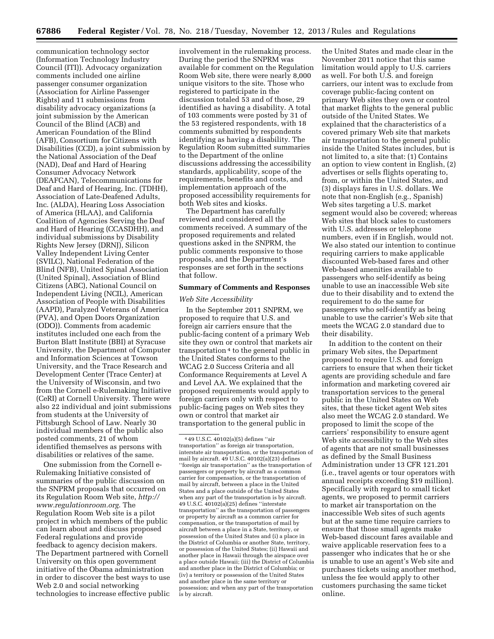communication technology sector (Information Technology Industry Council (ITI)). Advocacy organization comments included one airline passenger consumer organization (Association for Airline Passenger Rights) and 11 submissions from disability advocacy organizations (a joint submission by the American Council of the Blind (ACB) and American Foundation of the Blind (AFB), Consortium for Citizens with Disabilities (CCD), a joint submission by the National Association of the Deaf (NAD), Deaf and Hard of Hearing Consumer Advocacy Network (DEAFCAN), Telecommunications for Deaf and Hard of Hearing, Inc. (TDHH), Association of Late-Deafened Adults, Inc. (ALDA), Hearing Loss Association of America (HLAA), and California Coalition of Agencies Serving the Deaf and Hard of Hearing (CCASDHH), and individual submissions by Disability Rights New Jersey (DRNJ), Silicon Valley Independent Living Center (SVILC), National Federation of the Blind (NFB), United Spinal Association (United Spinal), Association of Blind Citizens (ABC), National Council on Independent Living (NCIL), American Association of People with Disabilities (AAPD), Paralyzed Veterans of America (PVA), and Open Doors Organization (ODO)). Comments from academic institutes included one each from the Burton Blatt Institute (BBI) at Syracuse University, the Department of Computer and Information Sciences at Towson University, and the Trace Research and Development Center (Trace Center) at the University of Wisconsin, and two from the Cornell e-Rulemaking Initiative (CeRI) at Cornell University. There were also 22 individual and joint submissions from students at the University of Pittsburgh School of Law. Nearly 30 individual members of the public also posted comments, 21 of whom identified themselves as persons with disabilities or relatives of the same.

One submission from the Cornell e-Rulemaking Initiative consisted of summaries of the public discussion on the SNPRM proposals that occurred on its Regulation Room Web site, *[http://](http://www.regulationroom.org) [www.regulationroom.org](http://www.regulationroom.org)*. The Regulation Room Web site is a pilot project in which members of the public can learn about and discuss proposed Federal regulations and provide feedback to agency decision makers. The Department partnered with Cornell University on this open government initiative of the Obama administration in order to discover the best ways to use Web 2.0 and social networking technologies to increase effective public

involvement in the rulemaking process. During the period the SNPRM was available for comment on the Regulation Room Web site, there were nearly 8,000 unique visitors to the site. Those who registered to participate in the discussion totaled 53 and of those, 29 identified as having a disability. A total of 103 comments were posted by 31 of the 53 registered respondents, with 18 comments submitted by respondents identifying as having a disability. The Regulation Room submitted summaries to the Department of the online discussions addressing the accessibility standards, applicability, scope of the requirements, benefits and costs, and implementation approach of the proposed accessibility requirements for both Web sites and kiosks.

The Department has carefully reviewed and considered all the comments received. A summary of the proposed requirements and related questions asked in the SNPRM, the public comments responsive to those proposals, and the Department's responses are set forth in the sections that follow.

#### **Summary of Comments and Responses**

#### *Web Site Accessibility*

In the September 2011 SNPRM, we proposed to require that U.S. and foreign air carriers ensure that the public-facing content of a primary Web site they own or control that markets air transportation 4 to the general public in the United States conforms to the WCAG 2.0 Success Criteria and all Conformance Requirements at Level A and Level AA. We explained that the proposed requirements would apply to foreign carriers only with respect to public-facing pages on Web sites they own or control that market air transportation to the general public in

the United States and made clear in the November 2011 notice that this same limitation would apply to U.S. carriers as well. For both U.S. and foreign carriers, our intent was to exclude from coverage public-facing content on primary Web sites they own or control that market flights to the general public outside of the United States. We explained that the characteristics of a covered primary Web site that markets air transportation to the general public inside the United States includes, but is not limited to, a site that: (1) Contains an option to view content in English, (2) advertises or sells flights operating to, from, or within the United States, and (3) displays fares in U.S. dollars. We note that non-English (e.g., Spanish) Web sites targeting a U.S. market segment would also be covered; whereas Web sites that block sales to customers with U.S. addresses or telephone numbers, even if in English, would not. We also stated our intention to continue requiring carriers to make applicable discounted Web-based fares and other Web-based amenities available to passengers who self-identify as being unable to use an inaccessible Web site due to their disability and to extend the requirement to do the same for passengers who self-identify as being unable to use the carrier's Web site that meets the WCAG 2.0 standard due to their disability.

In addition to the content on their primary Web sites, the Department proposed to require U.S. and foreign carriers to ensure that when their ticket agents are providing schedule and fare information and marketing covered air transportation services to the general public in the United States on Web sites, that these ticket agent Web sites also meet the WCAG 2.0 standard. We proposed to limit the scope of the carriers' responsibility to ensure agent Web site accessibility to the Web sites of agents that are not small businesses as defined by the Small Business Administration under 13 CFR 121.201 (i.e., travel agents or tour operators with annual receipts exceeding \$19 million). Specifically with regard to small ticket agents, we proposed to permit carriers to market air transportation on the inaccessible Web sites of such agents but at the same time require carriers to ensure that those small agents make Web-based discount fares available and waive applicable reservation fees to a passenger who indicates that he or she is unable to use an agent's Web site and purchases tickets using another method, unless the fee would apply to other customers purchasing the same ticket online.

<sup>4</sup> 49 U.S.C. 40102(a)(5) defines ''air transportation'' as foreign air transportation, interstate air transportation, or the transportation of mail by aircraft. 49 U.S.C. 40102(a)(23) defines ''foreign air transportation'' as the transportation of passengers or property by aircraft as a common carrier for compensation, or the transportation of mail by aircraft, between a place in the United States and a place outside of the United States when any part of the transportation is by aircraft. 49 U.S.C. 40102(a)(25) defines ''interstate transportation'' as the transportation of passengers or property by aircraft as a common carrier for compensation, or the transportation of mail by aircraft between a place in a State, territory, or possession of the United States and (i) a place in the District of Columbia or another State, territory, or possession of the United States; (ii) Hawaii and another place in Hawaii through the airspace over a place outside Hawaii; (iii) the District of Columbia and another place in the District of Columbia; or (iv) a territory or possession of the United States and another place in the same territory or possession; and when any part of the transportation is by aircraft.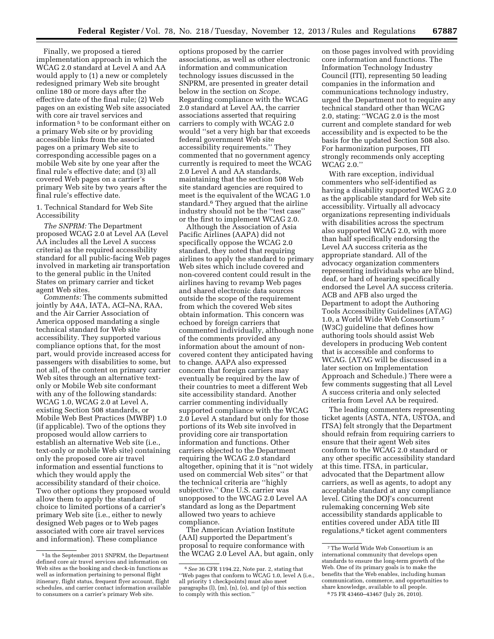Finally, we proposed a tiered implementation approach in which the WCAG 2.0 standard at Level A and AA would apply to (1) a new or completely redesigned primary Web site brought online 180 or more days after the effective date of the final rule; (2) Web pages on an existing Web site associated with core air travel services and information 5 to be conformant either on a primary Web site or by providing accessible links from the associated pages on a primary Web site to corresponding accessible pages on a mobile Web site by one year after the final rule's effective date; and (3) all covered Web pages on a carrier's primary Web site by two years after the final rule's effective date.

1. Technical Standard for Web Site Accessibility

*The SNPRM:* The Department proposed WCAG 2.0 at Level AA (Level AA includes all the Level A success criteria) as the required accessibility standard for all public-facing Web pages involved in marketing air transportation to the general public in the United States on primary carrier and ticket agent Web sites.

*Comments:* The comments submitted jointly by A4A, IATA, ACI–NA, RAA, and the Air Carrier Association of America opposed mandating a single technical standard for Web site accessibility. They supported various compliance options that, for the most part, would provide increased access for passengers with disabilities to some, but not all, of the content on primary carrier Web sites through an alternative textonly or Mobile Web site conformant with any of the following standards: WCAG 1.0, WCAG 2.0 at Level A, existing Section 508 standards, or Mobile Web Best Practices (MWBP) 1.0 (if applicable). Two of the options they proposed would allow carriers to establish an alternative Web site (i.e., text-only or mobile Web site) containing only the proposed core air travel information and essential functions to which they would apply the accessibility standard of their choice. Two other options they proposed would allow them to apply the standard of choice to limited portions of a carrier's primary Web site (i.e., either to newly designed Web pages or to Web pages associated with core air travel services and information). These compliance

options proposed by the carrier associations, as well as other electronic information and communication technology issues discussed in the SNPRM, are presented in greater detail below in the section on *Scope.*  Regarding compliance with the WCAG 2.0 standard at Level AA, the carrier associations asserted that requiring carriers to comply with WCAG 2.0 would ''set a very high bar that exceeds federal government Web site accessibility requirements.'' They commented that no government agency currently is required to meet the WCAG 2.0 Level A and AA standards, maintaining that the section 508 Web site standard agencies are required to meet is the equivalent of the WCAG 1.0 standard.6 They argued that the airline industry should not be the ''test case'' or the first to implement WCAG 2.0.

Although the Association of Asia Pacific Airlines (AAPA) did not specifically oppose the WCAG 2.0 standard, they noted that requiring airlines to apply the standard to primary Web sites which include covered and non-covered content could result in the airlines having to revamp Web pages and shared electronic data sources outside the scope of the requirement from which the covered Web sites obtain information. This concern was echoed by foreign carriers that commented individually, although none of the comments provided any information about the amount of noncovered content they anticipated having to change. AAPA also expressed concern that foreign carriers may eventually be required by the law of their countries to meet a different Web site accessibility standard. Another carrier commenting individually supported compliance with the WCAG 2.0 Level A standard but only for those portions of its Web site involved in providing core air transportation information and functions. Other carriers objected to the Department requiring the WCAG 2.0 standard altogether, opining that it is ''not widely used on commercial Web sites'' or that the technical criteria are ''highly subjective.'' One U.S. carrier was unopposed to the WCAG 2.0 Level AA standard as long as the Department allowed two years to achieve compliance.

The American Aviation Institute (AAI) supported the Department's proposal to require conformance with the WCAG 2.0 Level AA, but again, only on those pages involved with providing core information and functions. The Information Technology Industry Council (ITI), representing 50 leading companies in the information and communications technology industry, urged the Department not to require any technical standard other than WCAG 2.0, stating: ''WCAG 2.0 is the most current and complete standard for web accessibility and is expected to be the basis for the updated Section 508 also. For harmonization purposes, ITI strongly recommends only accepting WCAG 2.0.''

With rare exception, individual commenters who self-identified as having a disability supported WCAG 2.0 as the applicable standard for Web site accessibility. Virtually all advocacy organizations representing individuals with disabilities across the spectrum also supported WCAG 2.0, with more than half specifically endorsing the Level AA success criteria as the appropriate standard. All of the advocacy organization commenters representing individuals who are blind, deaf, or hard of hearing specifically endorsed the Level AA success criteria. ACB and AFB also urged the Department to adopt the Authoring Tools Accessibility Guidelines (ATAG) 1.0, a World Wide Web Consortium 7 (W3C) guideline that defines how authoring tools should assist Web developers in producing Web content that is accessible and conforms to WCAG. (ATAG will be discussed in a later section on Implementation Approach and Schedule.) There were a few comments suggesting that all Level A success criteria and only selected criteria from Level AA be required.

The leading commenters representing ticket agents (ASTA, NTA, USTOA, and ITSA) felt strongly that the Department should refrain from requiring carriers to ensure that their agent Web sites conform to the WCAG 2.0 standard or any other specific accessibility standard at this time. ITSA, in particular, advocated that the Department allow carriers, as well as agents, to adopt any acceptable standard at any compliance level. Citing the DOJ's concurrent rulemaking concerning Web site accessibility standards applicable to entities covered under ADA title III regulations,<sup>8</sup> ticket agent commenters

<sup>5</sup> In the September 2011 SNPRM, the Department defined core air travel services and information on Web sites as the booking and check-in functions as well as information pertaining to personal flight itinerary, flight status, frequent flyer account, flight schedules, and carrier contact information available to consumers on a carrier's primary Web site.

<sup>6</sup>*See* 36 CFR 1194.22, Note par. 2, stating that ''Web pages that conform to WCAG 1.0, level A (i.e., all priority 1 checkpoints) must also meet paragraphs (l), (m), (n), (o), and (p) of this section to comply with this section.''

<sup>7</sup>The World Wide Web Consortium is an international community that develops open standards to ensure the long-term growth of the Web. One of its primary goals is to make the benefits that the Web enables, including human communication, commerce, and opportunities to share knowledge, available to all people. 8 75 FR 43460–43467 (July 26, 2010).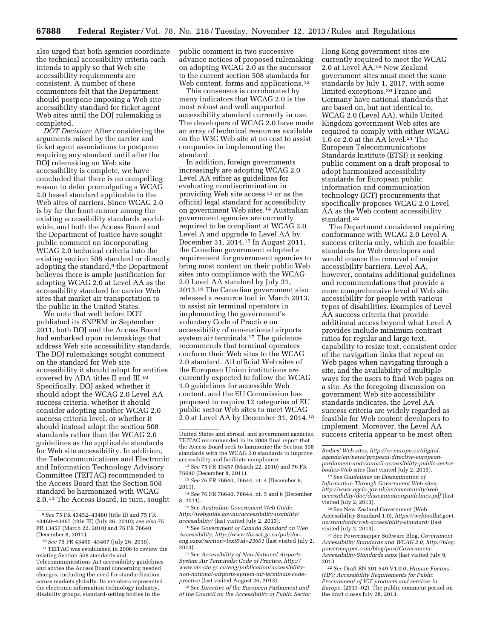also urged that both agencies coordinate the technical accessibility criteria each intends to apply so that Web site accessibility requirements are consistent. A number of these commenters felt that the Department should postpone imposing a Web site accessibility standard for ticket agent Web sites until the DOJ rulemaking is completed.

*DOT Decision:* After considering the arguments raised by the carrier and ticket agent associations to postpone requiring any standard until after the DOJ rulemaking on Web site accessibility is complete, we have concluded that there is no compelling reason to defer promulgating a WCAG 2.0 based standard applicable to the Web sites of carriers. Since WCAG 2.0 is by far the front-runner among the existing accessibility standards worldwide, and both the Access Board and the Department of Justice have sought public comment on incorporating WCAG 2.0 technical criteria into the existing section 508 standard or directly adopting the standard,<sup>9</sup> the Department believes there is ample justification for adopting WCAG 2.0 at Level AA as the accessibility standard for carrier Web sites that market air transportation to the public in the United States.

We note that well before DOT published its SNPRM in September 2011, both DOJ and the Access Board had embarked upon rulemakings that address Web site accessibility standards. The DOJ rulemakings sought comment on the standard for Web site accessibility it should adopt for entities covered by ADA titles II and III.10 Specifically, DOJ asked whether it should adopt the WCAG 2.0 Level AA success criteria, whether it should consider adopting another WCAG 2.0 success criteria level, or whether it should instead adopt the section 508 standards rather than the WCAG 2.0 guidelines as the applicable standards for Web site accessibility. In addition, the Telecommunications and Electronic and Information Technology Advisory Committee (TEITAC) recommended to the Access Board that the Section 508 standard be harmonized with WCAG 2.0.11 The Access Board, in turn, sought

public comment in two successive advance notices of proposed rulemaking on adopting WCAG 2.0 as the successor to the current section 508 standards for Web content, forms and applications.<sup>12</sup>

This consensus is corroborated by many indicators that WCAG 2.0 is the most robust and well supported accessibility standard currently in use. The developers of WCAG 2.0 have made an array of technical resources available on the W3C Web site at no cost to assist companies in implementing the standard.

In addition, foreign governments increasingly are adopting WCAG 2.0 Level AA either as guidelines for evaluating nondiscrimination in providing Web site access 13 or as the official legal standard for accessibility on government Web sites.14 Australian government agencies are currently required to be compliant at WCAG 2.0 Level A and upgrade to Level AA by December 31, 2014.15 In August 2011, the Canadian government adopted a requirement for government agencies to bring most content on their public Web sites into compliance with the WCAG 2.0 Level AA standard by July 31, 2013.16 The Canadian government also released a resource tool in March 2013, to assist air terminal operators in implementing the government's voluntary Code of Practice on accessibility of non-national airports system air terminals.<sup>17</sup> The guidance recommends that terminal operators conform their Web sites to the WCAG 2.0 standard. All official Web sites of the European Union institutions are currently expected to follow the WCAG 1.0 guidelines for accessible Web content, and the EU Commission has proposed to require 12 categories of EU public sector Web sites to meet WCAG 2.0 at Level AA by December 31, 2014.18

18See *Directive of the European Parliament and of the Council on the Accessibility of Public Sector* 

Hong Kong government sites are currently required to meet the WCAG 2.0 at Level AA.19 New Zealand government sites must meet the same standards by July 1, 2017, with some limited exceptions.20 France and Germany have national standards that are based on, but not identical to, WCAG 2.0 (Level AA), while United Kingdom government Web sites are required to comply with either WCAG 1.0 or 2.0 at the AA level.21 The European Telecommunications Standards Institute (ETSI) is seeking public comment on a draft proposal to adopt harmonized accessibility standards for European public information and communication technology (ICT) procurements that specifically proposes WCAG 2.0 Level AA as the Web content accessibility standard.22

The Department considered requiring conformance with WCAG 2.0 Level A success criteria only, which are feasible standards for Web developers and would ensure the removal of major accessibility barriers. Level AA, however, contains additional guidelines and recommendations that provide a more comprehensive level of Web site accessibility for people with various types of disabilities. Examples of Level AA success criteria that provide additional access beyond what Level A provides include minimum contrast ratios for regular and large text, capability to resize text, consistent order of the navigation links that repeat on Web pages when navigating through a site, and the availability of multiple ways for the users to find Web pages on a site. As the foregoing discussion on government Web site accessibility standards indicates, the Level AA success criteria are widely regarded as feasible for Web content developers to implement. Moreover, the Level AA success criteria appear to be most often

21See Powermapper Software Blog, *Government Accessibility Standards and WCAG 2.0, [http://blog.](http://blog.powermapper.com/blog/post/Government-Accessibility-Standards.aspx) [powermapper.com/blog/post/Government-](http://blog.powermapper.com/blog/post/Government-Accessibility-Standards.aspx)[Accessibility-Standards.aspx](http://blog.powermapper.com/blog/post/Government-Accessibility-Standards.aspx)* (last visited July 9, 2013

<sup>9</sup>*See* 75 FR 43452–43460 (title II) and 75 FR 43460–43467 (title III) (July 26, 2010); *see also* 75 FR 13457 (March 22, 2010) and 76 FR 76640 (December 8, 2011).

<sup>10</sup>*See* 75 FR 43460–43467 (July 26, 2010).

<sup>11</sup>TEITAC was established in 2006 to review the existing Section 508 standards and Telecommunications Act accessibility guidelines and advise the Access Board concerning needed changes, including the need for standardization across markets globally. Its members represented the electronic information technology industry, disability groups, standard-setting bodies in the

United States and abroad, and government agencies. TEITAC recommended in its 2008 final report that the Access Board seek to harmonize the Section 508 standards with the WCAG 2.0 standards to improve accessibility and facilitate compliance.

<sup>12</sup>*See* 75 FR 13457 (March 22, 2010) and 76 FR 76640 (December 8, 2011).

<sup>13</sup>*See* 76 FR 76640, 76644, nt. 4 (December 8, 2011).

<sup>14</sup>*See* 76 FR 76640, 76644, nt. 5 and 6 (December 8, 2011).

<sup>15</sup>See *Australian Government Web Guide, [http://webguide.gov.au/accessibility-usability/](http://webguide.gov.au/accessibility-usability/accessibility/) [accessibility/](http://webguide.gov.au/accessibility-usability/accessibility/)* (last visited July 2, 2013).

<sup>16</sup>See *Government of Canada Standard on Web Accessibility, [http://www.tbs-sct.gc.ca/pol/doc](http://www.tbs-sct.gc.ca/pol/doc-eng.aspx?section=text&id=23601)[eng.aspx?section=text&id=23601](http://www.tbs-sct.gc.ca/pol/doc-eng.aspx?section=text&id=23601)* (last visited July 2, 2013).

<sup>17</sup>See *Accessibility of Non-National Airports System Air Terminals: Code of Practice, http:// www.otc-cta.gc.ca/eng/publication/accessibilitynon-national-airports-system-air-terminals-codepractice* (last visited August 26, 2013).

*Bodies' Web sites, http://ec.europa.eu/digitalagenda/en/news/proposal-directive-europeanparliament-and-council-accessibility-public-sectorbodies-Web sites* (last visited July 2, 2013).

<sup>19</sup>See *Guidelines on Dissemination of Information Through Government Web sites, [http://www.ogcio.gov.hk/en/community/web](http://www.ogcio.gov.hk/en/community/web_accessibility/doc/disseminationguidelines.pdf)*\_ *[accessibility/doc/disseminationguidelines.pdf](http://www.ogcio.gov.hk/en/community/web_accessibility/doc/disseminationguidelines.pdf)* (last visited July 2, 2013).

<sup>20</sup>See New Zealand Government (Web Accessibility Standard 1.0), *[https://webtoolkit.govt.](https://webtoolkit.govt.nz/standards/web-accessibility-standard/) [nz/standards/web-accessibility-standard/](https://webtoolkit.govt.nz/standards/web-accessibility-standard/)* (last visited July 2, 2013).

<sup>22</sup>*See* Draft EN 301 549 V1.0.0, *Human Factors (HF); Accessibility Requirements for Public Procurement of ICT products and services in Europe,* (2013–02). The public comment period on the draft closes July 28, 2013.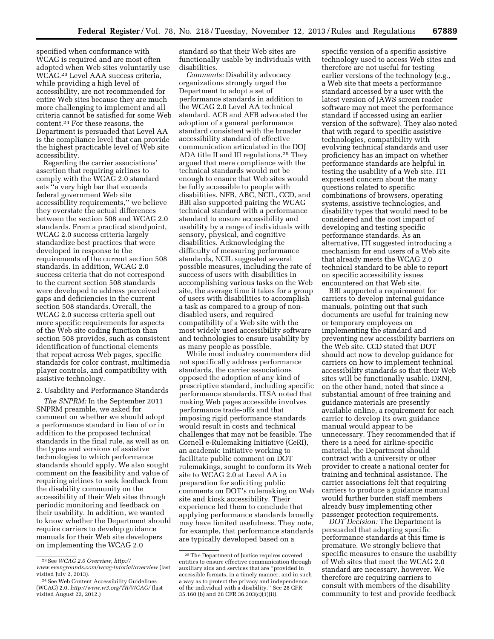specified when conformance with WCAG is required and are most often adopted when Web sites voluntarily use WCAG.23 Level AAA success criteria, while providing a high level of accessibility, are not recommended for entire Web sites because they are much more challenging to implement and all criteria cannot be satisfied for some Web content.24 For these reasons, the Department is persuaded that Level AA is the compliance level that can provide the highest practicable level of Web site accessibility.

Regarding the carrier associations' assertion that requiring airlines to comply with the WCAG 2.0 standard sets ''a very high bar that exceeds federal government Web site accessibility requirements,'' we believe they overstate the actual differences between the section 508 and WCAG 2.0 standards. From a practical standpoint, WCAG 2.0 success criteria largely standardize best practices that were developed in response to the requirements of the current section 508 standards. In addition, WCAG 2.0 success criteria that do not correspond to the current section 508 standards were developed to address perceived gaps and deficiencies in the current section 508 standards. Overall, the WCAG 2.0 success criteria spell out more specific requirements for aspects of the Web site coding function than section 508 provides, such as consistent identification of functional elements that repeat across Web pages, specific standards for color contrast, multimedia player controls, and compatibility with assistive technology.

2. Usability and Performance Standards

*The SNPRM:* In the September 2011 SNPRM preamble, we asked for comment on whether we should adopt a performance standard in lieu of or in addition to the proposed technical standards in the final rule, as well as on the types and versions of assistive technologies to which performance standards should apply. We also sought comment on the feasibility and value of requiring airlines to seek feedback from the disability community on the accessibility of their Web sites through periodic monitoring and feedback on their usability. In addition, we wanted to know whether the Department should require carriers to develop guidance manuals for their Web site developers on implementing the WCAG 2.0

standard so that their Web sites are functionally usable by individuals with disabilities.

*Comments:* Disability advocacy organizations strongly urged the Department to adopt a set of performance standards in addition to the WCAG 2.0 Level AA technical standard. ACB and AFB advocated the adoption of a general performance standard consistent with the broader accessibility standard of effective communication articulated in the DOJ ADA title II and III regulations.25 They argued that mere compliance with the technical standards would not be enough to ensure that Web sites would be fully accessible to people with disabilities. NFB, ABC, NCIL, CCD, and BBI also supported pairing the WCAG technical standard with a performance standard to ensure accessibility and usability by a range of individuals with sensory, physical, and cognitive disabilities. Acknowledging the difficulty of measuring performance standards, NCIL suggested several possible measures, including the rate of success of users with disabilities in accomplishing various tasks on the Web site, the average time it takes for a group of users with disabilities to accomplish a task as compared to a group of nondisabled users, and required compatibility of a Web site with the most widely used accessibility software and technologies to ensure usability by as many people as possible.

While most industry commenters did not specifically address performance standards, the carrier associations opposed the adoption of any kind of prescriptive standard, including specific performance standards. ITSA noted that making Web pages accessible involves performance trade-offs and that imposing rigid performance standards would result in costs and technical challenges that may not be feasible. The Cornell e-Rulemaking Initiative (CeRI), an academic initiative working to facilitate public comment on DOT rulemakings, sought to conform its Web site to WCAG 2.0 at Level AA in preparation for soliciting public comments on DOT's rulemaking on Web site and kiosk accessibility. Their experience led them to conclude that applying performance standards broadly may have limited usefulness. They note, for example, that performance standards are typically developed based on a

specific version of a specific assistive technology used to access Web sites and therefore are not useful for testing earlier versions of the technology (e.g., a Web site that meets a performance standard accessed by a user with the latest version of JAWS screen reader software may not meet the performance standard if accessed using an earlier version of the software). They also noted that with regard to specific assistive technologies, compatibility with evolving technical standards and user proficiency has an impact on whether performance standards are helpful in testing the usability of a Web site. ITI expressed concern about the many questions related to specific combinations of browsers, operating systems, assistive technologies, and disability types that would need to be considered and the cost impact of developing and testing specific performance standards. As an alternative, ITI suggested introducing a mechanism for end users of a Web site that already meets the WCAG 2.0 technical standard to be able to report on specific accessibility issues encountered on that Web site.

BBI supported a requirement for carriers to develop internal guidance manuals, pointing out that such documents are useful for training new or temporary employees on implementing the standard and preventing new accessibility barriers on the Web site. CCD stated that DOT should act now to develop guidance for carriers on how to implement technical accessibility standards so that their Web sites will be functionally usable. DRNJ, on the other hand, noted that since a substantial amount of free training and guidance materials are presently available online, a requirement for each carrier to develop its own guidance manual would appear to be unnecessary. They recommended that if there is a need for airline-specific material, the Department should contract with a university or other provider to create a national center for training and technical assistance. The carrier associations felt that requiring carriers to produce a guidance manual would further burden staff members already busy implementing other passenger protection requirements.

*DOT Decision:* The Department is persuaded that adopting specific performance standards at this time is premature. We strongly believe that specific measures to ensure the usability of Web sites that meet the WCAG 2.0 standard are necessary, however. We therefore are requiring carriers to consult with members of the disability community to test and provide feedback

<sup>23</sup>See *WCAG 2.0 Overview, [http://](http://www.evengrounds.com/wcag-tutorial/overview) [www.evengrounds.com/wcag-tutorial/overview](http://www.evengrounds.com/wcag-tutorial/overview)* (last visited July 2, 2013).

<sup>24</sup>See Web Content Accessibility Guidelines (WCAG) 2.0, *<http://www.w3.org/TR/WCAG/>* (last visited August  $22$ , 2012.)

<sup>25</sup>The Department of Justice requires covered entities to ensure effective communication through auxiliary aids and services that are ''provided in accessible formats, in a timely manner, and in such a way as to protect the privacy and independence of the individual with a disability.'' See 28 CFR 35.160 (b) and 28 CFR 36.303(c)(1)(ii).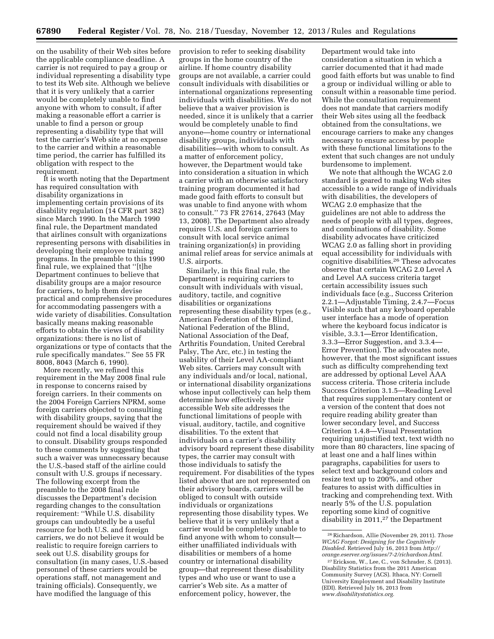on the usability of their Web sites before the applicable compliance deadline. A carrier is not required to pay a group or individual representing a disability type to test its Web site. Although we believe that it is very unlikely that a carrier would be completely unable to find anyone with whom to consult, if after making a reasonable effort a carrier is unable to find a person or group representing a disability type that will test the carrier's Web site at no expense to the carrier and within a reasonable time period, the carrier has fulfilled its obligation with respect to the requirement.

It is worth noting that the Department has required consultation with disability organizations in implementing certain provisions of its disability regulation (14 CFR part 382) since March 1990. In the March 1990 final rule, the Department mandated that airlines consult with organizations representing persons with disabilities in developing their employee training programs. In the preamble to this 1990 final rule, we explained that ''[t]he Department continues to believe that disability groups are a major resource for carriers, to help them devise practical and comprehensive procedures for accommodating passengers with a wide variety of disabilities. Consultation basically means making reasonable efforts to obtain the views of disability organizations: there is no list of organizations or type of contacts that the rule specifically mandates.'' See 55 FR 8008, 8043 (March 6, 1990).

More recently, we refined this requirement in the May 2008 final rule in response to concerns raised by foreign carriers. In their comments on the 2004 Foreign Carriers NPRM, some foreign carriers objected to consulting with disability groups, saying that the requirement should be waived if they could not find a local disability group to consult. Disability groups responded to these comments by suggesting that such a waiver was unnecessary because the U.S.-based staff of the airline could consult with U.S. groups if necessary. The following excerpt from the preamble to the 2008 final rule discusses the Department's decision regarding changes to the consultation requirement: ''While U.S. disability groups can undoubtedly be a useful resource for both U.S. and foreign carriers, we do not believe it would be realistic to require foreign carriers to seek out U.S. disability groups for consultation (in many cases, U.S.-based personnel of these carriers would be operations staff, not management and training officials). Consequently, we have modified the language of this

provision to refer to seeking disability groups in the home country of the airline. If home country disability groups are not available, a carrier could consult individuals with disabilities or international organizations representing individuals with disabilities. We do not believe that a waiver provision is needed, since it is unlikely that a carrier would be completely unable to find anyone—home country or international disability groups, individuals with disabilities—with whom to consult. As a matter of enforcement policy, however, the Department would take into consideration a situation in which a carrier with an otherwise satisfactory training program documented it had made good faith efforts to consult but was unable to find anyone with whom to consult.'' 73 FR 27614, 27643 (May 13, 2008). The Department also already requires U.S. and foreign carriers to consult with local service animal training organization(s) in providing animal relief areas for service animals at U.S. airports.

Similarly, in this final rule, the Department is requiring carriers to consult with individuals with visual, auditory, tactile, and cognitive disabilities or organizations representing these disability types (e.g., American Federation of the Blind, National Federation of the Blind, National Association of the Deaf, Arthritis Foundation, United Cerebral Palsy, The Arc, etc.) in testing the usability of their Level AA-compliant Web sites. Carriers may consult with any individuals and/or local, national, or international disability organizations whose input collectively can help them determine how effectively their accessible Web site addresses the functional limitations of people with visual, auditory, tactile, and cognitive disabilities. To the extent that individuals on a carrier's disability advisory board represent these disability types, the carrier may consult with those individuals to satisfy the requirement. For disabilities of the types listed above that are not represented on their advisory boards, carriers will be obliged to consult with outside individuals or organizations representing those disability types. We believe that it is very unlikely that a carrier would be completely unable to find anyone with whom to consult either unaffiliated individuals with disabilities or members of a home country or international disability group—that represent these disability types and who use or want to use a carrier's Web site. As a matter of enforcement policy, however, the

Department would take into consideration a situation in which a carrier documented that it had made good faith efforts but was unable to find a group or individual willing or able to consult within a reasonable time period. While the consultation requirement does not mandate that carriers modify their Web sites using all the feedback obtained from the consultations, we encourage carriers to make any changes necessary to ensure access by people with these functional limitations to the extent that such changes are not unduly burdensome to implement.

We note that although the WCAG 2.0 standard is geared to making Web sites accessible to a wide range of individuals with disabilities, the developers of WCAG 2.0 emphasize that the guidelines are not able to address the needs of people with all types, degrees, and combinations of disability. Some disability advocates have criticized WCAG 2.0 as falling short in providing equal accessibility for individuals with cognitive disabilities.26 These advocates observe that certain WCAG 2.0 Level A and Level AA success criteria target certain accessibility issues such individuals face (e.g., Success Criterion 2.2.1—Adjustable Timing, 2.4.7—Focus Visible such that any keyboard operable user interface has a mode of operation where the keyboard focus indicator is visible, 3.3.1—Error Identification, 3.3.3—Error Suggestion, and 3.3.4— Error Prevention). The advocates note, however, that the most significant issues such as difficulty comprehending text are addressed by optional Level AAA success criteria. Those criteria include Success Criterion 3.1.5—Reading Level that requires supplementary content or a version of the content that does not require reading ability greater than lower secondary level, and Success Criterion 1.4.8—Visual Presentation requiring unjustified text, text width no more than 80 characters, line spacing of at least one and a half lines within paragraphs, capabilities for users to select text and background colors and resize text up to 200%, and other features to assist with difficulties in tracking and comprehending text. With nearly 5% of the U.S. population reporting some kind of cognitive disability in 2011,27 the Department

<sup>26</sup>Richardson, Allie (November 29, 2011). *Those WCAG Forgot: Designing for the Cognitively Disabled.* Retrieved July 16, 2013 from *[http://](http://orange.eserver.org/issues/7-2/richardson.html) [orange.eserver.org/issues/7-2/richardson.html.](http://orange.eserver.org/issues/7-2/richardson.html)* 

<sup>27</sup>Erickson, W., Lee, C., von Schrader, S. (2013). Disability Statistics from the 2011 American Community Survey (ACS). Ithaca, NY: Cornell University Employment and Disability Institute (EDI). Retrieved July 16, 2013 from *[www.disabilitystatistics.org.](http://www.disabilitystatistics.org)*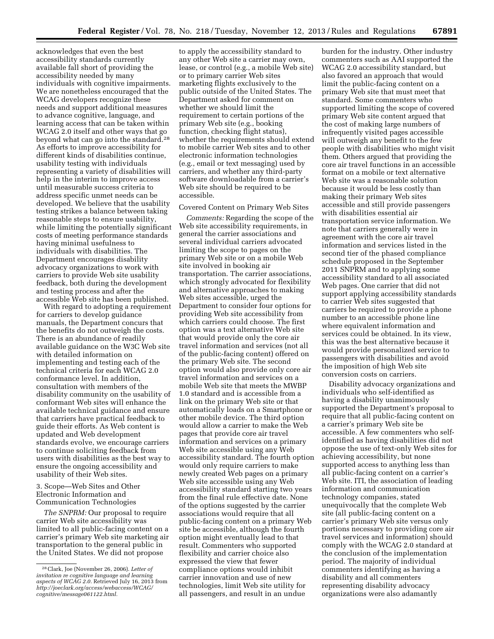acknowledges that even the best accessibility standards currently available fall short of providing the accessibility needed by many individuals with cognitive impairments. We are nonetheless encouraged that the WCAG developers recognize these needs and support additional measures to advance cognitive, language, and learning access that can be taken within WCAG 2.0 itself and other ways that go beyond what can go into the standard.28 As efforts to improve accessibility for different kinds of disabilities continue, usability testing with individuals representing a variety of disabilities will help in the interim to improve access until measurable success criteria to address specific unmet needs can be developed. We believe that the usability testing strikes a balance between taking reasonable steps to ensure usability, while limiting the potentially significant costs of meeting performance standards having minimal usefulness to individuals with disabilities. The Department encourages disability advocacy organizations to work with carriers to provide Web site usability feedback, both during the development and testing process and after the accessible Web site has been published.

With regard to adopting a requirement for carriers to develop guidance manuals, the Department concurs that the benefits do not outweigh the costs. There is an abundance of readily available guidance on the W3C Web site with detailed information on implementing and testing each of the technical criteria for each WCAG 2.0 conformance level. In addition, consultation with members of the disability community on the usability of conformant Web sites will enhance the available technical guidance and ensure that carriers have practical feedback to guide their efforts. As Web content is updated and Web development standards evolve, we encourage carriers to continue soliciting feedback from users with disabilities as the best way to ensure the ongoing accessibility and usability of their Web sites.

3. Scope—Web Sites and Other Electronic Information and Communication Technologies

*The SNPRM:* Our proposal to require carrier Web site accessibility was limited to all public-facing content on a carrier's primary Web site marketing air transportation to the general public in the United States. We did not propose

to apply the accessibility standard to any other Web site a carrier may own, lease, or control (e.g., a mobile Web site) or to primary carrier Web sites marketing flights exclusively to the public outside of the United States. The Department asked for comment on whether we should limit the requirement to certain portions of the primary Web site (e.g., booking function, checking flight status), whether the requirements should extend to mobile carrier Web sites and to other electronic information technologies (e.g., email or text messaging) used by carriers, and whether any third-party software downloadable from a carrier's Web site should be required to be accessible.

Covered Content on Primary Web Sites

*Comments:* Regarding the scope of the Web site accessibility requirements, in general the carrier associations and several individual carriers advocated limiting the scope to pages on the primary Web site or on a mobile Web site involved in booking air transportation. The carrier associations, which strongly advocated for flexibility and alternative approaches to making Web sites accessible, urged the Department to consider four options for providing Web site accessibility from which carriers could choose. The first option was a text alternative Web site that would provide only the core air travel information and services (not all of the public-facing content) offered on the primary Web site. The second option would also provide only core air travel information and services on a mobile Web site that meets the MWBP 1.0 standard and is accessible from a link on the primary Web site or that automatically loads on a Smartphone or other mobile device. The third option would allow a carrier to make the Web pages that provide core air travel information and services on a primary Web site accessible using any Web accessibility standard. The fourth option would only require carriers to make newly created Web pages on a primary Web site accessible using any Web accessibility standard starting two years from the final rule effective date. None of the options suggested by the carrier associations would require that all public-facing content on a primary Web site be accessible, although the fourth option might eventually lead to that result. Commenters who supported flexibility and carrier choice also expressed the view that fewer compliance options would inhibit carrier innovation and use of new technologies, limit Web site utility for all passengers, and result in an undue

burden for the industry. Other industry commenters such as AAI supported the WCAG 2.0 accessibility standard, but also favored an approach that would limit the public-facing content on a primary Web site that must meet that standard. Some commenters who supported limiting the scope of covered primary Web site content argued that the cost of making large numbers of infrequently visited pages accessible will outweigh any benefit to the few people with disabilities who might visit them. Others argued that providing the core air travel functions in an accessible format on a mobile or text alternative Web site was a reasonable solution because it would be less costly than making their primary Web sites accessible and still provide passengers with disabilities essential air transportation service information. We note that carriers generally were in agreement with the core air travel information and services listed in the second tier of the phased compliance schedule proposed in the September 2011 SNPRM and to applying some accessibility standard to all associated Web pages. One carrier that did not support applying accessibility standards to carrier Web sites suggested that carriers be required to provide a phone number to an accessible phone line where equivalent information and services could be obtained. In its view, this was the best alternative because it would provide personalized service to passengers with disabilities and avoid the imposition of high Web site conversion costs on carriers.

Disability advocacy organizations and individuals who self-identified as having a disability unanimously supported the Department's proposal to require that all public-facing content on a carrier's primary Web site be accessible. A few commenters who selfidentified as having disabilities did not oppose the use of text-only Web sites for achieving accessibility, but none supported access to anything less than all public-facing content on a carrier's Web site. ITI, the association of leading information and communication technology companies, stated unequivocally that the complete Web site (all public-facing content on a carrier's primary Web site versus only portions necessary to providing core air travel services and information) should comply with the WCAG 2.0 standard at the conclusion of the implementation period. The majority of individual commenters identifying as having a disability and all commenters representing disability advocacy organizations were also adamantly

<sup>28</sup>Clark, Joe (November 26, 2006). *Letter of invitation re cognitive language and learning aspects of WCAG 2.0.* Retrieved July 16, 2013 from *[http://joeclark.org/access/webaccess/WCAG/](http://joeclark.org/access/webaccess/WCAG/cognitive/message061122.html) [cognitive/message061122.html.](http://joeclark.org/access/webaccess/WCAG/cognitive/message061122.html)*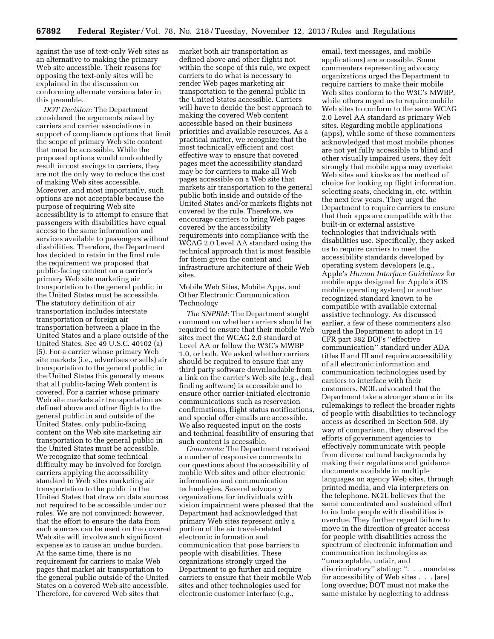against the use of text-only Web sites as an alternative to making the primary Web site accessible. Their reasons for opposing the text-only sites will be explained in the discussion on conforming alternate versions later in this preamble.

*DOT Decision:* The Department considered the arguments raised by carriers and carrier associations in support of compliance options that limit the scope of primary Web site content that must be accessible. While the proposed options would undoubtedly result in cost savings to carriers, they are not the only way to reduce the cost of making Web sites accessible. Moreover, and most importantly, such options are not acceptable because the purpose of requiring Web site accessibility is to attempt to ensure that passengers with disabilities have equal access to the same information and services available to passengers without disabilities. Therefore, the Department has decided to retain in the final rule the requirement we proposed that public-facing content on a carrier's primary Web site marketing air transportation to the general public in the United States must be accessible. The statutory definition of air transportation includes interstate transportation or foreign air transportation between a place in the United States and a place outside of the United States. See 49 U.S.C. 40102 (a) (5). For a carrier whose primary Web site markets (i.e., advertises or sells) air transportation to the general public in the United States this generally means that all public-facing Web content is covered. For a carrier whose primary Web site markets air transportation as defined above and other flights to the general public in and outside of the United States, only public-facing content on the Web site marketing air transportation to the general public in the United States must be accessible. We recognize that some technical difficulty may be involved for foreign carriers applying the accessibility standard to Web sites marketing air transportation to the public in the United States that draw on data sources not required to be accessible under our rules. We are not convinced; however, that the effort to ensure the data from such sources can be used on the covered Web site will involve such significant expense as to cause an undue burden. At the same time, there is no requirement for carriers to make Web pages that market air transportation to the general public outside of the United States on a covered Web site accessible. Therefore, for covered Web sites that

market both air transportation as defined above and other flights not within the scope of this rule, we expect carriers to do what is necessary to render Web pages marketing air transportation to the general public in the United States accessible. Carriers will have to decide the best approach to making the covered Web content accessible based on their business priorities and available resources. As a practical matter, we recognize that the most technically efficient and cost effective way to ensure that covered pages meet the accessibility standard may be for carriers to make all Web pages accessible on a Web site that markets air transportation to the general public both inside and outside of the United States and/or markets flights not covered by the rule. Therefore, we encourage carriers to bring Web pages covered by the accessibility requirements into compliance with the WCAG 2.0 Level AA standard using the technical approach that is most feasible for them given the content and infrastructure architecture of their Web sites.

Mobile Web Sites, Mobile Apps, and Other Electronic Communication Technology

*The SNPRM:* The Department sought comment on whether carriers should be required to ensure that their mobile Web sites meet the WCAG 2.0 standard at Level AA or follow the W3C's MWBP 1.0, or both. We asked whether carriers should be required to ensure that any third party software downloadable from a link on the carrier's Web site (e.g., deal finding software) is accessible and to ensure other carrier-initiated electronic communications such as reservation confirmations, flight status notifications, and special offer emails are accessible. We also requested input on the costs and technical feasibility of ensuring that such content is accessible.

*Comments:* The Department received a number of responsive comments to our questions about the accessibility of mobile Web sites and other electronic information and communication technologies. Several advocacy organizations for individuals with vision impairment were pleased that the Department had acknowledged that primary Web sites represent only a portion of the air travel-related electronic information and communication that pose barriers to people with disabilities. These organizations strongly urged the Department to go further and require carriers to ensure that their mobile Web sites and other technologies used for electronic customer interface (e.g.,

email, text messages, and mobile applications) are accessible. Some commenters representing advocacy organizations urged the Department to require carriers to make their mobile Web sites conform to the W3C's MWBP, while others urged us to require mobile Web sites to conform to the same WCAG 2.0 Level AA standard as primary Web sites. Regarding mobile applications (apps), while some of these commenters acknowledged that most mobile phones are not yet fully accessible to blind and other visually impaired users, they felt strongly that mobile apps may overtake Web sites and kiosks as the method of choice for looking up flight information, selecting seats, checking in, etc. within the next few years. They urged the Department to require carriers to ensure that their apps are compatible with the built-in or external assistive technologies that individuals with disabilities use. Specifically, they asked us to require carriers to meet the accessibility standards developed by operating system developers (e.g., Apple's *Human Interface Guidelines* for mobile apps designed for Apple's iOS mobile operating system) or another recognized standard known to be compatible with available external assistive technology. As discussed earlier, a few of these commenters also urged the Department to adopt in 14 CFR part 382 DOJ's ''effective communication'' standard under ADA titles II and III and require accessibility of all electronic information and communication technologies used by carriers to interface with their customers. NCIL advocated that the Department take a stronger stance in its rulemakings to reflect the broader rights of people with disabilities to technology access as described in Section 508. By way of comparison, they observed the efforts of government agencies to effectively communicate with people from diverse cultural backgrounds by making their regulations and guidance documents available in multiple languages on agency Web sites, through printed media, and via interpreters on the telephone. NCIL believes that the same concentrated and sustained effort to include people with disabilities is overdue. They further regard failure to move in the direction of greater access for people with disabilities across the spectrum of electronic information and communication technologies as ''unacceptable, unfair, and discriminatory'' stating: ''. . . mandates for accessibility of Web sites . . . [are] long overdue; DOT must not make the same mistake by neglecting to address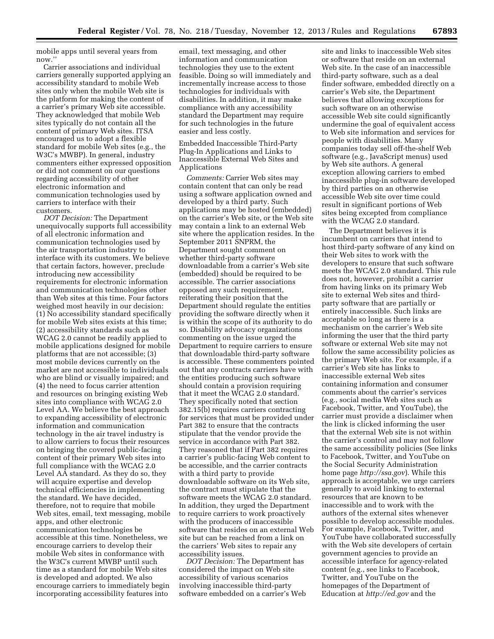mobile apps until several years from now.''

Carrier associations and individual carriers generally supported applying an accessibility standard to mobile Web sites only when the mobile Web site is the platform for making the content of a carrier's primary Web site accessible. They acknowledged that mobile Web sites typically do not contain all the content of primary Web sites. ITSA encouraged us to adopt a flexible standard for mobile Web sites (e.g., the W3C's MWBP). In general, industry commenters either expressed opposition or did not comment on our questions regarding accessibility of other electronic information and communication technologies used by carriers to interface with their customers.

*DOT Decision:* The Department unequivocally supports full accessibility of all electronic information and communication technologies used by the air transportation industry to interface with its customers. We believe that certain factors, however, preclude introducing new accessibility requirements for electronic information and communication technologies other than Web sites at this time. Four factors weighed most heavily in our decision: (1) No accessibility standard specifically for mobile Web sites exists at this time; (2) accessibility standards such as WCAG 2.0 cannot be readily applied to mobile applications designed for mobile platforms that are not accessible; (3) most mobile devices currently on the market are not accessible to individuals who are blind or visually impaired; and (4) the need to focus carrier attention and resources on bringing existing Web sites into compliance with WCAG 2.0 Level AA. We believe the best approach to expanding accessibility of electronic information and communication technology in the air travel industry is to allow carriers to focus their resources on bringing the covered public-facing content of their primary Web sites into full compliance with the WCAG 2.0 Level AA standard. As they do so, they will acquire expertise and develop technical efficiencies in implementing the standard. We have decided, therefore, not to require that mobile Web sites, email, text messaging, mobile apps, and other electronic communication technologies be accessible at this time. Nonetheless, we encourage carriers to develop their mobile Web sites in conformance with the W3C's current MWBP until such time as a standard for mobile Web sites is developed and adopted. We also encourage carriers to immediately begin incorporating accessibility features into

email, text messaging, and other information and communication technologies they use to the extent feasible. Doing so will immediately and incrementally increase access to those technologies for individuals with disabilities. In addition, it may make compliance with any accessibility standard the Department may require for such technologies in the future easier and less costly.

Embedded Inaccessible Third-Party Plug-In Applications and Links to Inaccessible External Web Sites and Applications

*Comments:* Carrier Web sites may contain content that can only be read using a software application owned and developed by a third party. Such applications may be hosted (embedded) on the carrier's Web site, or the Web site may contain a link to an external Web site where the application resides. In the September 2011 SNPRM, the Department sought comment on whether third-party software downloadable from a carrier's Web site (embedded) should be required to be accessible. The carrier associations opposed any such requirement, reiterating their position that the Department should regulate the entities providing the software directly when it is within the scope of its authority to do so. Disability advocacy organizations commenting on the issue urged the Department to require carriers to ensure that downloadable third-party software is accessible. These commenters pointed out that any contracts carriers have with the entities producing such software should contain a provision requiring that it meet the WCAG 2.0 standard. They specifically noted that section 382.15(b) requires carriers contracting for services that must be provided under Part 382 to ensure that the contracts stipulate that the vendor provide the service in accordance with Part 382. They reasoned that if Part 382 requires a carrier's public-facing Web content to be accessible, and the carrier contracts with a third party to provide downloadable software on its Web site, the contract must stipulate that the software meets the WCAG 2.0 standard. In addition, they urged the Department to require carriers to work proactively with the producers of inaccessible software that resides on an external Web site but can be reached from a link on the carriers' Web sites to repair any accessibility issues.

*DOT Decision:* The Department has considered the impact on Web site accessibility of various scenarios involving inaccessible third-party software embedded on a carrier's Web site and links to inaccessible Web sites or software that reside on an external Web site. In the case of an inaccessible third-party software, such as a deal finder software, embedded directly on a carrier's Web site, the Department believes that allowing exceptions for such software on an otherwise accessible Web site could significantly undermine the goal of equivalent access to Web site information and services for people with disabilities. Many companies today sell off-the-shelf Web software (e.g., JavaScript menus) used by Web site authors. A general exception allowing carriers to embed inaccessible plug-in software developed by third parties on an otherwise accessible Web site over time could result in significant portions of Web sites being excepted from compliance with the WCAG 2.0 standard.

The Department believes it is incumbent on carriers that intend to host third-party software of any kind on their Web sites to work with the developers to ensure that such software meets the WCAG 2.0 standard. This rule does not, however, prohibit a carrier from having links on its primary Web site to external Web sites and thirdparty software that are partially or entirely inaccessible. Such links are acceptable so long as there is a mechanism on the carrier's Web site informing the user that the third party software or external Web site may not follow the same accessibility policies as the primary Web site. For example, if a carrier's Web site has links to inaccessible external Web sites containing information and consumer comments about the carrier's services (e.g., social media Web sites such as Facebook, Twitter, and YouTube), the carrier must provide a disclaimer when the link is clicked informing the user that the external Web site is not within the carrier's control and may not follow the same accessibility policies (See links to Facebook, Twitter, and YouTube on the Social Security Administration home page *<http://ssa.gov>*). While this approach is acceptable, we urge carriers generally to avoid linking to external resources that are known to be inaccessible and to work with the authors of the external sites whenever possible to develop accessible modules. For example, Facebook, Twitter, and YouTube have collaborated successfully with the Web site developers of certain government agencies to provide an accessible interface for agency-related content (e.g., see links to Facebook, Twitter, and YouTube on the homepages of the Department of Education at *<http://ed.gov>*and the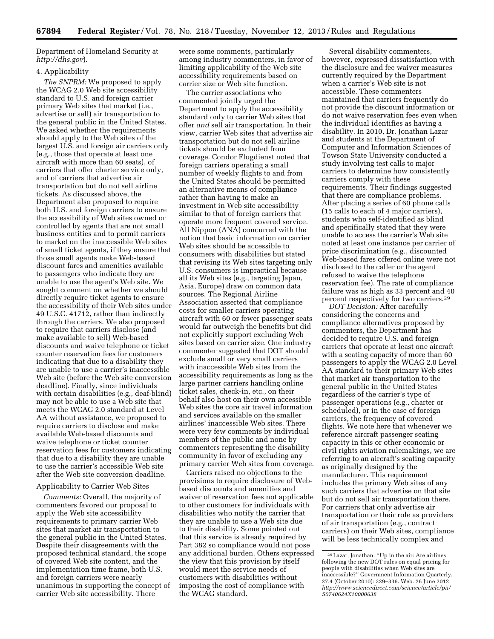Department of Homeland Security at *<http://dhs.gov>*).

# 4. Applicability

*The SNPRM:* We proposed to apply the WCAG 2.0 Web site accessibility standard to U.S. and foreign carrier primary Web sites that market (i.e., advertise or sell) air transportation to the general public in the United States. We asked whether the requirements should apply to the Web sites of the largest U.S. and foreign air carriers only (e.g., those that operate at least one aircraft with more than 60 seats), of carriers that offer charter service only, and of carriers that advertise air transportation but do not sell airline tickets. As discussed above, the Department also proposed to require both U.S. and foreign carriers to ensure the accessibility of Web sites owned or controlled by agents that are not small business entities and to permit carriers to market on the inaccessible Web sites of small ticket agents, if they ensure that those small agents make Web-based discount fares and amenities available to passengers who indicate they are unable to use the agent's Web site. We sought comment on whether we should directly require ticket agents to ensure the accessibility of their Web sites under 49 U.S.C. 41712, rather than indirectly through the carriers. We also proposed to require that carriers disclose (and make available to sell) Web-based discounts and waive telephone or ticket counter reservation fees for customers indicating that due to a disability they are unable to use a carrier's inaccessible Web site (before the Web site conversion deadline). Finally, since individuals with certain disabilities (e.g., deaf-blind) may not be able to use a Web site that meets the WCAG 2.0 standard at Level AA without assistance, we proposed to require carriers to disclose and make available Web-based discounts and waive telephone or ticket counter reservation fees for customers indicating that due to a disability they are unable to use the carrier's accessible Web site after the Web site conversion deadline.

# Applicability to Carrier Web Sites

*Comments:* Overall, the majority of commenters favored our proposal to apply the Web site accessibility requirements to primary carrier Web sites that market air transportation to the general public in the United States. Despite their disagreements with the proposed technical standard, the scope of covered Web site content, and the implementation time frame, both U.S. and foreign carriers were nearly unanimous in supporting the concept of carrier Web site accessibility. There

were some comments, particularly among industry commenters, in favor of limiting applicability of the Web site accessibility requirements based on carrier size or Web site function.

The carrier associations who commented jointly urged the Department to apply the accessibility standard only to carrier Web sites that offer *and* sell air transportation. In their view, carrier Web sites that advertise air transportation but do not sell airline tickets should be excluded from coverage. Condor Flugdienst noted that foreign carriers operating a small number of weekly flights to and from the United States should be permitted an alternative means of compliance rather than having to make an investment in Web site accessibility similar to that of foreign carriers that operate more frequent covered service. All Nippon (ANA) concurred with the notion that basic information on carrier Web sites should be accessible to consumers with disabilities but stated that revising its Web sites targeting only U.S. consumers is impractical because all its Web sites (e.g., targeting Japan, Asia, Europe) draw on common data sources. The Regional Airline Association asserted that compliance costs for smaller carriers operating aircraft with 60 or fewer passenger seats would far outweigh the benefits but did not explicitly support excluding Web sites based on carrier size. One industry commenter suggested that DOT should exclude small or very small carriers with inaccessible Web sites from the accessibility requirements as long as the large partner carriers handling online ticket sales, check-in, etc., on their behalf also host on their own accessible Web sites the core air travel information and services available on the smaller airlines' inaccessible Web sites. There were very few comments by individual members of the public and none by commenters representing the disability community in favor of excluding any primary carrier Web sites from coverage.

Carriers raised no objections to the provisions to require disclosure of Webbased discounts and amenities and waiver of reservation fees not applicable to other customers for individuals with disabilities who notify the carrier that they are unable to use a Web site due to their disability. Some pointed out that this service is already required by Part 382 so compliance would not pose any additional burden. Others expressed the view that this provision by itself would meet the service needs of customers with disabilities without imposing the cost of compliance with the WCAG standard.

Several disability commenters, however, expressed dissatisfaction with the disclosure and fee waiver measures currently required by the Department when a carrier's Web site is not accessible. These commenters maintained that carriers frequently do not provide the discount information or do not waive reservation fees even when the individual identifies as having a disability. In 2010, Dr. Jonathan Lazar and students at the Department of Computer and Information Sciences of Towson State University conducted a study involving test calls to major carriers to determine how consistently carriers comply with these requirements. Their findings suggested that there are compliance problems. After placing a series of 60 phone calls (15 calls to each of 4 major carriers), students who self-identified as blind and specifically stated that they were unable to access the carrier's Web site noted at least one instance per carrier of price discrimination (e.g., discounted Web-based fares offered online were not disclosed to the caller or the agent refused to waive the telephone reservation fee). The rate of compliance failure was as high as 33 percent and 40 percent respectively for two carriers.29

*DOT Decision:* After carefully considering the concerns and compliance alternatives proposed by commenters, the Department has decided to require U.S. and foreign carriers that operate at least one aircraft with a seating capacity of more than 60 passengers to apply the WCAG 2.0 Level AA standard to their primary Web sites that market air transportation to the general public in the United States regardless of the carrier's type of passenger operations (e.g., charter or scheduled), or in the case of foreign carriers, the frequency of covered flights. We note here that whenever we reference aircraft passenger seating capacity in this or other economic or civil rights aviation rulemakings, we are referring to an aircraft's seating capacity as originally designed by the manufacturer. This requirement includes the primary Web sites of any such carriers that advertise on that site but do not sell air transportation there. For carriers that only advertise air transportation or their role as providers of air transportation (e.g., contract carriers) on their Web sites, compliance will be less technically complex and

<sup>29</sup>Lazar, Jonathan. ''Up in the air: Are airlines following the new DOT rules on equal pricing for people with disabilities when Web sites are inaccessible?'' Government Information Quarterly. 27.4 (October 2010): 329–336. Web. 26 June 2012 *[http://www.sciencedirect.com/science/article/pii/](http://www.sciencedirect.com/science/article/pii/S0740624X10000638) [S0740624X10000638](http://www.sciencedirect.com/science/article/pii/S0740624X10000638)*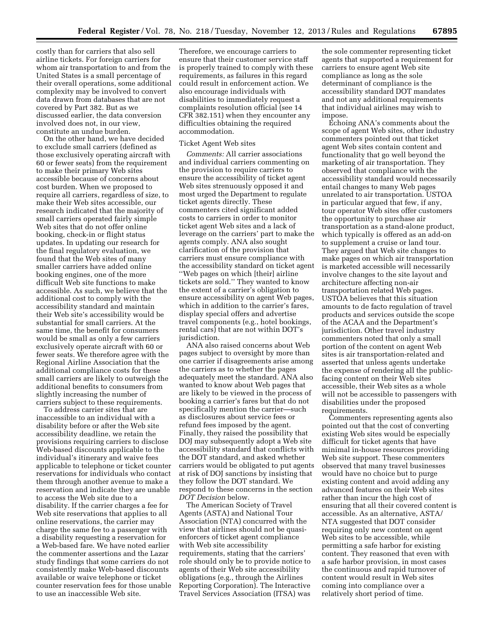costly than for carriers that also sell airline tickets. For foreign carriers for whom air transportation to and from the United States is a small percentage of their overall operations, some additional complexity may be involved to convert data drawn from databases that are not covered by Part 382. But as we discussed earlier, the data conversion involved does not, in our view, constitute an undue burden.

On the other hand, we have decided to exclude small carriers (defined as those exclusively operating aircraft with 60 or fewer seats) from the requirement to make their primary Web sites accessible because of concerns about cost burden. When we proposed to require all carriers, regardless of size, to make their Web sites accessible, our research indicated that the majority of small carriers operated fairly simple Web sites that do not offer online booking, check-in or flight status updates. In updating our research for the final regulatory evaluation, we found that the Web sites of many smaller carriers have added online booking engines, one of the more difficult Web site functions to make accessible. As such, we believe that the additional cost to comply with the accessibility standard and maintain their Web site's accessibility would be substantial for small carriers. At the same time, the benefit for consumers would be small as only a few carriers exclusively operate aircraft with 60 or fewer seats. We therefore agree with the Regional Airline Association that the additional compliance costs for these small carriers are likely to outweigh the additional benefits to consumers from slightly increasing the number of carriers subject to these requirements.

To address carrier sites that are inaccessible to an individual with a disability before or after the Web site accessibility deadline, we retain the provisions requiring carriers to disclose Web-based discounts applicable to the individual's itinerary and waive fees applicable to telephone or ticket counter reservations for individuals who contact them through another avenue to make a reservation and indicate they are unable to access the Web site due to a disability. If the carrier charges a fee for Web site reservations that applies to all online reservations, the carrier may charge the same fee to a passenger with a disability requesting a reservation for a Web-based fare. We have noted earlier the commenter assertions and the Lazar study findings that some carriers do not consistently make Web-based discounts available or waive telephone or ticket counter reservation fees for those unable to use an inaccessible Web site.

Therefore, we encourage carriers to ensure that their customer service staff is properly trained to comply with these requirements, as failures in this regard could result in enforcement action. We also encourage individuals with disabilities to immediately request a complaints resolution official (see 14 CFR 382.151) when they encounter any difficulties obtaining the required accommodation.

#### Ticket Agent Web sites

*Comments:* All carrier associations and individual carriers commenting on the provision to require carriers to ensure the accessibility of ticket agent Web sites strenuously opposed it and most urged the Department to regulate ticket agents directly. These commenters cited significant added costs to carriers in order to monitor ticket agent Web sites and a lack of leverage on the carriers' part to make the agents comply. ANA also sought clarification of the provision that carriers must ensure compliance with the accessibility standard on ticket agent ''Web pages on which [their] airline tickets are sold.'' They wanted to know the extent of a carrier's obligation to ensure accessibility on agent Web pages, which in addition to the carrier's fares, display special offers and advertise travel components (e.g., hotel bookings, rental cars) that are not within DOT's jurisdiction.

ANA also raised concerns about Web pages subject to oversight by more than one carrier if disagreements arise among the carriers as to whether the pages adequately meet the standard. ANA also wanted to know about Web pages that are likely to be viewed in the process of booking a carrier's fares but that do not specifically mention the carrier—such as disclosures about service fees or refund fees imposed by the agent. Finally, they raised the possibility that DOJ may subsequently adopt a Web site accessibility standard that conflicts with the DOT standard, and asked whether carriers would be obligated to put agents at risk of DOJ sanctions by insisting that they follow the DOT standard. We respond to these concerns in the section *DOT Decision* below.

The American Society of Travel Agents (ASTA) and National Tour Association (NTA) concurred with the view that airlines should not be quasienforcers of ticket agent compliance with Web site accessibility requirements, stating that the carriers' role should only be to provide notice to agents of their Web site accessibility obligations (e.g., through the Airlines Reporting Corporation). The Interactive Travel Services Association (ITSA) was

the sole commenter representing ticket agents that supported a requirement for carriers to ensure agent Web site compliance as long as the sole determinant of compliance is the accessibility standard DOT mandates and not any additional requirements that individual airlines may wish to impose.

Echoing ANA's comments about the scope of agent Web sites, other industry commenters pointed out that ticket agent Web sites contain content and functionality that go well beyond the marketing of air transportation. They observed that compliance with the accessibility standard would necessarily entail changes to many Web pages unrelated to air transportation. USTOA in particular argued that few, if any, tour operator Web sites offer customers the opportunity to purchase air transportation as a stand-alone product, which typically is offered as an add-on to supplement a cruise or land tour. They argued that Web site changes to make pages on which air transportation is marketed accessible will necessarily involve changes to the site layout and architecture affecting non-air transportation related Web pages. USTOA believes that this situation amounts to de facto regulation of travel products and services outside the scope of the ACAA and the Department's jurisdiction. Other travel industry commenters noted that only a small portion of the content on agent Web sites is air transportation-related and asserted that unless agents undertake the expense of rendering all the publicfacing content on their Web sites accessible, their Web sites as a whole will not be accessible to passengers with disabilities under the proposed requirements.

Commenters representing agents also pointed out that the cost of converting existing Web sites would be especially difficult for ticket agents that have minimal in-house resources providing Web site support. These commenters observed that many travel businesses would have no choice but to purge existing content and avoid adding any advanced features on their Web sites rather than incur the high cost of ensuring that all their covered content is accessible. As an alternative, ASTA/ NTA suggested that DOT consider requiring only new content on agent Web sites to be accessible, while permitting a safe harbor for existing content. They reasoned that even with a safe harbor provision, in most cases the continuous and rapid turnover of content would result in Web sites coming into compliance over a relatively short period of time.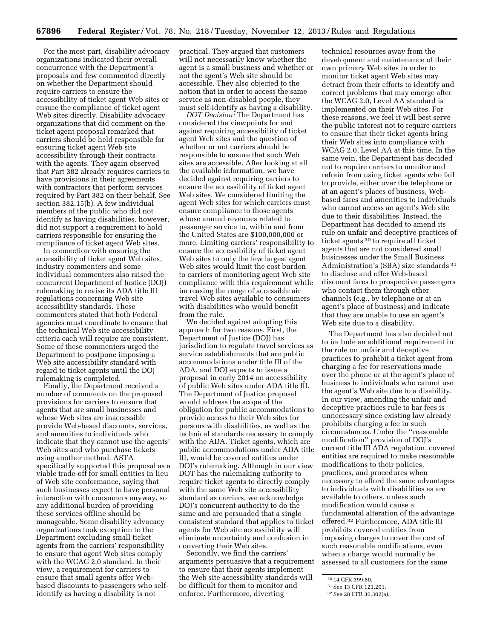For the most part, disability advocacy organizations indicated their overall concurrence with the Department's proposals and few commented directly on whether the Department should require carriers to ensure the accessibility of ticket agent Web sites or ensure the compliance of ticket agent Web sites directly. Disability advocacy organizations that did comment on the ticket agent proposal remarked that carriers should be held responsible for ensuring ticket agent Web site accessibility through their contracts with the agents. They again observed that Part 382 already requires carriers to have provisions in their agreements with contractors that perform services required by Part 382 on their behalf. See section 382.15(b). A few individual members of the public who did not identify as having disabilities, however, did not support a requirement to hold carriers responsible for ensuring the compliance of ticket agent Web sites.

In connection with ensuring the accessibility of ticket agent Web sites, industry commenters and some individual commenters also raised the concurrent Department of Justice (DOJ) rulemaking to revise its ADA title III regulations concerning Web site accessibility standards. These commenters stated that both Federal agencies must coordinate to ensure that the technical Web site accessibility criteria each will require are consistent. Some of these commenters urged the Department to postpone imposing a Web site accessibility standard with regard to ticket agents until the DOJ rulemaking is completed.

Finally, the Department received a number of comments on the proposed provisions for carriers to ensure that agents that are small businesses and whose Web sites are inaccessible provide Web-based discounts, services, and amenities to individuals who indicate that they cannot use the agents' Web sites and who purchase tickets using another method. ASTA specifically supported this proposal as a viable trade-off for small entities in lieu of Web site conformance, saying that such businesses expect to have personal interaction with consumers anyway, so any additional burden of providing these services offline should be manageable. Some disability advocacy organizations took exception to the Department excluding small ticket agents from the carriers' responsibility to ensure that agent Web sites comply with the WCAG 2.0 standard. In their view, a requirement for carriers to ensure that small agents offer Webbased discounts to passengers who selfidentify as having a disability is not

practical. They argued that customers will not necessarily know whether the agent is a small business and whether or not the agent's Web site should be accessible. They also objected to the notion that in order to access the same service as non-disabled people, they must self-identify as having a disability.

*DOT Decision:* The Department has considered the viewpoints for and against requiring accessibility of ticket agent Web sites and the question of whether or not carriers should be responsible to ensure that such Web sites are accessible. After looking at all the available information, we have decided against requiring carriers to ensure the accessibility of ticket agent Web sites. We considered limiting the agent Web sites for which carriers must ensure compliance to those agents whose annual revenues related to passenger service to, within and from the United States are \$100,000,000 or more. Limiting carriers' responsibility to ensure the accessibility of ticket agent Web sites to only the few largest agent Web sites would limit the cost burden to carriers of monitoring agent Web site compliance with this requirement while increasing the range of accessible air travel Web sites available to consumers with disabilities who would benefit from the rule.

We decided against adopting this approach for two reasons. First, the Department of Justice (DOJ) has jurisdiction to regulate travel services as service establishments that are public accommodations under title III of the ADA, and DOJ expects to issue a proposal in early 2014 on accessibility of public Web sites under ADA title III. The Department of Justice proposal would address the scope of the obligation for public accommodations to provide access to their Web sites for persons with disabilities, as well as the technical standards necessary to comply with the ADA. Ticket agents, which are public accommodations under ADA title III, would be covered entities under DOJ's rulemaking. Although in our view DOT has the rulemaking authority to require ticket agents to directly comply with the same Web site accessibility standard as carriers, we acknowledge DOJ's concurrent authority to do the same and are persuaded that a single consistent standard that applies to ticket agents for Web site accessibility will eliminate uncertainty and confusion in converting their Web sites.

Secondly, we find the carriers' arguments persuasive that a requirement to ensure that their agents implement the Web site accessibility standards will be difficult for them to monitor and enforce. Furthermore, diverting

technical resources away from the development and maintenance of their own primary Web sites in order to monitor ticket agent Web sites may detract from their efforts to identify and correct problems that may emerge after the WCAG 2.0, Level AA standard is implemented on their Web sites. For these reasons, we feel it will best serve the public interest not to require carriers to ensure that their ticket agents bring their Web sites into compliance with WCAG 2.0, Level AA at this time. In the same vein, the Department has decided not to require carriers to monitor and refrain from using ticket agents who fail to provide, either over the telephone or at an agent's places of business, Webbased fares and amenities to individuals who cannot access an agent's Web site due to their disabilities. Instead, the Department has decided to amend its rule on unfair and deceptive practices of ticket agents 30 to require all ticket agents that are not considered small businesses under the Small Business Administration's (SBA) size standards 31 to disclose and offer Web-based discount fares to prospective passengers who contact them through other channels (e.g., by telephone or at an agent's place of business) and indicate that they are unable to use an agent's Web site due to a disability.

The Department has also decided not to include an additional requirement in the rule on unfair and deceptive practices to prohibit a ticket agent from charging a fee for reservations made over the phone or at the agent's place of business to individuals who cannot use the agent's Web site due to a disability. In our view, amending the unfair and deceptive practices rule to bar fees is unnecessary since existing law already prohibits charging a fee in such circumstances. Under the ''reasonable modification'' provision of DOJ's current title III ADA regulation, covered entities are required to make reasonable modifications to their policies, practices, and procedures when necessary to afford the same advantages to individuals with disabilities as are available to others, unless such modification would cause a fundamental alteration of the advantage offered.32 Furthermore, ADA title III prohibits covered entities from imposing charges to cover the cost of such reasonable modifications, even when a charge would normally be assessed to all customers for the same

<sup>30</sup> 14 CFR 399.80.

<sup>31</sup>See 13 CFR 121.201.

<sup>32</sup>See 28 CFR 36.302(a).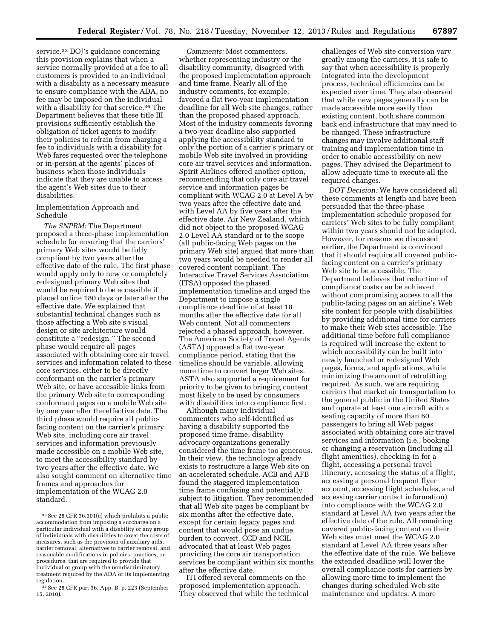service.<sup>33</sup> DOJ's guidance concerning this provision explains that when a service normally provided at a fee to all customers is provided to an individual with a disability as a necessary measure to ensure compliance with the ADA, no fee may be imposed on the individual with a disability for that service.<sup>34</sup> The Department believes that these title III provisions sufficiently establish the obligation of ticket agents to modify their policies to refrain from charging a fee to individuals with a disability for Web fares requested over the telephone or in-person at the agents' places of business when those individuals indicate that they are unable to access the agent's Web sites due to their disabilities.

Implementation Approach and Schedule

*The SNPRM:* The Department proposed a three-phase implementation schedule for ensuring that the carriers' primary Web sites would be fully compliant by two years after the effective date of the rule. The first phase would apply only to new or completely redesigned primary Web sites that would be required to be accessible if placed online 180 days or later after the effective date. We explained that substantial technical changes such as those affecting a Web site's visual design or site architecture would constitute a ''redesign.'' The second phase would require all pages associated with obtaining core air travel services and information related to these core services, either to be directly conformant on the carrier's primary Web site, or have accessible links from the primary Web site to corresponding conformant pages on a mobile Web site by one year after the effective date. The third phase would require all publicfacing content on the carrier's primary Web site, including core air travel services and information previously made accessible on a mobile Web site, to meet the accessibility standard by two years after the effective date. We also sought comment on alternative time frames and approaches for implementation of the WCAG 2.0 standard.

*Comments:* Most commenters, whether representing industry or the disability community, disagreed with the proposed implementation approach and time frame. Nearly all of the industry comments, for example, favored a flat two-year implementation deadline for all Web site changes, rather than the proposed phased approach. Most of the industry comments favoring a two-year deadline also supported applying the accessibility standard to only the portion of a carrier's primary or mobile Web site involved in providing core air travel services and information. Spirit Airlines offered another option, recommending that only core air travel service and information pages be compliant with WCAG 2.0 at Level A by two years after the effective date and with Level AA by five years after the effective date. Air New Zealand, which did not object to the proposed WCAG 2.0 Level AA standard or to the scope (all public-facing Web pages on the primary Web site) argued that more than two years would be needed to render all covered content compliant. The Interactive Travel Services Association (ITSA) opposed the phased implementation timeline and urged the Department to impose a single compliance deadline of at least 18 months after the effective date for all Web content. Not all commenters rejected a phased approach, however. The American Society of Travel Agents (ASTA) opposed a flat two-year compliance period, stating that the timeline should be variable, allowing more time to convert larger Web sites. ASTA also supported a requirement for priority to be given to bringing content most likely to be used by consumers with disabilities into compliance first.

Although many individual commenters who self-identified as having a disability supported the proposed time frame, disability advocacy organizations generally considered the time frame too generous. In their view, the technology already exists to restructure a large Web site on an accelerated schedule. ACB and AFB found the staggered implementation time frame confusing and potentially subject to litigation. They recommended that all Web site pages be compliant by six months after the effective date, except for certain legacy pages and content that would pose an undue burden to convert. CCD and NCIL advocated that at least Web pages providing the core air transportation services be compliant within six months after the effective date.

ITI offered several comments on the proposed implementation approach. They observed that while the technical

challenges of Web site conversion vary greatly among the carriers, it is safe to say that when accessibility is properly integrated into the development process, technical efficiencies can be expected over time. They also observed that while new pages generally can be made accessible more easily than existing content, both share common back end infrastructure that may need to be changed. These infrastructure changes may involve additional staff training and implementation time in order to enable accessibility on new pages. They advised the Department to allow adequate time to execute all the required changes.

*DOT Decision:* We have considered all these comments at length and have been persuaded that the three-phase implementation schedule proposed for carriers' Web sites to be fully compliant within two years should not be adopted. However, for reasons we discussed earlier, the Department is convinced that it should require all covered publicfacing content on a carrier's primary Web site to be accessible. The Department believes that reduction of compliance costs can be achieved without compromising access to all the public-facing pages on an airline's Web site content for people with disabilities by providing additional time for carriers to make their Web sites accessible. The additional time before full compliance is required will increase the extent to which accessibility can be built into newly launched or redesigned Web pages, forms, and applications, while minimizing the amount of retrofitting required. As such, we are requiring carriers that market air transportation to the general public in the United States and operate at least one aircraft with a seating capacity of more than 60 passengers to bring all Web pages associated with obtaining core air travel services and information (i.e., booking or changing a reservation (including all flight amenities), checking-in for a flight, accessing a personal travel itinerary, accessing the status of a flight, accessing a personal frequent flyer account, accessing flight schedules, and accessing carrier contact information) into compliance with the WCAG 2.0 standard at Level AA two years after the effective date of the rule. All remaining covered public-facing content on their Web sites must meet the WCAG 2.0 standard at Level AA three years after the effective date of the rule. We believe the extended deadline will lower the overall compliance costs for carriers by allowing more time to implement the changes during scheduled Web site maintenance and updates. A more

<sup>33</sup>See 28 CFR 36.301(c) which prohibits a public accommodation from imposing a surcharge on a particular individual with a disability or any group of individuals with disabilities to cover the costs of measures, such as the provision of auxiliary aids, barrier removal, alternatives to barrier removal, and reasonable modifications in policies, practices, or procedures, that are required to provide that individual or group with the nondiscriminatory treatment required by the ADA or its implementing regulation.

<sup>34</sup>See 28 CFR part 36, App. B, p. 223 (September 15, 2010).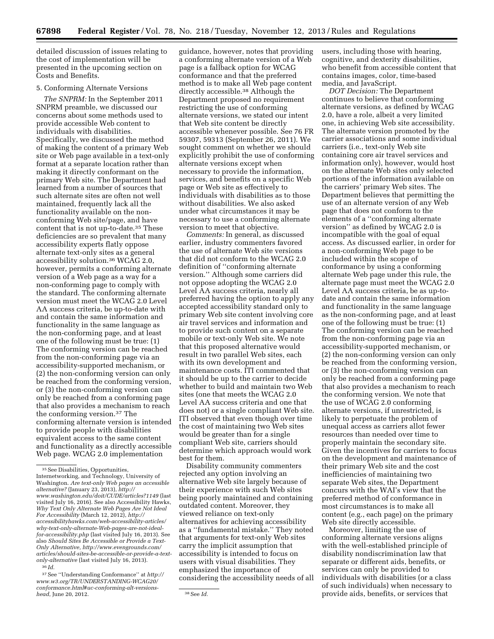detailed discussion of issues relating to the cost of implementation will be presented in the upcoming section on Costs and Benefits.

# 5. Conforming Alternate Versions

*The SNPRM:* In the September 2011 SNPRM preamble, we discussed our concerns about some methods used to provide accessible Web content to individuals with disabilities. Specifically, we discussed the method of making the content of a primary Web site or Web page available in a text-only format at a separate location rather than making it directly conformant on the primary Web site. The Department had learned from a number of sources that such alternate sites are often not well maintained, frequently lack all the functionality available on the nonconforming Web site/page, and have content that is not up-to-date.35 These deficiencies are so prevalent that many accessibility experts flatly oppose alternate text-only sites as a general accessibility solution.36 WCAG 2.0, however, permits a conforming alternate version of a Web page as a way for a non-conforming page to comply with the standard. The conforming alternate version must meet the WCAG 2.0 Level AA success criteria, be up-to-date with and contain the same information and functionality in the same language as the non-conforming page, and at least one of the following must be true: (1) The conforming version can be reached from the non-conforming page via an accessibility-supported mechanism, or (2) the non-conforming version can only be reached from the conforming version, or (3) the non-conforming version can only be reached from a conforming page that also provides a mechanism to reach the conforming version.37 The conforming alternate version is intended to provide people with disabilities equivalent access to the same content and functionality as a directly accessible Web page. WCAG 2.0 implementation

37See ''Understanding Conformance'' at *http:// www.w3.org/TR/UNDERSTANDING-WCAG20/ conformance.html#uc-conforming-alt-versionshead*, June 20, 2012. <sup>38</sup>See *Id.* 

guidance, however, notes that providing a conforming alternate version of a Web page is a fallback option for WCAG conformance and that the preferred method is to make all Web page content directly accessible.38 Although the Department proposed no requirement restricting the use of conforming alternate versions, we stated our intent that Web site content be directly accessible whenever possible. See 76 FR 59307, 59313 (September 26, 2011). We sought comment on whether we should explicitly prohibit the use of conforming alternate versions except when necessary to provide the information, services, and benefits on a specific Web page or Web site as effectively to individuals with disabilities as to those without disabilities. We also asked under what circumstances it may be necessary to use a conforming alternate version to meet that objective.

*Comments:* In general, as discussed earlier, industry commenters favored the use of alternate Web site versions that did not conform to the WCAG 2.0 definition of ''conforming alternate version.'' Although some carriers did not oppose adopting the WCAG 2.0 Level AA success criteria, nearly all preferred having the option to apply any accepted accessibility standard only to primary Web site content involving core air travel services and information and to provide such content on a separate mobile or text-only Web site. We note that this proposed alternative would result in two parallel Web sites, each with its own development and maintenance costs. ITI commented that it should be up to the carrier to decide whether to build and maintain two Web sites (one that meets the WCAG 2.0 Level AA success criteria and one that does not) or a single compliant Web site. ITI observed that even though over time the cost of maintaining two Web sites would be greater than for a single compliant Web site, carriers should determine which approach would work best for them.

Disability community commenters rejected any option involving an alternative Web site largely because of their experience with such Web sites being poorly maintained and containing outdated content. Moreover, they viewed reliance on text-only alternatives for achieving accessibility as a ''fundamental mistake.'' They noted that arguments for text-only Web sites carry the implicit assumption that accessibility is intended to focus on users with visual disabilities. They emphasized the importance of considering the accessibility needs of all users, including those with hearing, cognitive, and dexterity disabilities, who benefit from accessible content that contains images, color, time-based media, and JavaScript.

*DOT Decision:* The Department continues to believe that conforming alternate versions, as defined by WCAG 2.0, have a role, albeit a very limited one, in achieving Web site accessibility. The alternate version promoted by the carrier associations and some individual carriers (i.e., text-only Web site containing core air travel services and information only), however, would host on the alternate Web sites only selected portions of the information available on the carriers' primary Web sites. The Department believes that permitting the use of an alternate version of any Web page that does not conform to the elements of a ''conforming alternate version'' as defined by WCAG 2.0 is incompatible with the goal of equal access. As discussed earlier, in order for a non-conforming Web page to be included within the scope of conformance by using a conforming alternate Web page under this rule, the alternate page must meet the WCAG 2.0 Level AA success criteria, be as up-todate and contain the same information and functionality in the same language as the non-conforming page, and at least one of the following must be true: (1) The conforming version can be reached from the non-conforming page via an accessibility-supported mechanism, or (2) the non-conforming version can only be reached from the conforming version, or (3) the non-conforming version can only be reached from a conforming page that also provides a mechanism to reach the conforming version. We note that the use of WCAG 2.0 conforming alternate versions, if unrestricted, is likely to perpetuate the problem of unequal access as carriers allot fewer resources than needed over time to properly maintain the secondary site. Given the incentives for carriers to focus on the development and maintenance of their primary Web site and the cost inefficiencies of maintaining two separate Web sites, the Department concurs with the WAI's view that the preferred method of conformance in most circumstances is to make all content (e.g., each page) on the primary Web site directly accessible.

Moreover, limiting the use of conforming alternate versions aligns with the well-established principle of disability nondiscrimination law that separate or different aids, benefits, or services can only be provided to individuals with disabilities (or a class of such individuals) when necessary to provide aids, benefits, or services that

<sup>35</sup>See Disabilities, Opportunities, Internetworking, and Technology, University of Washington. *Are text-only Web pages an accessible alternative?* (January 23, 2013), *[http://](http://www.washington.edu/doit/CUDE/articles?1149) [www.washington.edu/doit/CUDE/articles?1149](http://www.washington.edu/doit/CUDE/articles?1149)* (last visited July 16, 2016). See also Accessibility Hawks, *Why Text Only Alternate Web Pages Are Not Ideal For Accessibility* (March 12, 2012), *[http://](http://accessibilityhawks.com/web-accessibility-articles/why-text-only-alternate-Web-pages-are-not-ideal-for-accessibility.php) [accessibilityhawks.com/web-accessibility-articles/](http://accessibilityhawks.com/web-accessibility-articles/why-text-only-alternate-Web-pages-are-not-ideal-for-accessibility.php) [why-text-only-alternate-Web-pages-are-not-ideal](http://accessibilityhawks.com/web-accessibility-articles/why-text-only-alternate-Web-pages-are-not-ideal-for-accessibility.php)[for-accessibility.php](http://accessibilityhawks.com/web-accessibility-articles/why-text-only-alternate-Web-pages-are-not-ideal-for-accessibility.php)* (last visited July 16, 2013). See also *Should Sites Be Accessible or Provide a Text-Only Alternative, [http://www.evengrounds.com/](http://www.evengrounds.com/articles/should-sites-be-accessible-or-provide-a-text-only-alternative) [articles/should-sites-be-accessible-or-provide-a-text](http://www.evengrounds.com/articles/should-sites-be-accessible-or-provide-a-text-only-alternative)[only-alternative](http://www.evengrounds.com/articles/should-sites-be-accessible-or-provide-a-text-only-alternative)* (last visited July 16, 2013). 36 *Id.*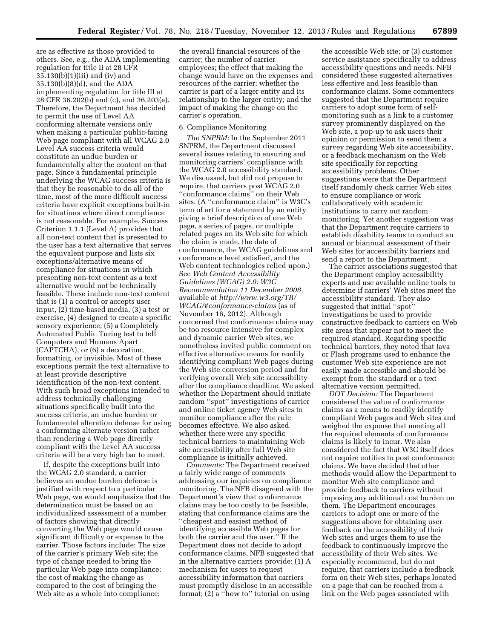are as effective as those provided to others. See, e.g., the ADA implementing regulation for title II at 28 CFR 35.130(b)(1)(iii) and (iv) and 35.130(b)(8)(d), and the ADA implementing regulation for title III at 28 CFR 36.202(b) and (c), and 36.203(a). Therefore, the Department has decided to permit the use of Level AA conforming alternate versions only when making a particular public-facing Web page compliant with all WCAG 2.0 Level AA success criteria would constitute an undue burden or fundamentally alter the content on that page. Since a fundamental principle underlying the WCAG success criteria is that they be reasonable to do all of the time, most of the more difficult success criteria have explicit exceptions built-in for situations where direct compliance is not reasonable. For example, Success Criterion 1.1.1 (Level A) provides that all non-text content that is presented to the user has a text alternative that serves the equivalent purpose and lists six exceptions/alternative means of compliance for situations in which presenting non-text content as a text alternative would not be technically feasible. These include non-text content that is (1) a control or accepts user input, (2) time-based media, (3) a test or exercise, (4) designed to create a specific sensory experience, (5) a Completely Automated Public Turing test to tell Computers and Humans Apart (CAPTCHA), or (6) a decoration, formatting, or invisible. Most of these exceptions permit the text alternative to at least provide descriptive identification of the non-text content. With such broad exceptions intended to address technically challenging situations specifically built into the success criteria, an undue burden or fundamental alteration defense for using a conforming alternate version rather than rendering a Web page directly compliant with the Level AA success criteria will be a very high bar to meet.

If, despite the exceptions built into the WCAG 2.0 standard, a carrier believes an undue burden defense is justified with respect to a particular Web page, we would emphasize that the determination must be based on an individualized assessment of a number of factors showing that directly converting the Web page would cause significant difficulty or expense to the carrier. Those factors include: The size of the carrier's primary Web site; the type of change needed to bring the particular Web page into compliance; the cost of making the change as compared to the cost of bringing the Web site as a whole into compliance;

the overall financial resources of the carrier; the number of carrier employees; the effect that making the change would have on the expenses and resources of the carrier; whether the carrier is part of a larger entity and its relationship to the larger entity; and the impact of making the change on the carrier's operation.

# 6. Compliance Monitoring

*The SNPRM:* In the September 2011 SNPRM, the Department discussed several issues relating to ensuring and monitoring carriers' compliance with the WCAG 2.0 accessibility standard. We discussed, but did not propose to require, that carriers post WCAG 2.0 ''conformance claims'' on their Web sites. (A ''conformance claim'' is W3C's term of art for a statement by an entity giving a brief description of one Web page, a series of pages, or multiple related pages on its Web site for which the claim is made, the date of conformance, the WCAG guidelines and conformance level satisfied, and the Web content technologies relied upon.) See *Web Content Accessibility Guidelines (WCAG) 2.0: W3C Recommendation 11 December 2008,*  available at *[http://www.w3.org/TR/](http://www.w3.org/TR/WCAG/#conformance-claims) [WCAG/#conformance-claims](http://www.w3.org/TR/WCAG/#conformance-claims)* (as of November 16, 2012). Although concerned that conformance claims may be too resource intensive for complex and dynamic carrier Web sites, we nonetheless invited public comment on effective alternative means for readily identifying compliant Web pages during the Web site conversion period and for verifying overall Web site accessibility after the compliance deadline. We asked whether the Department should initiate random ''spot'' investigations of carrier and online ticket agency Web sites to monitor compliance after the rule becomes effective. We also asked whether there were any specific technical barriers to maintaining Web site accessibility after full Web site compliance is initially achieved.

*Comments:* The Department received a fairly wide range of comments addressing our inquiries on compliance monitoring. The NFB disagreed with the Department's view that conformance claims may be too costly to be feasible, stating that conformance claims are the ''cheapest and easiest method of identifying accessible Web pages for both the carrier and the user.'' If the Department does not decide to adopt conformance claims, NFB suggested that in the alternative carriers provide: (1) A mechanism for users to request accessibility information that carriers must promptly disclose in an accessible format; (2) a ''how to'' tutorial on using

the accessible Web site; or (3) customer service assistance specifically to address accessibility questions and needs. NFB considered these suggested alternatives less effective and less feasible than conformance claims. Some commenters suggested that the Department require carriers to adopt some form of selfmonitoring such as a link to a customer survey prominently displayed on the Web site, a pop-up to ask users their opinion or permission to send them a survey regarding Web site accessibility, or a feedback mechanism on the Web site specifically for reporting accessibility problems. Other suggestions were that the Department itself randomly check carrier Web sites to ensure compliance or work collaboratively with academic institutions to carry out random monitoring. Yet another suggestion was that the Department require carriers to establish disability teams to conduct an annual or biannual assessment of their Web sites for accessibility barriers and send a report to the Department.

The carrier associations suggested that the Department employ accessibility experts and use available online tools to determine if carriers' Web sites meet the accessibility standard. They also suggested that initial ''spot'' investigations be used to provide constructive feedback to carriers on Web site areas that appear not to meet the required standard. Regarding specific technical barriers, they noted that Java or Flash programs used to enhance the customer Web site experience are not easily made accessible and should be exempt from the standard or a text alternative version permitted.

*DOT Decision:* The Department considered the value of conformance claims as a means to readily identify compliant Web pages and Web sites and weighed the expense that meeting all the required elements of conformance claims is likely to incur. We also considered the fact that W3C itself does not require entities to post conformance claims. We have decided that other methods would allow the Department to monitor Web site compliance and provide feedback to carriers without imposing any additional cost burden on them. The Department encourages carriers to adopt one or more of the suggestions above for obtaining user feedback on the accessibility of their Web sites and urges them to use the feedback to continuously improve the accessibility of their Web sites. We especially recommend, but do not require, that carriers include a feedback form on their Web sites, perhaps located on a page that can be reached from a link on the Web pages associated with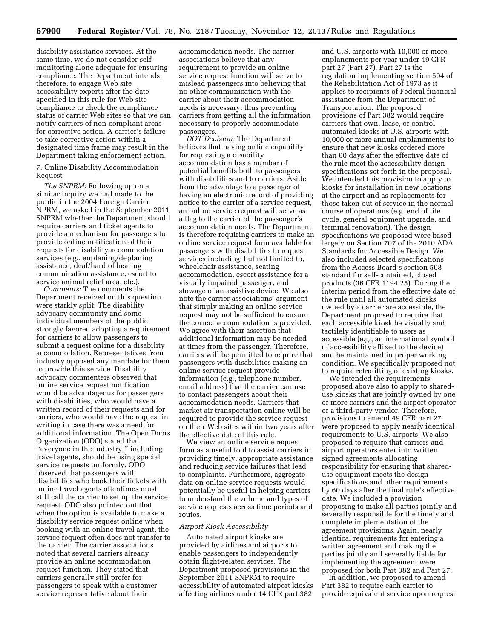disability assistance services. At the same time, we do not consider selfmonitoring alone adequate for ensuring compliance. The Department intends, therefore, to engage Web site accessibility experts after the date specified in this rule for Web site compliance to check the compliance status of carrier Web sites so that we can notify carriers of non-compliant areas for corrective action. A carrier's failure to take corrective action within a designated time frame may result in the Department taking enforcement action.

7. Online Disability Accommodation Request

*The SNPRM:* Following up on a similar inquiry we had made to the public in the 2004 Foreign Carrier NPRM, we asked in the September 2011 SNPRM whether the Department should require carriers and ticket agents to provide a mechanism for passengers to provide online notification of their requests for disability accommodation services (e.g., enplaning/deplaning assistance, deaf/hard of hearing communication assistance, escort to service animal relief area, etc.).

*Comments:* The comments the Department received on this question were starkly split. The disability advocacy community and some individual members of the public strongly favored adopting a requirement for carriers to allow passengers to submit a request online for a disability accommodation. Representatives from industry opposed any mandate for them to provide this service. Disability advocacy commenters observed that online service request notification would be advantageous for passengers with disabilities, who would have a written record of their requests and for carriers, who would have the request in writing in case there was a need for additional information. The Open Doors Organization (ODO) stated that ''everyone in the industry,'' including travel agents, should be using special service requests uniformly. ODO observed that passengers with disabilities who book their tickets with online travel agents oftentimes must still call the carrier to set up the service request. ODO also pointed out that when the option is available to make a disability service request online when booking with an online travel agent, the service request often does not transfer to the carrier. The carrier associations noted that several carriers already provide an online accommodation request function. They stated that carriers generally still prefer for passengers to speak with a customer service representative about their

accommodation needs. The carrier associations believe that any requirement to provide an online service request function will serve to mislead passengers into believing that no other communication with the carrier about their accommodation needs is necessary, thus preventing carriers from getting all the information necessary to properly accommodate passengers.

*DOT Decision:* The Department believes that having online capability for requesting a disability accommodation has a number of potential benefits both to passengers with disabilities and to carriers. Aside from the advantage to a passenger of having an electronic record of providing notice to the carrier of a service request, an online service request will serve as a flag to the carrier of the passenger's accommodation needs. The Department is therefore requiring carriers to make an online service request form available for passengers with disabilities to request services including, but not limited to, wheelchair assistance, seating accommodation, escort assistance for a visually impaired passenger, and stowage of an assistive device. We also note the carrier associations' argument that simply making an online service request may not be sufficient to ensure the correct accommodation is provided. We agree with their assertion that additional information may be needed at times from the passenger. Therefore, carriers will be permitted to require that passengers with disabilities making an online service request provide information (e.g., telephone number, email address) that the carrier can use to contact passengers about their accommodation needs. Carriers that market air transportation online will be required to provide the service request on their Web sites within two years after the effective date of this rule.

We view an online service request form as a useful tool to assist carriers in providing timely, appropriate assistance and reducing service failures that lead to complaints. Furthermore, aggregate data on online service requests would potentially be useful in helping carriers to understand the volume and types of service requests across time periods and routes.

### *Airport Kiosk Accessibility*

Automated airport kiosks are provided by airlines and airports to enable passengers to independently obtain flight-related services. The Department proposed provisions in the September 2011 SNPRM to require accessibility of automated airport kiosks affecting airlines under 14 CFR part 382

and U.S. airports with 10,000 or more enplanements per year under 49 CFR part 27 (Part 27). Part 27 is the regulation implementing section 504 of the Rehabilitation Act of 1973 as it applies to recipients of Federal financial assistance from the Department of Transportation. The proposed provisions of Part 382 would require carriers that own, lease, or control automated kiosks at U.S. airports with 10,000 or more annual enplanements to ensure that new kiosks ordered more than 60 days after the effective date of the rule meet the accessibility design specifications set forth in the proposal. We intended this provision to apply to kiosks for installation in new locations at the airport and as replacements for those taken out of service in the normal course of operations (e.g. end of life cycle, general equipment upgrade, and terminal renovation). The design specifications we proposed were based largely on Section 707 of the 2010 ADA Standards for Accessible Design. We also included selected specifications from the Access Board's section 508 standard for self-contained, closed products (36 CFR 1194.25). During the interim period from the effective date of the rule until all automated kiosks owned by a carrier are accessible, the Department proposed to require that each accessible kiosk be visually and tactilely identifiable to users as accessible (e.g., an international symbol of accessibility affixed to the device) and be maintained in proper working condition. We specifically proposed not to require retrofitting of existing kiosks.

We intended the requirements proposed above also to apply to shareduse kiosks that are jointly owned by one or more carriers and the airport operator or a third-party vendor. Therefore, provisions to amend 49 CFR part 27 were proposed to apply nearly identical requirements to U.S. airports. We also proposed to require that carriers and airport operators enter into written, signed agreements allocating responsibility for ensuring that shareduse equipment meets the design specifications and other requirements by 60 days after the final rule's effective date. We included a provision proposing to make all parties jointly and severally responsible for the timely and complete implementation of the agreement provisions. Again, nearly identical requirements for entering a written agreement and making the parties jointly and severally liable for implementing the agreement were proposed for both Part 382 and Part 27.

In addition, we proposed to amend Part 382 to require each carrier to provide equivalent service upon request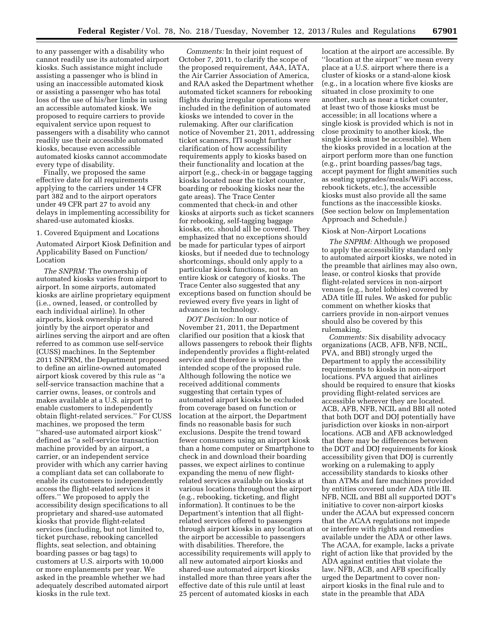to any passenger with a disability who cannot readily use its automated airport kiosks. Such assistance might include assisting a passenger who is blind in using an inaccessible automated kiosk or assisting a passenger who has total loss of the use of his/her limbs in using an accessible automated kiosk. We proposed to require carriers to provide equivalent service upon request to passengers with a disability who cannot readily use their accessible automated kiosks, because even accessible automated kiosks cannot accommodate every type of disability.

Finally, we proposed the same effective date for all requirements applying to the carriers under 14 CFR part 382 and to the airport operators under 49 CFR part 27 to avoid any delays in implementing accessibility for shared-use automated kiosks.

#### 1. Covered Equipment and Locations

Automated Airport Kiosk Definition and Applicability Based on Function/ Location

*The SNPRM:* The ownership of automated kiosks varies from airport to airport. In some airports, automated kiosks are airline proprietary equipment (i.e., owned, leased, or controlled by each individual airline). In other airports, kiosk ownership is shared jointly by the airport operator and airlines serving the airport and are often referred to as common use self-service (CUSS) machines. In the September 2011 SNPRM, the Department proposed to define an airline-owned automated airport kiosk covered by this rule as ''a self-service transaction machine that a carrier owns, leases, or controls and makes available at a U.S. airport to enable customers to independently obtain flight-related services.'' For CUSS machines, we proposed the term ''shared-use automated airport kiosk'' defined as ''a self-service transaction machine provided by an airport, a carrier, or an independent service provider with which any carrier having a compliant data set can collaborate to enable its customers to independently access the flight-related services it offers.'' We proposed to apply the accessibility design specifications to all proprietary and shared-use automated kiosks that provide flight-related services (including, but not limited to, ticket purchase, rebooking cancelled flights, seat selection, and obtaining boarding passes or bag tags) to customers at U.S. airports with 10,000 or more enplanements per year. We asked in the preamble whether we had adequately described automated airport kiosks in the rule text.

*Comments:* In their joint request of October 7, 2011, to clarify the scope of the proposed requirement, A4A, IATA, the Air Carrier Association of America, and RAA asked the Department whether automated ticket scanners for rebooking flights during irregular operations were included in the definition of automated kiosks we intended to cover in the rulemaking. After our clarification notice of November 21, 2011, addressing ticket scanners, ITI sought further clarification of how accessibility requirements apply to kiosks based on their functionality and location at the airport (e.g., check-in or baggage tagging kiosks located near the ticket counter, boarding or rebooking kiosks near the gate areas). The Trace Center commented that check-in and other kiosks at airports such as ticket scanners for rebooking, self-tagging baggage kiosks, etc. should all be covered. They emphasized that no exceptions should be made for particular types of airport kiosks, but if needed due to technology shortcomings, should only apply to a particular kiosk functions, not to an entire kiosk or category of kiosks. The Trace Center also suggested that any exceptions based on function should be reviewed every five years in light of advances in technology.

*DOT Decision:* In our notice of November 21, 2011, the Department clarified our position that a kiosk that allows passengers to rebook their flights independently provides a flight-related service and therefore is within the intended scope of the proposed rule. Although following the notice we received additional comments suggesting that certain types of automated airport kiosks be excluded from coverage based on function or location at the airport, the Department finds no reasonable basis for such exclusions. Despite the trend toward fewer consumers using an airport kiosk than a home computer or Smartphone to check in and download their boarding passes, we expect airlines to continue expanding the menu of new flightrelated services available on kiosks at various locations throughout the airport (e.g., rebooking, ticketing, and flight information). It continues to be the Department's intention that all flightrelated services offered to passengers through airport kiosks in any location at the airport be accessible to passengers with disabilities. Therefore, the accessibility requirements will apply to all new automated airport kiosks and shared-use automated airport kiosks installed more than three years after the effective date of this rule until at least 25 percent of automated kiosks in each

location at the airport are accessible. By ''location at the airport'' we mean every place at a U.S. airport where there is a cluster of kiosks or a stand-alone kiosk (e.g., in a location where five kiosks are situated in close proximity to one another, such as near a ticket counter, at least two of those kiosks must be accessible; in all locations where a single kiosk is provided which is not in close proximity to another kiosk, the single kiosk must be accessible). When the kiosks provided in a location at the airport perform more than one function (e.g., print boarding passes/bag tags, accept payment for flight amenities such as seating upgrades/meals/WiFi access, rebook tickets, etc.), the accessible kiosks must also provide all the same functions as the inaccessible kiosks. (See section below on Implementation Approach and Schedule.)

#### Kiosk at Non-Airport Locations

*The SNPRM:* Although we proposed to apply the accessibility standard only to automated airport kiosks, we noted in the preamble that airlines may also own, lease, or control kiosks that provide flight-related services in non-airport venues (e.g., hotel lobbies) covered by ADA title III rules. We asked for public comment on whether kiosks that carriers provide in non-airport venues should also be covered by this rulemaking.

*Comments:* Six disability advocacy organizations (ACB, AFB, NFB, NCIL, PVA, and BBI) strongly urged the Department to apply the accessibility requirements to kiosks in non-airport locations. PVA argued that airlines should be required to ensure that kiosks providing flight-related services are accessible wherever they are located. ACB, AFB, NFB, NCIL and BBI all noted that both DOT and DOJ potentially have jurisdiction over kiosks in non-airport locations. ACB and AFB acknowledged that there may be differences between the DOT and DOJ requirements for kiosk accessibility given that DOJ is currently working on a rulemaking to apply accessibility standards to kiosks other than ATMs and fare machines provided by entities covered under ADA title III. NFB, NCIL and BBI all supported DOT's initiative to cover non-airport kiosks under the ACAA but expressed concern that the ACAA regulations not impede or interfere with rights and remedies available under the ADA or other laws. The ACAA, for example, lacks a private right of action like that provided by the ADA against entities that violate the law. NFB, ACB, and AFB specifically urged the Department to cover nonairport kiosks in the final rule and to state in the preamble that ADA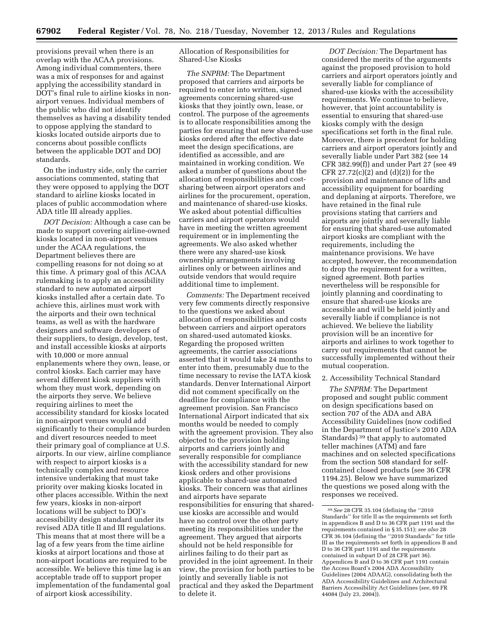provisions prevail when there is an overlap with the ACAA provisions. Among individual commenters, there was a mix of responses for and against applying the accessibility standard in DOT's final rule to airline kiosks in nonairport venues. Individual members of the public who did not identify themselves as having a disability tended to oppose applying the standard to kiosks located outside airports due to concerns about possible conflicts between the applicable DOT and DOJ standards.

On the industry side, only the carrier associations commented, stating that they were opposed to applying the DOT standard to airline kiosks located in places of public accommodation where ADA title III already applies.

*DOT Decision:* Although a case can be made to support covering airline-owned kiosks located in non-airport venues under the ACAA regulations, the Department believes there are compelling reasons for not doing so at this time. A primary goal of this ACAA rulemaking is to apply an accessibility standard to new automated airport kiosks installed after a certain date. To achieve this, airlines must work with the airports and their own technical teams, as well as with the hardware designers and software developers of their suppliers, to design, develop, test, and install accessible kiosks at airports with 10,000 or more annual enplanements where they own, lease, or control kiosks. Each carrier may have several different kiosk suppliers with whom they must work, depending on the airports they serve. We believe requiring airlines to meet the accessibility standard for kiosks located in non-airport venues would add significantly to their compliance burden and divert resources needed to meet their primary goal of compliance at U.S. airports. In our view, airline compliance with respect to airport kiosks is a technically complex and resource intensive undertaking that must take priority over making kiosks located in other places accessible. Within the next few years, kiosks in non-airport locations will be subject to DOJ's accessibility design standard under its revised ADA title II and III regulations. This means that at most there will be a lag of a few years from the time airline kiosks at airport locations and those at non-airport locations are required to be accessible. We believe this time lag is an acceptable trade off to support proper implementation of the fundamental goal of airport kiosk accessibility.

Allocation of Responsibilities for Shared-Use Kiosks

*The SNPRM:* The Department proposed that carriers and airports be required to enter into written, signed agreements concerning shared-use kiosks that they jointly own, lease, or control. The purpose of the agreements is to allocate responsibilities among the parties for ensuring that new shared-use kiosks ordered after the effective date meet the design specifications, are identified as accessible, and are maintained in working condition. We asked a number of questions about the allocation of responsibilities and costsharing between airport operators and airlines for the procurement, operation, and maintenance of shared-use kiosks. We asked about potential difficulties carriers and airport operators would have in meeting the written agreement requirement or in implementing the agreements. We also asked whether there were any shared-use kiosk ownership arrangements involving airlines only or between airlines and outside vendors that would require additional time to implement.

*Comments:* The Department received very few comments directly responsive to the questions we asked about allocation of responsibilities and costs between carriers and airport operators on shared-used automated kiosks. Regarding the proposed written agreements, the carrier associations asserted that it would take 24 months to enter into them, presumably due to the time necessary to revise the IATA kiosk standards. Denver International Airport did not comment specifically on the deadline for compliance with the agreement provision. San Francisco International Airport indicated that six months would be needed to comply with the agreement provision. They also objected to the provision holding airports and carriers jointly and severally responsible for compliance with the accessibility standard for new kiosk orders and other provisions applicable to shared-use automated kiosks. Their concern was that airlines and airports have separate responsibilities for ensuring that shareduse kiosks are accessible and would have no control over the other party meeting its responsibilities under the agreement. They argued that airports should not be held responsible for airlines failing to do their part as provided in the joint agreement. In their view, the provision for both parties to be jointly and severally liable is not practical and they asked the Department to delete it.

*DOT Decision:* The Department has considered the merits of the arguments against the proposed provision to hold carriers and airport operators jointly and severally liable for compliance of shared-use kiosks with the accessibility requirements. We continue to believe, however, that joint accountability is essential to ensuring that shared-use kiosks comply with the design specifications set forth in the final rule. Moreover, there is precedent for holding carriers and airport operators jointly and severally liable under Part 382 (see 14 CFR 382.99(f)) and under Part 27 (see 49 CFR 27.72 $(c)(2)$  and  $(d)(2)$  for the provision and maintenance of lifts and accessibility equipment for boarding and deplaning at airports. Therefore, we have retained in the final rule provisions stating that carriers and airports are jointly and severally liable for ensuring that shared-use automated airport kiosks are compliant with the requirements, including the maintenance provisions. We have accepted, however, the recommendation to drop the requirement for a written, signed agreement. Both parties nevertheless will be responsible for jointly planning and coordinating to ensure that shared-use kiosks are accessible and will be held jointly and severally liable if compliance is not achieved. We believe the liability provision will be an incentive for airports and airlines to work together to carry out requirements that cannot be successfully implemented without their mutual cooperation.

#### 2. Accessibility Technical Standard

*The SNPRM:* The Department proposed and sought public comment on design specifications based on section 707 of the ADA and ABA Accessibility Guidelines (now codified in the Department of Justice's 2010 ADA Standards) 39 that apply to automated teller machines (ATM) and fare machines and on selected specifications from the section 508 standard for selfcontained closed products (see 36 CFR 1194.25). Below we have summarized the questions we posed along with the responses we received.

<sup>39</sup>*See* 28 CFR 35.104 (defining the ''2010 Standards'' for title II as the requirements set forth in appendices B and D to 36 CFR part 1191 and the requirements contained in § 35.151); *see also* 28 CFR 36.104 (defining the ''2010 Standards'' for title III as the requirements set forth in appendices B and D to 36 CFR part 1191 and the requirements contained in subpart D of 28 CFR part 36). Appendices B and D to 36 CFR part 1191 contain the Access Board's 2004 ADA Accessibility Guidelines (2004 ADAAG), consolidating both the ADA Accessibility Guidelines and Architectural Barriers Accessibility Act Guidelines (*see,* 69 FR 44084 (July 23, 2004)).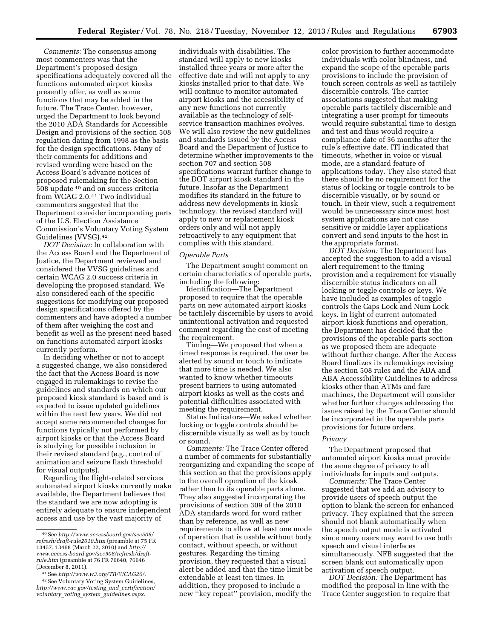*Comments:* The consensus among most commenters was that the Department's proposed design specifications adequately covered all the functions automated airport kiosks presently offer, as well as some functions that may be added in the future. The Trace Center, however, urged the Department to look beyond the 2010 ADA Standards for Accessible Design and provisions of the section 508 regulation dating from 1998 as the basis for the design specifications. Many of their comments for additions and revised wording were based on the Access Board's advance notices of proposed rulemaking for the Section 508 update 40 and on success criteria from WCAG 2.0.41 Two individual commenters suggested that the Department consider incorporating parts of the U.S. Election Assistance Commission's Voluntary Voting System Guidelines (VVSG).42

*DOT Decision:* In collaboration with the Access Board and the Department of Justice, the Department reviewed and considered the VVSG guidelines and certain WCAG 2.0 success criteria in developing the proposed standard. We also considered each of the specific suggestions for modifying our proposed design specifications offered by the commenters and have adopted a number of them after weighing the cost and benefit as well as the present need based on functions automated airport kiosks currently perform.

In deciding whether or not to accept a suggested change, we also considered the fact that the Access Board is now engaged in rulemakings to revise the guidelines and standards on which our proposed kiosk standard is based and is expected to issue updated guidelines within the next few years. We did not accept some recommended changes for functions typically not performed by airport kiosks or that the Access Board is studying for possible inclusion in their revised standard (e.g., control of animation and seizure flash threshold for visual outputs).

Regarding the flight-related services automated airport kiosks currently make available, the Department believes that the standard we are now adopting is entirely adequate to ensure independent access and use by the vast majority of

41See *<http://www.w3.org/TR/WCAG20/>*.

individuals with disabilities. The standard will apply to new kiosks installed three years or more after the effective date and will not apply to any kiosks installed prior to that date. We will continue to monitor automated airport kiosks and the accessibility of any new functions not currently available as the technology of selfservice transaction machines evolves. We will also review the new guidelines and standards issued by the Access Board and the Department of Justice to determine whether improvements to the section 707 and section 508 specifications warrant further change to the DOT airport kiosk standard in the future. Insofar as the Department modifies its standard in the future to address new developments in kiosk technology, the revised standard will apply to new or replacement kiosk orders only and will not apply retroactively to any equipment that complies with this standard.

#### *Operable Parts*

The Department sought comment on certain characteristics of operable parts, including the following:

Identification—The Department proposed to require that the operable parts on new automated airport kiosks be tactilely discernible by users to avoid unintentional activation and requested comment regarding the cost of meeting the requirement.

Timing—We proposed that when a timed response is required, the user be alerted by sound or touch to indicate that more time is needed. We also wanted to know whether timeouts present barriers to using automated airport kiosks as well as the costs and potential difficulties associated with meeting the requirement.

Status Indicators—We asked whether locking or toggle controls should be discernible visually as well as by touch or sound.

*Comments:* The Trace Center offered a number of comments for substantially reorganizing and expanding the scope of this section so that the provisions apply to the overall operation of the kiosk rather than to its operable parts alone. They also suggested incorporating the provisions of section 309 of the 2010 ADA standards word for word rather than by reference, as well as new requirements to allow at least one mode of operation that is usable without body contact, without speech, or without gestures. Regarding the timing provision, they requested that a visual alert be added and that the time limit be extendable at least ten times. In addition, they proposed to include a new ''key repeat'' provision, modify the

color provision to further accommodate individuals with color blindness, and expand the scope of the operable parts provisions to include the provision of touch screen controls as well as tactilely discernible controls. The carrier associations suggested that making operable parts tactilely discernible and integrating a user prompt for timeouts would require substantial time to design and test and thus would require a compliance date of 36 months after the rule's effective date. ITI indicated that timeouts, whether in voice or visual mode, are a standard feature of applications today. They also stated that there should be no requirement for the status of locking or toggle controls to be discernible visually, or by sound or touch. In their view, such a requirement would be unnecessary since most host system applications are not case sensitive or middle layer applications convert and send inputs to the host in the appropriate format.

*DOT Decision:* The Department has accepted the suggestion to add a visual alert requirement to the timing provision and a requirement for visually discernible status indicators on all locking or toggle controls or keys. We have included as examples of toggle controls the Caps Lock and Num Lock keys. In light of current automated airport kiosk functions and operation, the Department has decided that the provisions of the operable parts section as we proposed them are adequate without further change. After the Access Board finalizes its rulemakings revising the section 508 rules and the ADA and ABA Accessibility Guidelines to address kiosks other than ATMs and fare machines, the Department will consider whether further changes addressing the issues raised by the Trace Center should be incorporated in the operable parts provisions for future orders.

# *Privacy*

The Department proposed that automated airport kiosks must provide the same degree of privacy to all individuals for inputs and outputs.

*Comments:* The Trace Center suggested that we add an advisory to provide users of speech output the option to blank the screen for enhanced privacy. They explained that the screen should not blank automatically when the speech output mode is activated since many users may want to use both speech and visual interfaces simultaneously. NFB suggested that the screen blank out automatically upon activation of speech output.

*DOT Decision:* The Department has modified the proposal in line with the Trace Center suggestion to require that

<sup>40</sup>See *[http://www.accessboard.gov/sec508/](http://www.accessboard.gov/sec508/refresh/draft-rule2010.htm) [refresh/draft-rule2010.htm](http://www.accessboard.gov/sec508/refresh/draft-rule2010.htm)* (preamble at 75 FR 13457, 13468 (March 22, 2010) and *[http://](http://www.access-board.gov/sec508/refresh/draft-rule.htm) [www.access-board.gov/sec508/refresh/draft](http://www.access-board.gov/sec508/refresh/draft-rule.htm)[rule.htm](http://www.access-board.gov/sec508/refresh/draft-rule.htm)* (preamble at 76 FR 76640, 76646 (December 8, 2011).

<sup>42</sup>See Voluntary Voting System Guidelines, *[http://www.eac.gov/testing](http://www.eac.gov/testing_and_certification/voluntary_voting_system_guidelines.aspx)*\_*and*\_*certification/ voluntary*\_*voting*\_*system*\_*[guidelines.aspx.](http://www.eac.gov/testing_and_certification/voluntary_voting_system_guidelines.aspx)*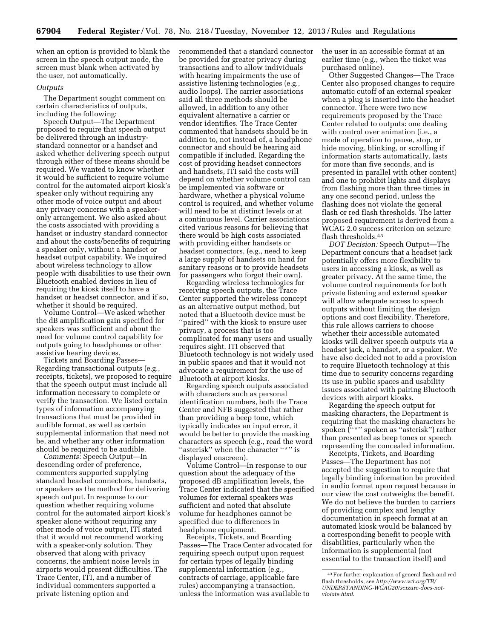when an option is provided to blank the screen in the speech output mode, the screen must blank when activated by the user, not automatically.

#### *Outputs*

The Department sought comment on certain characteristics of outputs, including the following:

Speech Output—The Department proposed to require that speech output be delivered through an industrystandard connector or a handset and asked whether delivering speech output through either of these means should be required. We wanted to know whether it would be sufficient to require volume control for the automated airport kiosk's speaker only without requiring any other mode of voice output and about any privacy concerns with a speakeronly arrangement. We also asked about the costs associated with providing a handset or industry standard connector and about the costs/benefits of requiring a speaker only, without a handset or headset output capability. We inquired about wireless technology to allow people with disabilities to use their own Bluetooth enabled devices in lieu of requiring the kiosk itself to have a handset or headset connector, and if so, whether it should be required.

Volume Control—We asked whether the dB amplification gain specified for speakers was sufficient and about the need for volume control capability for outputs going to headphones or other assistive hearing devices.

Tickets and Boarding Passes— Regarding transactional outputs (e.g., receipts, tickets), we proposed to require that the speech output must include all information necessary to complete or verify the transaction. We listed certain types of information accompanying transactions that must be provided in audible format, as well as certain supplemental information that need not be, and whether any other information should be required to be audible.

*Comments:* Speech Output—In descending order of preference, commenters supported supplying standard headset connectors, handsets, or speakers as the method for delivering speech output. In response to our question whether requiring volume control for the automated airport kiosk's speaker alone without requiring any other mode of voice output, ITI stated that it would not recommend working with a speaker-only solution. They observed that along with privacy concerns, the ambient noise levels in airports would present difficulties. The Trace Center, ITI, and a number of individual commenters supported a private listening option and

recommended that a standard connector be provided for greater privacy during transactions and to allow individuals with hearing impairments the use of assistive listening technologies (e.g., audio loops). The carrier associations said all three methods should be allowed, in addition to any other equivalent alternative a carrier or vendor identifies. The Trace Center commented that handsets should be in addition to, not instead of, a headphone connector and should be hearing aid compatible if included. Regarding the cost of providing headset connectors and handsets, ITI said the costs will depend on whether volume control can be implemented via software or hardware, whether a physical volume control is required, and whether volume will need to be at distinct levels or at a continuous level. Carrier associations cited various reasons for believing that there would be high costs associated with providing either handsets or headset connectors, (e.g., need to keep a large supply of handsets on hand for sanitary reasons or to provide headsets for passengers who forgot their own).

Regarding wireless technologies for receiving speech outputs, the Trace Center supported the wireless concept as an alternative output method, but noted that a Bluetooth device must be ''paired'' with the kiosk to ensure user privacy, a process that is too complicated for many users and usually requires sight. ITI observed that Bluetooth technology is not widely used in public spaces and that it would not advocate a requirement for the use of Bluetooth at airport kiosks.

Regarding speech outputs associated with characters such as personal identification numbers, both the Trace Center and NFB suggested that rather than providing a beep tone, which typically indicates an input error, it would be better to provide the masking characters as speech (e.g., read the word "asterisk" when the character "\*" is displayed onscreen).

Volume Control—In response to our question about the adequacy of the proposed dB amplification levels, the Trace Center indicated that the specified volumes for external speakers was sufficient and noted that absolute volume for headphones cannot be specified due to differences in headphone equipment.

Receipts, Tickets, and Boarding Passes—The Trace Center advocated for requiring speech output upon request for certain types of legally binding supplemental information (e.g., contracts of carriage, applicable fare rules) accompanying a transaction, unless the information was available to

the user in an accessible format at an earlier time (e.g., when the ticket was purchased online).

Other Suggested Changes—The Trace Center also proposed changes to require automatic cutoff of an external speaker when a plug is inserted into the headset connector. There were two new requirements proposed by the Trace Center related to outputs: one dealing with control over animation (i.e., a mode of operation to pause, stop, or hide moving, blinking, or scrolling if information starts automatically, lasts for more than five seconds, and is presented in parallel with other content) and one to prohibit lights and displays from flashing more than three times in any one second period, unless the flashing does not violate the general flash or red flash thresholds. The latter proposed requirement is derived from a WCAG 2.0 success criterion on seizure flash thresholds.43

*DOT Decision:* Speech Output—The Department concurs that a headset jack potentially offers more flexibility to users in accessing a kiosk, as well as greater privacy. At the same time, the volume control requirements for both private listening and external speaker will allow adequate access to speech outputs without limiting the design options and cost flexibility. Therefore, this rule allows carriers to choose whether their accessible automated kiosks will deliver speech outputs via a headset jack, a handset, or a speaker. We have also decided not to add a provision to require Bluetooth technology at this time due to security concerns regarding its use in public spaces and usability issues associated with pairing Bluetooth devices with airport kiosks.

Regarding the speech output for masking characters, the Department is requiring that the masking characters be spoken ("\*" spoken as "asterisk") rather than presented as beep tones or speech representing the concealed information.

Receipts, Tickets, and Boarding Passes—The Department has not accepted the suggestion to require that legally binding information be provided in audio format upon request because in our view the cost outweighs the benefit. We do not believe the burden to carriers of providing complex and lengthy documentation in speech format at an automated kiosk would be balanced by a corresponding benefit to people with disabilities, particularly when the information is supplemental (not essential to the transaction itself) and

<sup>43</sup>For further explanation of general flash and red flash thresholds, see *[http://www.w3.org/TR/](http://www.w3.org/TR/UNDERSTANDING-WCAG20/seizure-does-not-violate.html) [UNDERSTANDING-WCAG20/seizure-does-not](http://www.w3.org/TR/UNDERSTANDING-WCAG20/seizure-does-not-violate.html)[violate.html](http://www.w3.org/TR/UNDERSTANDING-WCAG20/seizure-does-not-violate.html)*.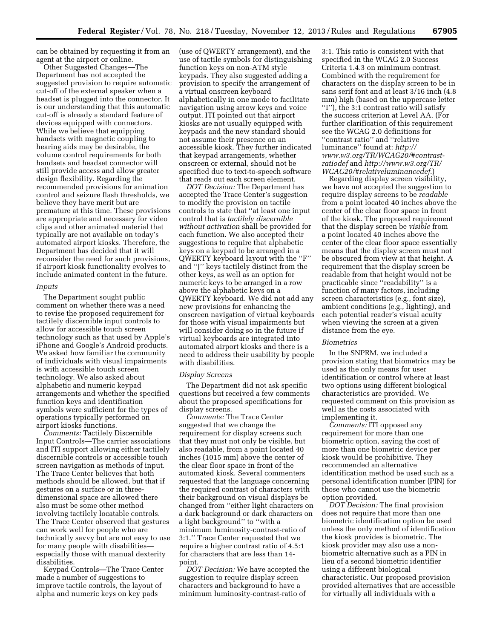can be obtained by requesting it from an agent at the airport or online.

Other Suggested Changes—The Department has not accepted the suggested provision to require automatic cut-off of the external speaker when a headset is plugged into the connector. It is our understanding that this automatic cut-off is already a standard feature of devices equipped with connectors. While we believe that equipping handsets with magnetic coupling to hearing aids may be desirable, the volume control requirements for both handsets and headset connector will still provide access and allow greater design flexibility. Regarding the recommended provisions for animation control and seizure flash thresholds, we believe they have merit but are premature at this time. These provisions are appropriate and necessary for video clips and other animated material that typically are not available on today's automated airport kiosks. Therefore, the Department has decided that it will reconsider the need for such provisions, if airport kiosk functionality evolves to include animated content in the future.

#### *Inputs*

The Department sought public comment on whether there was a need to revise the proposed requirement for tactilely discernible input controls to allow for accessible touch screen technology such as that used by Apple's iPhone and Google's Android products. We asked how familiar the community of individuals with visual impairments is with accessible touch screen technology. We also asked about alphabetic and numeric keypad arrangements and whether the specified function keys and identification symbols were sufficient for the types of operations typically performed on airport kiosks functions.

*Comments:* Tactilely Discernible Input Controls—The carrier associations and ITI support allowing either tactilely discernible controls or accessible touch screen navigation as methods of input. The Trace Center believes that both methods should be allowed, but that if gestures on a surface or in threedimensional space are allowed there also must be some other method involving tactilely locatable controls. The Trace Center observed that gestures can work well for people who are technically savvy but are not easy to use for many people with disabilities especially those with manual dexterity disabilities.

Keypad Controls—The Trace Center made a number of suggestions to improve tactile controls, the layout of alpha and numeric keys on key pads

(use of QWERTY arrangement), and the use of tactile symbols for distinguishing function keys on non-ATM style keypads. They also suggested adding a provision to specify the arrangement of a virtual onscreen keyboard alphabetically in one mode to facilitate navigation using arrow keys and voice output. ITI pointed out that airport kiosks are not usually equipped with keypads and the new standard should not assume their presence on an accessible kiosk. They further indicated that keypad arrangements, whether onscreen or external, should not be specified due to text-to-speech software that reads out each screen element.

*DOT Decision:* The Department has accepted the Trace Center's suggestion to modify the provision on tactile controls to state that ''at least one input control that is *tactilely discernible without activation* shall be provided for each function. We also accepted their suggestions to require that alphabetic keys on a keypad to be arranged in a QWERTY keyboard layout with the ''F'' and ''J'' keys tactilely distinct from the other keys, as well as an option for numeric keys to be arranged in a row above the alphabetic keys on a QWERTY keyboard. We did not add any new provisions for enhancing the onscreen navigation of virtual keyboards for those with visual impairments but will consider doing so in the future if virtual keyboards are integrated into automated airport kiosks and there is a need to address their usability by people with disabilities.

#### *Display Screens*

The Department did not ask specific questions but received a few comments about the proposed specifications for display screens.

*Comments:* The Trace Center suggested that we change the requirement for display screens such that they must not only be visible, but also readable, from a point located 40 inches (1015 mm) above the center of the clear floor space in front of the automated kiosk. Several commenters requested that the language concerning the required contrast of characters with their background on visual displays be changed from ''either light characters on a dark background or dark characters on a light background'' to ''with a minimum luminosity-contrast-ratio of 3:1.'' Trace Center requested that we require a higher contrast ratio of 4.5:1 for characters that are less than 14 point.

*DOT Decision:* We have accepted the suggestion to require display screen characters and background to have a minimum luminosity-contrast-ratio of

3:1. This ratio is consistent with that specified in the WCAG 2.0 Success Criteria 1.4.3 on minimum contrast. Combined with the requirement for characters on the display screen to be in sans serif font and at least 3/16 inch (4.8 mm) high (based on the uppercase letter ''I''), the 3:1 contrast ratio will satisfy the success criterion at Level AA. (For further clarification of this requirement see the WCAG 2.0 definitions for ''contrast ratio'' and ''relative luminance'' found at: *http:// www.w3.org/TR/WCAG20/#contrastratiodef* and *[http://www.w3.org/TR/](http://www.w3.org/TR/WCAG20/#relativeluminancedef) [WCAG20/#relativeluminancedef](http://www.w3.org/TR/WCAG20/#relativeluminancedef)*.)

Regarding display screen visibility, we have not accepted the suggestion to require display screens to be *readable*  from a point located 40 inches above the center of the clear floor space in front of the kiosk. The proposed requirement that the display screen be *visible* from a point located 40 inches above the center of the clear floor space essentially means that the display screen must not be obscured from view at that height. A requirement that the display screen be readable from that height would not be practicable since ''readability'' is a function of many factors, including screen characteristics (e.g., font size), ambient conditions (e.g., lighting), and each potential reader's visual acuity when viewing the screen at a given distance from the eye.

#### *Biometrics*

In the SNPRM, we included a provision stating that biometrics may be used as the only means for user identification or control where at least two options using different biological characteristics are provided. We requested comment on this provision as well as the costs associated with implementing it.

*Comments:* ITI opposed any requirement for more than one biometric option, saying the cost of more than one biometric device per kiosk would be prohibitive. They recommended an alternative identification method be used such as a personal identification number (PIN) for those who cannot use the biometric option provided.

*DOT Decision:* The final provision does not require that more than one biometric identification option be used unless the only method of identification the kiosk provides is biometric. The kiosk provider may also use a nonbiometric alternative such as a PIN in lieu of a second biometric identifier using a different biological characteristic. Our proposed provision provided alternatives that are accessible for virtually all individuals with a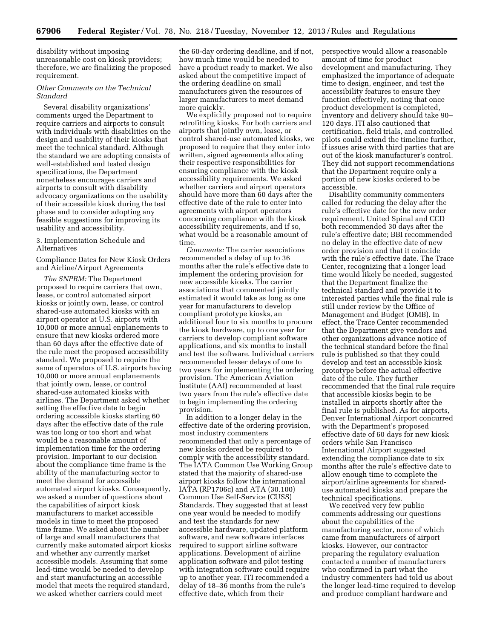disability without imposing unreasonable cost on kiosk providers; therefore, we are finalizing the proposed requirement.

# *Other Comments on the Technical Standard*

Several disability organizations' comments urged the Department to require carriers and airports to consult with individuals with disabilities on the design and usability of their kiosks that meet the technical standard. Although the standard we are adopting consists of well-established and tested design specifications, the Department nonetheless encourages carriers and airports to consult with disability advocacy organizations on the usability of their accessible kiosk during the test phase and to consider adopting any feasible suggestions for improving its usability and accessibility.

# 3. Implementation Schedule and Alternatives

Compliance Dates for New Kiosk Orders and Airline/Airport Agreements

*The SNPRM:* The Department proposed to require carriers that own, lease, or control automated airport kiosks or jointly own, lease, or control shared-use automated kiosks with an airport operator at U.S. airports with 10,000 or more annual enplanements to ensure that new kiosks ordered more than 60 days after the effective date of the rule meet the proposed accessibility standard. We proposed to require the same of operators of U.S. airports having 10,000 or more annual enplanements that jointly own, lease, or control shared-use automated kiosks with airlines. The Department asked whether setting the effective date to begin ordering accessible kiosks starting 60 days after the effective date of the rule was too long or too short and what would be a reasonable amount of implementation time for the ordering provision. Important to our decision about the compliance time frame is the ability of the manufacturing sector to meet the demand for accessible automated airport kiosks. Consequently, we asked a number of questions about the capabilities of airport kiosk manufacturers to market accessible models in time to meet the proposed time frame. We asked about the number of large and small manufacturers that currently make automated airport kiosks and whether any currently market accessible models. Assuming that some lead-time would be needed to develop and start manufacturing an accessible model that meets the required standard, we asked whether carriers could meet

the 60-day ordering deadline, and if not, how much time would be needed to have a product ready to market. We also asked about the competitive impact of the ordering deadline on small manufacturers given the resources of larger manufacturers to meet demand more quickly.

We explicitly proposed not to require retrofitting kiosks. For both carriers and airports that jointly own, lease, or control shared-use automated kiosks, we proposed to require that they enter into written, signed agreements allocating their respective responsibilities for ensuring compliance with the kiosk accessibility requirements. We asked whether carriers and airport operators should have more than 60 days after the effective date of the rule to enter into agreements with airport operators concerning compliance with the kiosk accessibility requirements, and if so, what would be a reasonable amount of time.

*Comments:* The carrier associations recommended a delay of up to 36 months after the rule's effective date to implement the ordering provision for new accessible kiosks. The carrier associations that commented jointly estimated it would take as long as one year for manufacturers to develop compliant prototype kiosks, an additional four to six months to procure the kiosk hardware, up to one year for carriers to develop compliant software applications, and six months to install and test the software. Individual carriers recommended lesser delays of one to two years for implementing the ordering provision. The American Aviation Institute (AAI) recommended at least two years from the rule's effective date to begin implementing the ordering provision.

In addition to a longer delay in the effective date of the ordering provision, most industry commenters recommended that only a percentage of new kiosks ordered be required to comply with the accessibility standard. The IATA Common Use Working Group stated that the majority of shared-use airport kiosks follow the international IATA (RP1706c) and ATA (30.100) Common Use Self-Service (CUSS) Standards. They suggested that at least one year would be needed to modify and test the standards for new accessible hardware, updated platform software, and new software interfaces required to support airline software applications. Development of airline application software and pilot testing with integration software could require up to another year. ITI recommended a delay of 18–36 months from the rule's effective date, which from their

perspective would allow a reasonable amount of time for product development and manufacturing. They emphasized the importance of adequate time to design, engineer, and test the accessibility features to ensure they function effectively, noting that once product development is completed, inventory and delivery should take 90– 120 days. ITI also cautioned that certification, field trials, and controlled pilots could extend the timeline further, if issues arise with third parties that are out of the kiosk manufacturer's control. They did not support recommendations that the Department require only a portion of new kiosks ordered to be accessible.

Disability community commenters called for reducing the delay after the rule's effective date for the new order requirement. United Spinal and CCD both recommended 30 days after the rule's effective date; BBI recommended no delay in the effective date of new order provision and that it coincide with the rule's effective date. The Trace Center, recognizing that a longer lead time would likely be needed, suggested that the Department finalize the technical standard and provide it to interested parties while the final rule is still under review by the Office of Management and Budget (OMB). In effect, the Trace Center recommended that the Department give vendors and other organizations advance notice of the technical standard before the final rule is published so that they could develop and test an accessible kiosk prototype before the actual effective date of the rule. They further recommended that the final rule require that accessible kiosks begin to be installed in airports shortly after the final rule is published. As for airports, Denver International Airport concurred with the Department's proposed effective date of 60 days for new kiosk orders while San Francisco International Airport suggested extending the compliance date to six months after the rule's effective date to allow enough time to complete the airport/airline agreements for shareduse automated kiosks and prepare the technical specifications.

We received very few public comments addressing our questions about the capabilities of the manufacturing sector, none of which came from manufacturers of airport kiosks. However, our contractor preparing the regulatory evaluation contacted a number of manufacturers who confirmed in part what the industry commenters had told us about the longer lead-time required to develop and produce compliant hardware and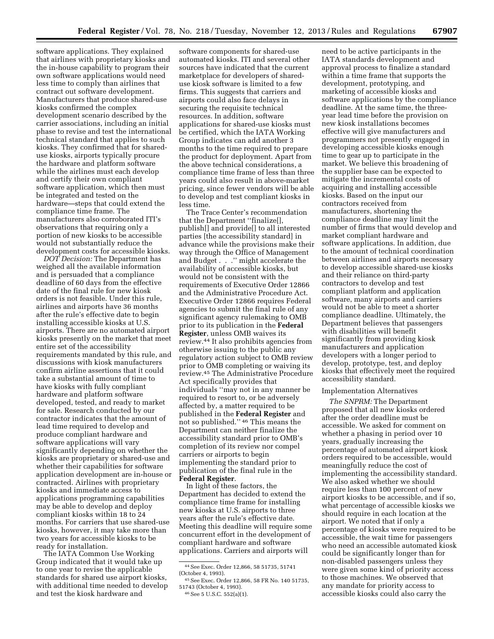software applications. They explained that airlines with proprietary kiosks and the in-house capability to program their own software applications would need less time to comply than airlines that contract out software development. Manufacturers that produce shared-use kiosks confirmed the complex development scenario described by the carrier associations, including an initial phase to revise and test the international technical standard that applies to such kiosks. They confirmed that for shareduse kiosks, airports typically procure the hardware and platform software while the airlines must each develop and certify their own compliant software application, which then must be integrated and tested on the hardware—steps that could extend the compliance time frame. The manufacturers also corroborated ITI's observations that requiring only a portion of new kiosks to be accessible would not substantially reduce the development costs for accessible kiosks.

*DOT Decision:* The Department has weighed all the available information and is persuaded that a compliance deadline of 60 days from the effective date of the final rule for new kiosk orders is not feasible. Under this rule, airlines and airports have 36 months after the rule's effective date to begin installing accessible kiosks at U.S. airports. There are no automated airport kiosks presently on the market that meet entire set of the accessibility requirements mandated by this rule, and discussions with kiosk manufacturers confirm airline assertions that it could take a substantial amount of time to have kiosks with fully compliant hardware and platform software developed, tested, and ready to market for sale. Research conducted by our contractor indicates that the amount of lead time required to develop and produce compliant hardware and software applications will vary significantly depending on whether the kiosks are proprietary or shared-use and whether their capabilities for software application development are in-house or contracted. Airlines with proprietary kiosks and immediate access to applications programming capabilities may be able to develop and deploy compliant kiosks within 18 to 24 months. For carriers that use shared-use kiosks, however, it may take more than two years for accessible kiosks to be ready for installation.

The IATA Common Use Working Group indicated that it would take up to one year to revise the applicable standards for shared use airport kiosks, with additional time needed to develop and test the kiosk hardware and

software components for shared-use automated kiosks. ITI and several other sources have indicated that the current marketplace for developers of shareduse kiosk software is limited to a few firms. This suggests that carriers and airports could also face delays in securing the requisite technical resources. In addition, software applications for shared-use kiosks must be certified, which the IATA Working Group indicates can add another 3 months to the time required to prepare the product for deployment. Apart from the above technical considerations, a compliance time frame of less than three years could also result in above-market pricing, since fewer vendors will be able to develop and test compliant kiosks in less time.

The Trace Center's recommendation that the Department ''finalize[], publish[] and provide[] to all interested parties [the accessibility standard] in advance while the provisions make their way through the Office of Management and Budget . . .'' might accelerate the availability of accessible kiosks, but would not be consistent with the requirements of Executive Order 12866 and the Administrative Procedure Act. Executive Order 12866 requires Federal agencies to submit the final rule of any significant agency rulemaking to OMB prior to its publication in the **Federal Register**, unless OMB waives its review.44 It also prohibits agencies from otherwise issuing to the public any regulatory action subject to OMB review prior to OMB completing or waiving its review.45 The Administrative Procedure Act specifically provides that individuals ''may not in any manner be required to resort to, or be adversely affected by, a matter required to be published in the **Federal Register** and not so published.'' 46 This means the Department can neither finalize the accessibility standard prior to OMB's completion of its review nor compel carriers or airports to begin implementing the standard prior to publication of the final rule in the **Federal Register**.

In light of these factors, the Department has decided to extend the compliance time frame for installing new kiosks at U.S. airports to three years after the rule's effective date. Meeting this deadline will require some concurrent effort in the development of compliant hardware and software applications. Carriers and airports will

need to be active participants in the IATA standards development and approval process to finalize a standard within a time frame that supports the development, prototyping, and marketing of accessible kiosks and software applications by the compliance deadline. At the same time, the threeyear lead time before the provision on new kiosk installations becomes effective will give manufacturers and programmers not presently engaged in developing accessible kiosks enough time to gear up to participate in the market. We believe this broadening of the supplier base can be expected to mitigate the incremental costs of acquiring and installing accessible kiosks. Based on the input our contractors received from manufacturers, shortening the compliance deadline may limit the number of firms that would develop and market compliant hardware and software applications. In addition, due to the amount of technical coordination between airlines and airports necessary to develop accessible shared-use kiosks and their reliance on third-party contractors to develop and test compliant platform and application software, many airports and carriers would not be able to meet a shorter compliance deadline. Ultimately, the Department believes that passengers with disabilities will benefit significantly from providing kiosk manufacturers and application developers with a longer period to develop, prototype, test, and deploy kiosks that effectively meet the required accessibility standard.

#### Implementation Alternatives

*The SNPRM:* The Department proposed that all new kiosks ordered after the order deadline must be accessible. We asked for comment on whether a phasing in period over 10 years, gradually increasing the percentage of automated airport kiosk orders required to be accessible, would meaningfully reduce the cost of implementing the accessibility standard. We also asked whether we should require less than 100 percent of new airport kiosks to be accessible, and if so, what percentage of accessible kiosks we should require in each location at the airport. We noted that if only a percentage of kiosks were required to be accessible, the wait time for passengers who need an accessible automated kiosk could be significantly longer than for non-disabled passengers unless they were given some kind of priority access to those machines. We observed that any mandate for priority access to accessible kiosks could also carry the

<sup>44</sup>See Exec. Order 12,866, 58 51735, 51741 (October 4, 1993).

<sup>45</sup>See Exec. Order 12,866, 58 FR No. 140 51735, 51743 (October 4, 1993).

<sup>46</sup>See 5 U.S.C. 552(a)(1).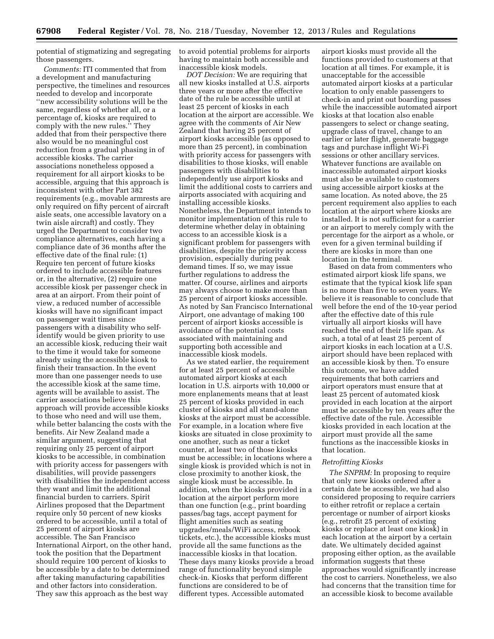potential of stigmatizing and segregating those passengers.

*Comments:* ITI commented that from a development and manufacturing perspective, the timelines and resources needed to develop and incorporate ''new accessibility solutions will be the same, regardless of whether all, or a percentage of, kiosks are required to comply with the new rules.'' They added that from their perspective there also would be no meaningful cost reduction from a gradual phasing in of accessible kiosks. The carrier associations nonetheless opposed a requirement for all airport kiosks to be accessible, arguing that this approach is inconsistent with other Part 382 requirements (e.g., movable armrests are only required on fifty percent of aircraft aisle seats, one accessible lavatory on a twin aisle aircraft) and costly. They urged the Department to consider two compliance alternatives, each having a compliance date of 36 months after the effective date of the final rule: (1) Require ten percent of future kiosks ordered to include accessible features or, in the alternative, (2) require one accessible kiosk per passenger check in area at an airport. From their point of view, a reduced number of accessible kiosks will have no significant impact on passenger wait times since passengers with a disability who selfidentify would be given priority to use an accessible kiosk, reducing their wait to the time it would take for someone already using the accessible kiosk to finish their transaction. In the event more than one passenger needs to use the accessible kiosk at the same time, agents will be available to assist. The carrier associations believe this approach will provide accessible kiosks to those who need and will use them, while better balancing the costs with the benefits. Air New Zealand made a similar argument, suggesting that requiring only 25 percent of airport kiosks to be accessible, in combination with priority access for passengers with disabilities, will provide passengers with disabilities the independent access they want and limit the additional financial burden to carriers. Spirit Airlines proposed that the Department require only 50 percent of new kiosks ordered to be accessible, until a total of 25 percent of airport kiosks are accessible. The San Francisco International Airport, on the other hand, took the position that the Department should require 100 percent of kiosks to be accessible by a date to be determined after taking manufacturing capabilities and other factors into consideration. They saw this approach as the best way

to avoid potential problems for airports having to maintain both accessible and inaccessible kiosk models.

*DOT Decision:* We are requiring that all new kiosks installed at U.S. airports three years or more after the effective date of the rule be accessible until at least 25 percent of kiosks in each location at the airport are accessible. We agree with the comments of Air New Zealand that having 25 percent of airport kiosks accessible (as opposed to more than 25 percent), in combination with priority access for passengers with disabilities to those kiosks, will enable passengers with disabilities to independently use airport kiosks and limit the additional costs to carriers and airports associated with acquiring and installing accessible kiosks. Nonetheless, the Department intends to monitor implementation of this rule to determine whether delay in obtaining access to an accessible kiosk is a significant problem for passengers with disabilities, despite the priority access provision, especially during peak demand times. If so, we may issue further regulations to address the matter. Of course, airlines and airports may always choose to make more than 25 percent of airport kiosks accessible. As noted by San Francisco International Airport, one advantage of making 100 percent of airport kiosks accessible is avoidance of the potential costs associated with maintaining and supporting both accessible and inaccessible kiosk models.

As we stated earlier, the requirement for at least 25 percent of accessible automated airport kiosks at each location in U.S. airports with 10,000 or more enplanements means that at least 25 percent of kiosks provided in each cluster of kiosks and all stand-alone kiosks at the airport must be accessible. For example, in a location where five kiosks are situated in close proximity to one another, such as near a ticket counter, at least two of those kiosks must be accessible; in locations where a single kiosk is provided which is not in close proximity to another kiosk, the single kiosk must be accessible. In addition, when the kiosks provided in a location at the airport perform more than one function (e.g., print boarding passes/bag tags, accept payment for flight amenities such as seating upgrades/meals/WiFi access, rebook tickets, etc.), the accessible kiosks must provide all the same functions as the inaccessible kiosks in that location. These days many kiosks provide a broad range of functionality beyond simple check-in. Kiosks that perform different functions are considered to be of different types. Accessible automated

airport kiosks must provide all the functions provided to customers at that location at all times. For example, it is unacceptable for the accessible automated airport kiosks at a particular location to only enable passengers to check-in and print out boarding passes while the inaccessible automated airport kiosks at that location also enable passengers to select or change seating, upgrade class of travel, change to an earlier or later flight, generate baggage tags and purchase inflight Wi-Fi sessions or other ancillary services. Whatever functions are available on inaccessible automated airport kiosks must also be available to customers using accessible airport kiosks at the same location. As noted above, the 25 percent requirement also applies to each location at the airport where kiosks are installed. It is not sufficient for a carrier or an airport to merely comply with the percentage for the airport as a whole, or even for a given terminal building if there are kiosks in more than one location in the terminal.

Based on data from commenters who estimated airport kiosk life spans, we estimate that the typical kiosk life span is no more than five to seven years. We believe it is reasonable to conclude that well before the end of the 10-year period after the effective date of this rule virtually all airport kiosks will have reached the end of their life span. As such, a total of at least 25 percent of airport kiosks in each location at a U.S. airport should have been replaced with an accessible kiosk by then. To ensure this outcome, we have added requirements that both carriers and airport operators must ensure that at least 25 percent of automated kiosk provided in each location at the airport must be accessible by ten years after the effective date of the rule. Accessible kiosks provided in each location at the airport must provide all the same functions as the inaccessible kiosks in that location.

# *Retrofitting Kiosks*

*The SNPRM:* In proposing to require that only new kiosks ordered after a certain date be accessible, we had also considered proposing to require carriers to either retrofit or replace a certain percentage or number of airport kiosks (e.g., retrofit 25 percent of existing kiosks or replace at least one kiosk) in each location at the airport by a certain date. We ultimately decided against proposing either option, as the available information suggests that these approaches would significantly increase the cost to carriers. Nonetheless, we also had concerns that the transition time for an accessible kiosk to become available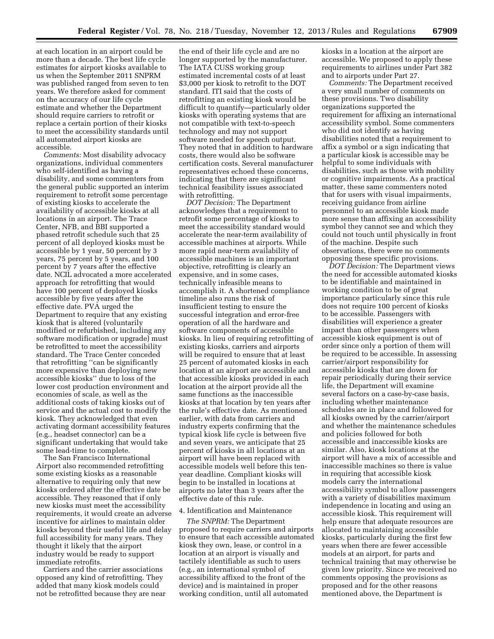at each location in an airport could be more than a decade. The best life cycle estimates for airport kiosks available to us when the September 2011 SNPRM was published ranged from seven to ten years. We therefore asked for comment on the accuracy of our life cycle estimate and whether the Department should require carriers to retrofit or replace a certain portion of their kiosks to meet the accessibility standards until all automated airport kiosks are accessible.

*Comments:* Most disability advocacy organizations, individual commenters who self-identified as having a disability, and some commenters from the general public supported an interim requirement to retrofit some percentage of existing kiosks to accelerate the availability of accessible kiosks at all locations in an airport. The Trace Center, NFB, and BBI supported a phased retrofit schedule such that 25 percent of all deployed kiosks must be accessible by 1 year, 50 percent by 3 years, 75 percent by 5 years, and 100 percent by 7 years after the effective date. NCIL advocated a more accelerated approach for retrofitting that would have 100 percent of deployed kiosks accessible by five years after the effective date. PVA urged the Department to require that any existing kiosk that is altered (voluntarily modified or refurbished, including any software modification or upgrade) must be retrofitted to meet the accessibility standard. The Trace Center conceded that retrofitting ''can be significantly more expensive than deploying new accessible kiosks'' due to loss of the lower cost production environment and economies of scale, as well as the additional costs of taking kiosks out of service and the actual cost to modify the kiosk. They acknowledged that even activating dormant accessibility features (e.g., headset connector) can be a significant undertaking that would take some lead-time to complete.

The San Francisco International Airport also recommended retrofitting some existing kiosks as a reasonable alternative to requiring only that new kiosks ordered after the effective date be accessible. They reasoned that if only new kiosks must meet the accessibility requirements, it would create an adverse incentive for airlines to maintain older kiosks beyond their useful life and delay full accessibility for many years. They thought it likely that the airport industry would be ready to support immediate retrofits.

Carriers and the carrier associations opposed any kind of retrofitting. They added that many kiosk models could not be retrofitted because they are near

the end of their life cycle and are no longer supported by the manufacturer. The IATA CUSS working group estimated incremental costs of at least \$3,000 per kiosk to retrofit to the DOT standard. ITI said that the costs of retrofitting an existing kiosk would be difficult to quantify—particularly older kiosks with operating systems that are not compatible with text-to-speech technology and may not support software needed for speech output. They noted that in addition to hardware costs, there would also be software certification costs. Several manufacturer representatives echoed these concerns, indicating that there are significant technical feasibility issues associated with retrofitting.

*DOT Decision:* The Department acknowledges that a requirement to retrofit some percentage of kiosks to meet the accessibility standard would accelerate the near-term availability of accessible machines at airports. While more rapid near-term availability of accessible machines is an important objective, retrofitting is clearly an expensive, and in some cases, technically infeasible means to accomplish it. A shortened compliance timeline also runs the risk of insufficient testing to ensure the successful integration and error-free operation of all the hardware and software components of accessible kiosks. In lieu of requiring retrofitting of existing kiosks, carriers and airports will be required to ensure that at least 25 percent of automated kiosks in each location at an airport are accessible and that accessible kiosks provided in each location at the airport provide all the same functions as the inaccessible kiosks at that location by ten years after the rule's effective date. As mentioned earlier, with data from carriers and industry experts confirming that the typical kiosk life cycle is between five and seven years, we anticipate that 25 percent of kiosks in all locations at an airport will have been replaced with accessible models well before this tenyear deadline. Compliant kiosks will begin to be installed in locations at airports no later than 3 years after the effective date of this rule.

#### 4. Identification and Maintenance

*The SNPRM:* The Department proposed to require carriers and airports to ensure that each accessible automated kiosk they own, lease, or control in a location at an airport is visually and tactilely identifiable as such to users (e.g., an international symbol of accessibility affixed to the front of the device) and is maintained in proper working condition, until all automated

kiosks in a location at the airport are accessible. We proposed to apply these requirements to airlines under Part 382 and to airports under Part 27.

*Comments:* The Department received a very small number of comments on these provisions. Two disability organizations supported the requirement for affixing an international accessibility symbol. Some commenters who did not identify as having disabilities noted that a requirement to affix a symbol or a sign indicating that a particular kiosk is accessible may be helpful to some individuals with disabilities, such as those with mobility or cognitive impairments. As a practical matter, these same commenters noted that for users with visual impairments, receiving guidance from airline personnel to an accessible kiosk made more sense than affixing an accessibility symbol they cannot see and which they could not touch until physically in front of the machine. Despite such observations, there were no comments opposing these specific provisions.

*DOT Decision:* The Department views the need for accessible automated kiosks to be identifiable and maintained in working condition to be of great importance particularly since this rule does not require 100 percent of kiosks to be accessible. Passengers with disabilities will experience a greater impact than other passengers when accessible kiosk equipment is out of order since only a portion of them will be required to be accessible. In assessing carrier/airport responsibility for accessible kiosks that are down for repair periodically during their service life, the Department will examine several factors on a case-by-case basis, including whether maintenance schedules are in place and followed for all kiosks owned by the carrier/airport and whether the maintenance schedules and policies followed for both accessible and inaccessible kiosks are similar. Also, kiosk locations at the airport will have a mix of accessible and inaccessible machines so there is value in requiring that accessible kiosk models carry the international accessibility symbol to allow passengers with a variety of disabilities maximum independence in locating and using an accessible kiosk. This requirement will help ensure that adequate resources are allocated to maintaining accessible kiosks, particularly during the first few years when there are fewer accessible models at an airport, for parts and technical training that may otherwise be given low priority. Since we received no comments opposing the provisions as proposed and for the other reasons mentioned above, the Department is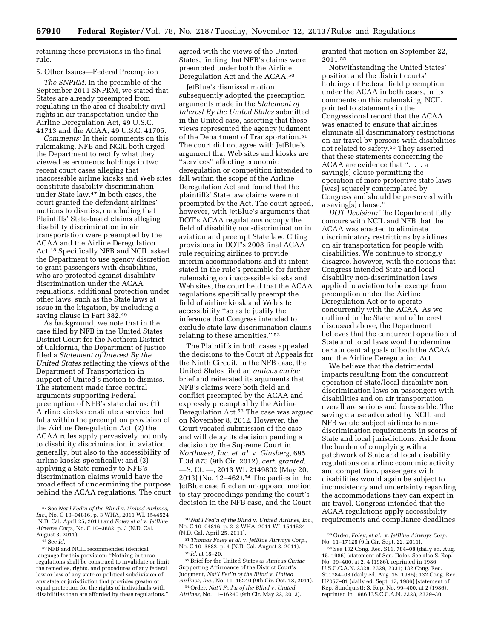retaining these provisions in the final rule.

# 5. Other Issues—Federal Preemption

*The SNPRM:* In the preamble of the September 2011 SNPRM, we stated that States are already preempted from regulating in the area of disability civil rights in air transportation under the Airline Deregulation Act, 49 U.S.C. 41713 and the ACAA, 49 U.S.C. 41705.

*Comments:* In their comments on this rulemaking, NFB and NCIL both urged the Department to rectify what they viewed as erroneous holdings in two recent court cases alleging that inaccessible airline kiosks and Web sites constitute disability discrimination under State law.47 In both cases, the court granted the defendant airlines' motions to dismiss, concluding that Plaintiffs' State-based claims alleging disability discrimination in air transportation were preempted by the ACAA and the Airline Deregulation Act.48 Specifically NFB and NCIL asked the Department to use agency discretion to grant passengers with disabilities, who are protected against disability discrimination under the ACAA regulations, additional protection under other laws, such as the State laws at issue in the litigation, by including a saving clause in Part 382.49

As background, we note that in the case filed by NFB in the United States District Court for the Northern District of California, the Department of Justice filed a *Statement of Interest By the United States* reflecting the views of the Department of Transportation in support of United's motion to dismiss. The statement made three central arguments supporting Federal preemption of NFB's state claims: (1) Airline kiosks constitute a service that falls within the preemption provision of the Airline Deregulation Act; (2) the ACAA rules apply pervasively not only to disability discrimination in aviation generally, but also to the accessibility of airline kiosks specifically; and (3) applying a State remedy to NFB's discrimination claims would have the broad effect of undermining the purpose behind the ACAA regulations. The court agreed with the views of the United States, finding that NFB's claims were preempted under both the Airline Deregulation Act and the ACAA.50

JetBlue's dismissal motion subsequently adopted the preemption arguments made in the *Statement of Interest By the United States* submitted in the United case, asserting that these views represented the agency judgment of the Department of Transportation.51 The court did not agree with JetBlue's argument that Web sites and kiosks are ''services'' affecting economic deregulation or competition intended to fall within the scope of the Airline Deregulation Act and found that the plaintiffs' State law claims were not preempted by the Act. The court agreed, however, with JetBlue's arguments that DOT's ACAA regulations occupy the field of disability non-discrimination in aviation and preempt State law. Citing provisions in DOT's 2008 final ACAA rule requiring airlines to provide interim accommodations and its intent stated in the rule's preamble for further rulemaking on inaccessible kiosks and Web sites, the court held that the ACAA regulations specifically preempt the field of airline kiosk and Web site accessibility ''so as to justify the inference that Congress intended to exclude state law discrimination claims relating to these amenities.'' 52

The Plaintiffs in both cases appealed the decisions to the Court of Appeals for the Ninth Circuit. In the NFB case, the United States filed an *amicus curiae*  brief and reiterated its arguments that NFB's claims were both field and conflict preempted by the ACAA and expressly preempted by the Airline Deregulation Act.53 The case was argued on November 8, 2012. However, the Court vacated submission of the case and will delay its decision pending a decision by the Supreme Court in *Northwest, Inc. et .al.* v. *Ginsberg,* 695 F.3d 873 (9th Cir. 2012), *cert. granted,*  —S. Ct. —, 2013 WL 2149802 (May 20, 2013) (No. 12–462).54 The parties in the JetBlue case filed an unopposed motion to stay proceedings pending the court's decision in the NFB case, and the Court

granted that motion on September 22, 2011.55

Notwithstanding the United States' position and the district courts' holdings of Federal field preemption under the ACAA in both cases, in its comments on this rulemaking, NCIL pointed to statements in the Congressional record that the ACAA was enacted to ensure that airlines eliminate all discriminatory restrictions on air travel by persons with disabilities not related to safety.56 They asserted that these statements concerning the ACAA are evidence that ''. . . a saving[s] clause permitting the operation of more protective state laws [was] squarely contemplated by Congress and should be preserved with a saving[s] clause.''

*DOT Decision:* The Department fully concurs with NCIL and NFB that the ACAA was enacted to eliminate discriminatory restrictions by airlines on air transportation for people with disabilities. We continue to strongly disagree, however, with the notions that Congress intended State and local disability non-discrimination laws applied to aviation to be exempt from preemption under the Airline Deregulation Act or to operate concurrently with the ACAA. As we outlined in the Statement of Interest discussed above, the Department believes that the concurrent operation of State and local laws would undermine certain central goals of both the ACAA and the Airline Deregulation Act.

We believe that the detrimental impacts resulting from the concurrent operation of State/local disability nondiscrimination laws on passengers with disabilities and on air transportation overall are serious and foreseeable. The saving clause advocated by NCIL and NFB would subject airlines to nondiscrimination requirements in scores of State and local jurisdictions. Aside from the burden of complying with a patchwork of State and local disability regulations on airline economic activity and competition, passengers with disabilities would again be subject to inconsistency and uncertainty regarding the accommodations they can expect in air travel. Congress intended that the ACAA regulations apply accessibility requirements and compliance deadlines

<sup>47</sup>See *Nat'l Fed'n of the Blind v. United Airlines, Inc.,* No. C 10–04816, p. 3 WHA, 2011 WL 1544524 (N.D. Cal. April 25, 2011) and *Foley et al* v. *JetBlue Airways Corp.,* No. C 10–3882, p. 3 (N.D. Cal. August 3, 2011).

<sup>48</sup>See *Id.* 

<sup>49</sup>NFB and NCIL recommended identical language for this provision: ''Nothing in these regulations shall be construed to invalidate or limit the remedies, rights, and procedures of any federal law or law of any state or political subdivision of any state or jurisdiction that provides greater or equal protection for the rights of individuals with disabilities than are afforded by these regulations.''

<sup>50</sup>*Nat'l Fed'n of the Blind* v. *United Airlines, Inc.,*  No. C 10–04816, p. 2–3 WHA, 2011 WL 1544524 (N.D. Cal. April 25, 2011).

<sup>51</sup>*Thomas Foley et al.* v. *JetBlue Airways Corp.,*  No. C 10–3882, p. 4 (N.D. Cal. August 3, 2011). 52 *Id.* at 18–20.

<sup>53</sup>Brief for the United States as *Amicus Curiae*  Supporting Affirmance of the District Court's Judgment, *Nat'l Fed'n of the Blind* v. *United Airlines, Inc.,* No. 11–16240 (9th Cir. Oct. 18, 2011).

<sup>54</sup>Order, *Nat'l Fed'n of the Blind* v. *United Airlines,* No. 11–16240 (9th Cir. May 22, 2013).

<sup>55</sup>Order, *Foley, et al.,* v. *JetBlue Airways Corp.*  No. 11–17128 (9th Cir. Sept. 22, 2011).

<sup>56</sup>See 132 Cong. Rec. S11, 784–08 (daily ed. Aug. 15, 1986) (statement of Sen. Dole). See also S. Rep. No. 99–400, at 2, 4 (1986), reprinted in 1986 U.S.C.C.A.N. 2328, 2329, 2331; 132 Cong. Rec. S11784–08 (daily ed. Aug. 15, 1986); 132 Cong. Rec. H7057–01 (daily ed. Sept. 17, 1986) (statement of Rep. Sundquist); S. Rep. No. 99–400, at 2 (1986), reprinted in 1986 U.S.C.C.A.N. 2328, 2329–30.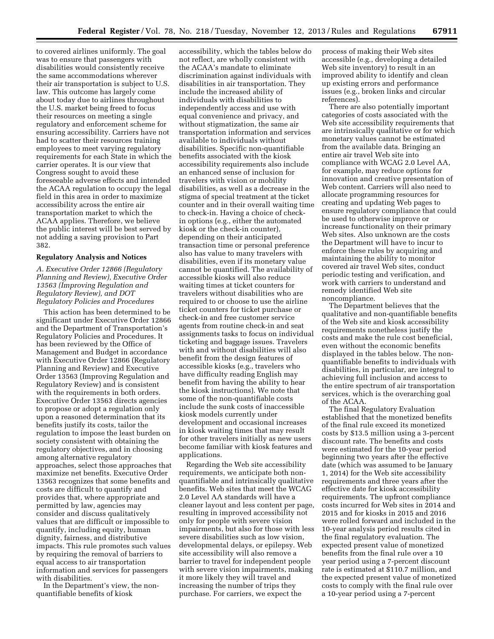to covered airlines uniformly. The goal was to ensure that passengers with disabilities would consistently receive the same accommodations wherever their air transportation is subject to U.S. law. This outcome has largely come about today due to airlines throughout the U.S. market being freed to focus their resources on meeting a single regulatory and enforcement scheme for ensuring accessibility. Carriers have not had to scatter their resources training employees to meet varying regulatory requirements for each State in which the carrier operates. It is our view that Congress sought to avoid these foreseeable adverse effects and intended the ACAA regulation to occupy the legal field in this area in order to maximize accessibility across the entire air transportation market to which the ACAA applies. Therefore, we believe the public interest will be best served by not adding a saving provision to Part 382.

# **Regulatory Analysis and Notices**

*A. Executive Order 12866 (Regulatory Planning and Review), Executive Order 13563 (Improving Regulation and Regulatory Review), and DOT Regulatory Policies and Procedures* 

This action has been determined to be significant under Executive Order 12866 and the Department of Transportation's Regulatory Policies and Procedures. It has been reviewed by the Office of Management and Budget in accordance with Executive Order 12866 (Regulatory Planning and Review) and Executive Order 13563 (Improving Regulation and Regulatory Review) and is consistent with the requirements in both orders. Executive Order 13563 directs agencies to propose or adopt a regulation only upon a reasoned determination that its benefits justify its costs, tailor the regulation to impose the least burden on society consistent with obtaining the regulatory objectives, and in choosing among alternative regulatory approaches, select those approaches that maximize net benefits. Executive Order 13563 recognizes that some benefits and costs are difficult to quantify and provides that, where appropriate and permitted by law, agencies may consider and discuss qualitatively values that are difficult or impossible to quantify, including equity, human dignity, fairness, and distributive impacts. This rule promotes such values by requiring the removal of barriers to equal access to air transportation information and services for passengers with disabilities.

In the Department's view, the nonquantifiable benefits of kiosk

accessibility, which the tables below do not reflect, are wholly consistent with the ACAA's mandate to eliminate discrimination against individuals with disabilities in air transportation. They include the increased ability of individuals with disabilities to independently access and use with equal convenience and privacy, and without stigmatization, the same air transportation information and services available to individuals without disabilities. Specific non-quantifiable benefits associated with the kiosk accessibility requirements also include an enhanced sense of inclusion for travelers with vision or mobility disabilities, as well as a decrease in the stigma of special treatment at the ticket counter and in their overall waiting time to check-in. Having a choice of checkin options (e.g., either the automated kiosk or the check-in counter), depending on their anticipated transaction time or personal preference also has value to many travelers with disabilities, even if its monetary value cannot be quantified. The availability of accessible kiosks will also reduce waiting times at ticket counters for travelers without disabilities who are required to or choose to use the airline ticket counters for ticket purchase or check-in and free customer service agents from routine check-in and seat assignments tasks to focus on individual ticketing and baggage issues. Travelers with and without disabilities will also benefit from the design features of accessible kiosks (e.g., travelers who have difficulty reading English may benefit from having the ability to hear the kiosk instructions). We note that some of the non-quantifiable costs include the sunk costs of inaccessible kiosk models currently under development and occasional increases in kiosk waiting times that may result for other travelers initially as new users become familiar with kiosk features and applications.

Regarding the Web site accessibility requirements, we anticipate both nonquantifiable and intrinsically qualitative benefits. Web sites that meet the WCAG 2.0 Level AA standards will have a cleaner layout and less content per page, resulting in improved accessibility not only for people with severe vision impairments, but also for those with less severe disabilities such as low vision, developmental delays, or epilepsy. Web site accessibility will also remove a barrier to travel for independent people with severe vision impairments, making it more likely they will travel and increasing the number of trips they purchase. For carriers, we expect the

process of making their Web sites accessible (e.g., developing a detailed Web site inventory) to result in an improved ability to identify and clean up existing errors and performance issues (e.g., broken links and circular references).

There are also potentially important categories of costs associated with the Web site accessibility requirements that are intrinsically qualitative or for which monetary values cannot be estimated from the available data. Bringing an entire air travel Web site into compliance with WCAG 2.0 Level AA, for example, may reduce options for innovation and creative presentation of Web content. Carriers will also need to allocate programming resources for creating and updating Web pages to ensure regulatory compliance that could be used to otherwise improve or increase functionality on their primary Web sites. Also unknown are the costs the Department will have to incur to enforce these rules by acquiring and maintaining the ability to monitor covered air travel Web sites, conduct periodic testing and verification, and work with carriers to understand and remedy identified Web site noncompliance.

The Department believes that the qualitative and non-quantifiable benefits of the Web site and kiosk accessibility requirements nonetheless justify the costs and make the rule cost beneficial, even without the economic benefits displayed in the tables below. The nonquantifiable benefits to individuals with disabilities, in particular, are integral to achieving full inclusion and access to the entire spectrum of air transportation services, which is the overarching goal of the ACAA.

The final Regulatory Evaluation established that the monetized benefits of the final rule exceed its monetized costs by \$13.5 million using a 3-percent discount rate. The benefits and costs were estimated for the 10-year period beginning two years after the effective date (which was assumed to be January 1, 2014) for the Web site accessibility requirements and three years after the effective date for kiosk accessibility requirements. The upfront compliance costs incurred for Web sites in 2014 and 2015 and for kiosks in 2015 and 2016 were rolled forward and included in the 10-year analysis period results cited in the final regulatory evaluation. The expected present value of monetized benefits from the final rule over a 10 year period using a 7-percent discount rate is estimated at \$110.7 million, and the expected present value of monetized costs to comply with the final rule over a 10-year period using a 7-percent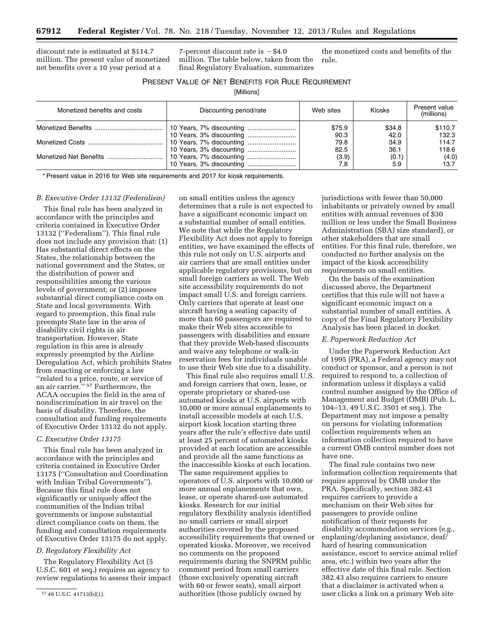discount rate is estimated at \$114.7 million. The present value of monetized net benefits over a 10 year period at a

7-percent discount rate is  $-$  \$4.0 million. The table below, taken from the final Regulatory Evaluation, summarizes

the monetized costs and benefits of the rule.

# PRESENT VALUE OF NET BENEFITS FOR RULE REQUIREMENT

[Millions]

| Monetized benefits and costs | Discounting period/rate | Web sites | <b>Kiosks</b> | Present value<br>(millions) |
|------------------------------|-------------------------|-----------|---------------|-----------------------------|
|                              |                         | \$75.9    | \$34.8        | \$110.7                     |
|                              |                         | 90.3      | 42.0          | 132.3                       |
|                              |                         | 79.8      | 34.9          | 114.7                       |
|                              |                         | 82.5      | 36.1          | 118.6                       |
|                              |                         | (3.9)     | (0.1)         | (4.0)                       |
|                              |                         | 7.8       | 5.9           | 13.7                        |

\* Present value in 2016 for Web site requirements and 2017 for kiosk requirements.

# *B. Executive Order 13132 (Federalism)*

This final rule has been analyzed in accordance with the principles and criteria contained in Executive Order 13132 (''Federalism''). This final rule does not include any provision that: (1) Has substantial direct effects on the States, the relationship between the national government and the States, or the distribution of power and responsibilities among the various levels of government; or (2) imposes substantial direct compliance costs on State and local governments. With regard to preemption, this final rule preempts State law in the area of disability civil rights in air transportation. However, State regulation in this area is already expressly preempted by the Airline Deregulation Act, which prohibits States from enacting or enforcing a law ''related to a price, route, or service of an air carrier.'' 57 Furthermore, the ACAA occupies the field in the area of nondiscrimination in air travel on the basis of disability. Therefore, the consultation and funding requirements of Executive Order 13132 do not apply.

#### *C. Executive Order 13175*

This final rule has been analyzed in accordance with the principles and criteria contained in Executive Order 13175 (''Consultation and Coordination with Indian Tribal Governments''). Because this final rule does not significantly or uniquely affect the communities of the Indian tribal governments or impose substantial direct compliance costs on them, the funding and consultation requirements of Executive Order 13175 do not apply.

#### *D. Regulatory Flexibility Act*

The Regulatory Flexibility Act (5 U.S.C. 601 et seq.) requires an agency to review regulations to assess their impact on small entities unless the agency determines that a rule is not expected to have a significant economic impact on a substantial number of small entities. We note that while the Regulatory Flexibility Act does not apply to foreign entities, we have examined the effects of this rule not only on U.S. airports and air carriers that are small entities under applicable regulatory provisions, but on small foreign carriers as well. The Web site accessibility requirements do not impact small U.S. and foreign carriers. Only carriers that operate at least one aircraft having a seating capacity of more than 60 passengers are required to make their Web sites accessible to passengers with disabilities and ensure that they provide Web-based discounts and waive any telephone or walk-in reservation fees for individuals unable to use their Web site due to a disability.

This final rule also requires small U.S. and foreign carriers that own, lease, or operate proprietary or shared-use automated kiosks at U.S. airports with 10,000 or more annual enplanements to install accessible models at each U.S. airport kiosk location starting three years after the rule's effective date until at least 25 percent of automated kiosks provided at each location are accessible and provide all the same functions as the inaccessible kiosks at each location. The same requirement applies to operators of U.S. airports with 10,000 or more annual enplanements that own, lease, or operate shared-use automated kiosks. Research for our initial regulatory flexibility analysis identified no small carriers or small airport authorities covered by the proposed accessibility requirements that owned or operated kiosks. Moreover, we received no comments on the proposed requirements during the SNPRM public comment period from small carriers (those exclusively operating aircraft with 60 or fewer seats), small airport authorities (those publicly owned by

jurisdictions with fewer than 50,000 inhabitants or privately owned by small entities with annual revenues of \$30 million or less under the Small Business Administration (SBA) size standard), or other stakeholders that are small entities. For this final rule, therefore, we conducted no further analysis on the impact of the kiosk accessibility requirements on small entities.

On the basis of the examination discussed above, the Department certifies that this rule will not have a significant economic impact on a substantial number of small entities. A copy of the Final Regulatory Flexibility Analysis has been placed in docket.

#### *E. Paperwork Reduction Act*

Under the Paperwork Reduction Act of 1995 (PRA), a Federal agency may not conduct or sponsor, and a person is not required to respond to, a collection of information unless it displays a valid control number assigned by the Office of Management and Budget (OMB) (Pub. L. 104–13, 49 U.S.C. 3501 et seq.). The Department may not impose a penalty on persons for violating information collection requirements when an information collection required to have a current OMB control number does not have one.

The final rule contains two new information collection requirements that require approval by OMB under the PRA. Specifically, section 382.43 requires carriers to provide a mechanism on their Web sites for passengers to provide online notification of their requests for disability accommodation services (e.g., enplaning/deplaning assistance, deaf/ hard of hearing communication assistance, escort to service animal relief area, etc.) within two years after the effective date of this final rule. Section 382.43 also requires carriers to ensure that a disclaimer is activated when a user clicks a link on a primary Web site

<sup>57</sup> 49 U.S.C. 41713(b)(1).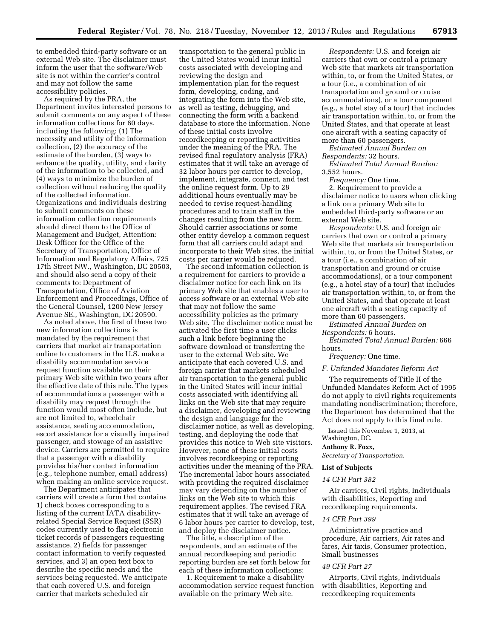to embedded third-party software or an external Web site. The disclaimer must inform the user that the software/Web site is not within the carrier's control and may not follow the same accessibility policies.

As required by the PRA, the Department invites interested persons to submit comments on any aspect of these information collections for 60 days, including the following: (1) The necessity and utility of the information collection, (2) the accuracy of the estimate of the burden, (3) ways to enhance the quality, utility, and clarity of the information to be collected, and (4) ways to minimize the burden of collection without reducing the quality of the collected information. Organizations and individuals desiring to submit comments on these information collection requirements should direct them to the Office of Management and Budget, Attention: Desk Officer for the Office of the Secretary of Transportation, Office of Information and Regulatory Affairs, 725 17th Street NW., Washington, DC 20503, and should also send a copy of their comments to: Department of Transportation, Office of Aviation Enforcement and Proceedings, Office of the General Counsel, 1200 New Jersey Avenue SE., Washington, DC 20590.

As noted above, the first of these two new information collections is mandated by the requirement that carriers that market air transportation online to customers in the U.S. make a disability accommodation service request function available on their primary Web site within two years after the effective date of this rule. The types of accommodations a passenger with a disability may request through the function would most often include, but are not limited to, wheelchair assistance, seating accommodation, escort assistance for a visually impaired passenger, and stowage of an assistive device. Carriers are permitted to require that a passenger with a disability provides his/her contact information (e.g., telephone number, email address) when making an online service request.

The Department anticipates that carriers will create a form that contains 1) check boxes corresponding to a listing of the current IATA disabilityrelated Special Service Request (SSR) codes currently used to flag electronic ticket records of passengers requesting assistance, 2) fields for passenger contact information to verify requested services, and 3) an open text box to describe the specific needs and the services being requested. We anticipate that each covered U.S. and foreign carrier that markets scheduled air

transportation to the general public in the United States would incur initial costs associated with developing and reviewing the design and implementation plan for the request form, developing, coding, and integrating the form into the Web site, as well as testing, debugging, and connecting the form with a backend database to store the information. None of these initial costs involve recordkeeping or reporting activities under the meaning of the PRA. The revised final regulatory analysis (FRA) estimates that it will take an average of 32 labor hours per carrier to develop, implement, integrate, connect, and test the online request form. Up to 28 additional hours eventually may be needed to revise request-handling procedures and to train staff in the changes resulting from the new form. Should carrier associations or some other entity develop a common request form that all carriers could adapt and incorporate to their Web sites, the initial costs per carrier would be reduced.

The second information collection is a requirement for carriers to provide a disclaimer notice for each link on its primary Web site that enables a user to access software or an external Web site that may not follow the same accessibility policies as the primary Web site. The disclaimer notice must be activated the first time a user clicks such a link before beginning the software download or transferring the user to the external Web site. We anticipate that each covered U.S. and foreign carrier that markets scheduled air transportation to the general public in the United States will incur initial costs associated with identifying all links on the Web site that may require a disclaimer, developing and reviewing the design and language for the disclaimer notice, as well as developing, testing, and deploying the code that provides this notice to Web site visitors. However, none of these initial costs involves recordkeeping or reporting activities under the meaning of the PRA. The incremental labor hours associated with providing the required disclaimer may vary depending on the number of links on the Web site to which this requirement applies. The revised FRA estimates that it will take an average of 6 labor hours per carrier to develop, test, and deploy the disclaimer notice.

The title, a description of the respondents, and an estimate of the annual recordkeeping and periodic reporting burden are set forth below for each of these information collections:

1. Requirement to make a disability accommodation service request function available on the primary Web site.

*Respondents:* U.S. and foreign air carriers that own or control a primary Web site that markets air transportation within, to, or from the United States, or a tour (i.e., a combination of air transportation and ground or cruise accommodations), or a tour component (e.g., a hotel stay of a tour) that includes air transportation within, to, or from the United States, and that operate at least one aircraft with a seating capacity of more than 60 passengers.

*Estimated Annual Burden on Respondents:* 32 hours.

*Estimated Total Annual Burden:*  3,552 hours.

*Frequency:* One time.

2. Requirement to provide a disclaimer notice to users when clicking a link on a primary Web site to embedded third-party software or an external Web site.

*Respondents:* U.S. and foreign air carriers that own or control a primary Web site that markets air transportation within, to, or from the United States, or a tour (i.e., a combination of air transportation and ground or cruise accommodations), or a tour component (e.g., a hotel stay of a tour) that includes air transportation within, to, or from the United States, and that operate at least one aircraft with a seating capacity of more than 60 passengers.

*Estimated Annual Burden on Respondents:* 6 hours.

*Estimated Total Annual Burden:* 666 hours.

*Frequency:* One time.

*F. Unfunded Mandates Reform Act* 

The requirements of Title II of the Unfunded Mandates Reform Act of 1995 do not apply to civil rights requirements mandating nondiscrimination; therefore, the Department has determined that the Act does not apply to this final rule.

Issued this November 1, 2013, at Washington, DC.

#### **Anthony R. Foxx,**

*Secretary of Transportation.* 

#### **List of Subjects**

#### *14 CFR Part 382*

Air carriers, Civil rights, Individuals with disabilities, Reporting and recordkeeping requirements.

# *14 CFR Part 399*

Administrative practice and procedure, Air carriers, Air rates and fares, Air taxis, Consumer protection, Small businesses

### *49 CFR Part 27*

Airports, Civil rights, Individuals with disabilities, Reporting and recordkeeping requirements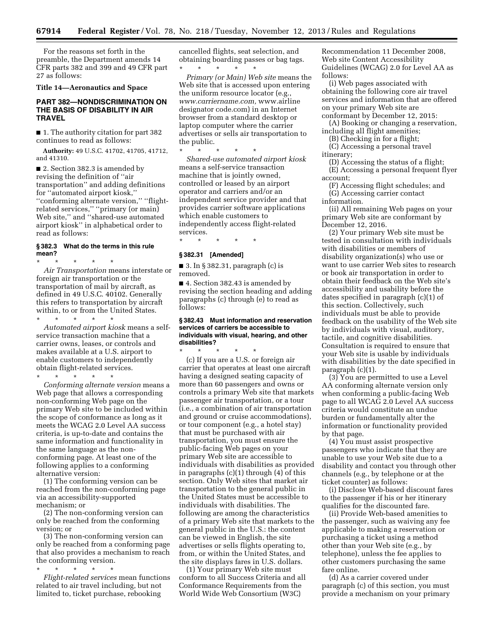For the reasons set forth in the preamble, the Department amends 14 CFR parts 382 and 399 and 49 CFR part 27 as follows:

**Title 14—Aeronautics and Space** 

# **PART 382—NONDISCRIMINATION ON THE BASIS OF DISABILITY IN AIR TRAVEL**

■ 1. The authority citation for part 382 continues to read as follows:

**Authority:** 49 U.S.C. 41702, 41705, 41712, and 41310.

■ 2. Section 382.3 is amended by revising the definition of ''air transportation'' and adding definitions for ''automated airport kiosk,'' ''conforming alternate version,'' ''flightrelated services,'' ''primary (or main) Web site,'' and ''shared-use automated airport kiosk'' in alphabetical order to read as follows:

#### **§ 382.3 What do the terms in this rule mean?**

\* \* \* \* \* *Air Transportation* means interstate or foreign air transportation or the transportation of mail by aircraft, as defined in 49 U.S.C. 40102. Generally this refers to transportation by aircraft within, to or from the United States.

\* \* \* \* \* *Automated airport kiosk* means a selfservice transaction machine that a carrier owns, leases, or controls and makes available at a U.S. airport to enable customers to independently obtain flight-related services.

\* \* \* \* \* *Conforming alternate version* means a Web page that allows a corresponding non-conforming Web page on the primary Web site to be included within the scope of conformance as long as it meets the WCAG 2.0 Level AA success criteria, is up-to-date and contains the same information and functionality in the same language as the nonconforming page. At least one of the following applies to a conforming alternative version:

(1) The conforming version can be reached from the non-conforming page via an accessibility-supported mechanism; or

(2) The non-conforming version can only be reached from the conforming version; or

(3) The non-conforming version can only be reached from a conforming page that also provides a mechanism to reach the conforming version.

\* \* \* \* \*

*Flight-related services* mean functions related to air travel including, but not limited to, ticket purchase, rebooking

cancelled flights, seat selection, and obtaining boarding passes or bag tags. \* \* \* \* \*

*Primary (or Main) Web site* means the Web site that is accessed upon entering the uniform resource locator (e.g., *[www.carriername.com,](http://www.carriername.com)* www.airline designator code.com) in an Internet browser from a standard desktop or laptop computer where the carrier advertises or sells air transportation to the public.

\* \* \* \* \*

*Shared-use automated airport kiosk*  means a self-service transaction machine that is jointly owned, controlled or leased by an airport operator and carriers and/or an independent service provider and that provides carrier software applications which enable customers to independently access flight-related services.

#### **§ 382.31 [Amended]**

\* \* \* \* \*

■ 3. In § 382.31, paragraph (c) is removed.

■ 4. Section 382.43 is amended by revising the section heading and adding paragraphs (c) through (e) to read as follows:

#### **§ 382.43 Must information and reservation services of carriers be accessible to individuals with visual, hearing, and other disabilities?**

\* \* \* \* \* (c) If you are a U.S. or foreign air carrier that operates at least one aircraft having a designed seating capacity of more than 60 passengers and owns or controls a primary Web site that markets passenger air transportation, or a tour (i.e., a combination of air transportation and ground or cruise accommodations), or tour component (e.g., a hotel stay) that must be purchased with air transportation, you must ensure the public-facing Web pages on your primary Web site are accessible to individuals with disabilities as provided in paragraphs (c)(1) through (4) of this section. Only Web sites that market air transportation to the general public in the United States must be accessible to individuals with disabilities. The following are among the characteristics of a primary Web site that markets to the general public in the U.S.: the content can be viewed in English, the site advertises or sells flights operating to, from, or within the United States, and the site displays fares in U.S. dollars.

(1) Your primary Web site must conform to all Success Criteria and all Conformance Requirements from the World Wide Web Consortium (W3C)

Recommendation 11 December 2008, Web site Content Accessibility Guidelines (WCAG) 2.0 for Level AA as follows:

(i) Web pages associated with obtaining the following core air travel services and information that are offered on your primary Web site are conformant by December 12, 2015:

(A) Booking or changing a reservation, including all flight amenities;

(B) Checking in for a flight;

(C) Accessing a personal travel itinerary;

(D) Accessing the status of a flight;

(E) Accessing a personal frequent flyer account;

(F) Accessing flight schedules; and (G) Accessing carrier contact

information.

(ii) All remaining Web pages on your primary Web site are conformant by December 12, 2016.

(2) Your primary Web site must be tested in consultation with individuals with disabilities or members of disability organization(s) who use or want to use carrier Web sites to research or book air transportation in order to obtain their feedback on the Web site's accessibility and usability before the dates specified in paragraph (c)(1) of this section. Collectively, such individuals must be able to provide feedback on the usability of the Web site by individuals with visual, auditory, tactile, and cognitive disabilities. Consultation is required to ensure that your Web site is usable by individuals with disabilities by the date specified in paragraph (c)(1).

(3) You are permitted to use a Level AA conforming alternate version only when conforming a public-facing Web page to all WCAG 2.0 Level AA success criteria would constitute an undue burden or fundamentally alter the information or functionality provided by that page.

(4) You must assist prospective passengers who indicate that they are unable to use your Web site due to a disability and contact you through other channels (e.g., by telephone or at the ticket counter) as follows:

(i) Disclose Web-based discount fares to the passenger if his or her itinerary qualifies for the discounted fare.

(ii) Provide Web-based amenities to the passenger, such as waiving any fee applicable to making a reservation or purchasing a ticket using a method other than your Web site (e.g., by telephone), unless the fee applies to other customers purchasing the same fare online.

(d) As a carrier covered under paragraph (c) of this section, you must provide a mechanism on your primary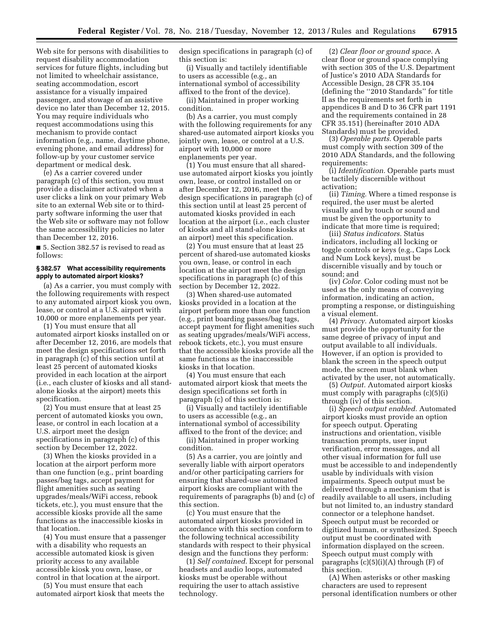Web site for persons with disabilities to request disability accommodation services for future flights, including but not limited to wheelchair assistance, seating accommodation, escort assistance for a visually impaired passenger, and stowage of an assistive device no later than December 12, 2015. You may require individuals who request accommodations using this mechanism to provide contact information (e.g., name, daytime phone, evening phone, and email address) for follow-up by your customer service department or medical desk.

(e) As a carrier covered under paragraph (c) of this section, you must provide a disclaimer activated when a user clicks a link on your primary Web site to an external Web site or to thirdparty software informing the user that the Web site or software may not follow the same accessibility policies no later than December 12, 2016.

■ 5. Section 382.57 is revised to read as follows:

#### **§ 382.57 What accessibility requirements apply to automated airport kiosks?**

(a) As a carrier, you must comply with the following requirements with respect to any automated airport kiosk you own, lease, or control at a U.S. airport with 10,000 or more enplanements per year.

(1) You must ensure that all automated airport kiosks installed on or after December 12, 2016, are models that meet the design specifications set forth in paragraph (c) of this section until at least 25 percent of automated kiosks provided in each location at the airport (i.e., each cluster of kiosks and all standalone kiosks at the airport) meets this specification.

(2) You must ensure that at least 25 percent of automated kiosks you own, lease, or control in each location at a U.S. airport meet the design specifications in paragraph (c) of this section by December 12, 2022.

(3) When the kiosks provided in a location at the airport perform more than one function (e.g., print boarding passes/bag tags, accept payment for flight amenities such as seating upgrades/meals/WiFi access, rebook tickets, etc.), you must ensure that the accessible kiosks provide all the same functions as the inaccessible kiosks in that location.

(4) You must ensure that a passenger with a disability who requests an accessible automated kiosk is given priority access to any available accessible kiosk you own, lease, or control in that location at the airport.

(5) You must ensure that each automated airport kiosk that meets the design specifications in paragraph (c) of this section is:

(i) Visually and tactilely identifiable to users as accessible (e.g., an international symbol of accessibility affixed to the front of the device).

(ii) Maintained in proper working condition.

(b) As a carrier, you must comply with the following requirements for any shared-use automated airport kiosks you jointly own, lease, or control at a U.S. airport with 10,000 or more enplanements per year.

(1) You must ensure that all shareduse automated airport kiosks you jointly own, lease, or control installed on or after December 12, 2016, meet the design specifications in paragraph (c) of this section until at least 25 percent of automated kiosks provided in each location at the airport (i.e., each cluster of kiosks and all stand-alone kiosks at an airport) meet this specification.

(2) You must ensure that at least 25 percent of shared-use automated kiosks you own, lease, or control in each location at the airport meet the design specifications in paragraph (c) of this section by December 12, 2022.

(3) When shared-use automated kiosks provided in a location at the airport perform more than one function (e.g., print boarding passes/bag tags, accept payment for flight amenities such as seating upgrades/meals/WiFi access, rebook tickets, etc.), you must ensure that the accessible kiosks provide all the same functions as the inaccessible kiosks in that location.

(4) You must ensure that each automated airport kiosk that meets the design specifications set forth in paragraph (c) of this section is:

(i) Visually and tactilely identifiable to users as accessible (e.g., an international symbol of accessibility affixed to the front of the device; and

(ii) Maintained in proper working condition.

(5) As a carrier, you are jointly and severally liable with airport operators and/or other participating carriers for ensuring that shared-use automated airport kiosks are compliant with the requirements of paragraphs (b) and (c) of this section.

(c) You must ensure that the automated airport kiosks provided in accordance with this section conform to the following technical accessibility standards with respect to their physical design and the functions they perform:

(1) *Self contained.* Except for personal headsets and audio loops, automated kiosks must be operable without requiring the user to attach assistive technology.

(2) *Clear floor or ground space.* A clear floor or ground space complying with section 305 of the U.S. Department of Justice's 2010 ADA Standards for Accessible Design, 28 CFR 35.104 (defining the ''2010 Standards'' for title II as the requirements set forth in appendices B and D to 36 CFR part 1191 and the requirements contained in 28 CFR 35.151) (hereinafter 2010 ADA Standards) must be provided.

(3) *Operable parts.* Operable parts must comply with section 309 of the 2010 ADA Standards, and the following requirements:

(i) *Identification.* Operable parts must be tactilely discernible without activation;

(ii) *Timing.* Where a timed response is required, the user must be alerted visually and by touch or sound and must be given the opportunity to indicate that more time is required;

(iii) *Status indicators.* Status indicators, including all locking or toggle controls or keys (e.g., Caps Lock and Num Lock keys), must be discernible visually and by touch or sound; and

(iv) *Color.* Color coding must not be used as the only means of conveying information, indicating an action, prompting a response, or distinguishing a visual element.

(4) *Privacy.* Automated airport kiosks must provide the opportunity for the same degree of privacy of input and output available to all individuals. However, if an option is provided to blank the screen in the speech output mode, the screen must blank when activated by the user, not automatically.

(5) *Output.* Automated airport kiosks must comply with paragraphs (c)(5)(i) through (iv) of this section.

(i) *Speech output enabled.* Automated airport kiosks must provide an option for speech output. Operating instructions and orientation, visible transaction prompts, user input verification, error messages, and all other visual information for full use must be accessible to and independently usable by individuals with vision impairments. Speech output must be delivered through a mechanism that is readily available to all users, including but not limited to, an industry standard connector or a telephone handset. Speech output must be recorded or digitized human, or synthesized. Speech output must be coordinated with information displayed on the screen. Speech output must comply with paragraphs  $(c)(5)(i)(A)$  through  $(F)$  of this section.

(A) When asterisks or other masking characters are used to represent personal identification numbers or other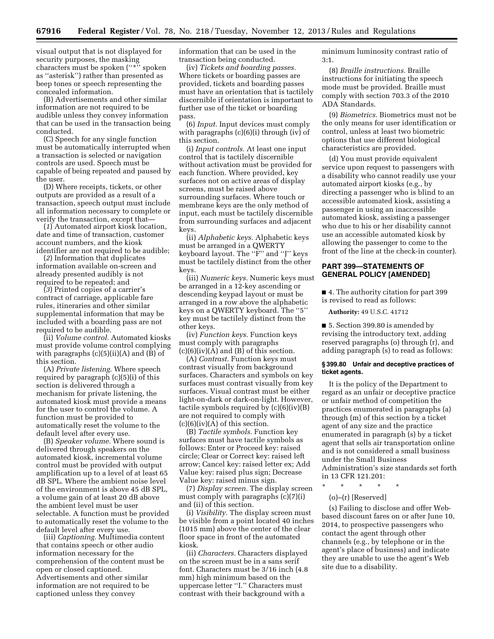visual output that is not displayed for security purposes, the masking characters must be spoken (''\*'' spoken as ''asterisk'') rather than presented as beep tones or speech representing the concealed information.

(B) Advertisements and other similar information are not required to be audible unless they convey information that can be used in the transaction being conducted.

(C) Speech for any single function must be automatically interrupted when a transaction is selected or navigation controls are used. Speech must be capable of being repeated and paused by the user.

(D) Where receipts, tickets, or other outputs are provided as a result of a transaction, speech output must include all information necessary to complete or verify the transaction, except that—

(*1*) Automated airport kiosk location, date and time of transaction, customer account numbers, and the kiosk identifier are not required to be audible;

(*2*) Information that duplicates information available on-screen and already presented audibly is not required to be repeated; and

(*3*) Printed copies of a carrier's contract of carriage, applicable fare rules, itineraries and other similar supplemental information that may be included with a boarding pass are not required to be audible.

(ii) *Volume control.* Automated kiosks must provide volume control complying with paragraphs  $(c)(5)(ii)(A)$  and  $(B)$  of this section.

(A) *Private listening.* Where speech required by paragraph (c)(5)(i) of this section is delivered through a mechanism for private listening, the automated kiosk must provide a means for the user to control the volume. A function must be provided to automatically reset the volume to the default level after every use.

(B) *Speaker volume.* Where sound is delivered through speakers on the automated kiosk, incremental volume control must be provided with output amplification up to a level of at least 65 dB SPL. Where the ambient noise level of the environment is above 45 dB SPL, a volume gain of at least 20 dB above the ambient level must be user selectable. A function must be provided to automatically reset the volume to the default level after every use.

(iii) *Captioning.* Multimedia content that contains speech or other audio information necessary for the comprehension of the content must be open or closed captioned. Advertisements and other similar information are not required to be captioned unless they convey

information that can be used in the transaction being conducted.

(iv) *Tickets and boarding passes.*  Where tickets or boarding passes are provided, tickets and boarding passes must have an orientation that is tactilely discernible if orientation is important to further use of the ticket or boarding pass.

(6) *Input.* Input devices must comply with paragraphs (c)(6)(i) through (iv) of this section.

(i) *Input controls.* At least one input control that is tactilely discernible without activation must be provided for each function. Where provided, key surfaces not on active areas of display screens, must be raised above surrounding surfaces. Where touch or membrane keys are the only method of input, each must be tactilely discernible from surrounding surfaces and adjacent keys.

(ii) *Alphabetic keys.* Alphabetic keys must be arranged in a QWERTY keyboard layout. The ''F'' and ''J'' keys must be tactilely distinct from the other keys.

(iii) *Numeric keys.* Numeric keys must be arranged in a 12-key ascending or descending keypad layout or must be arranged in a row above the alphabetic keys on a QWERTY keyboard. The ''5'' key must be tactilely distinct from the other keys.

(iv) *Function keys.* Function keys must comply with paragraphs  $(c)(6)(iv)(A)$  and  $(B)$  of this section.

(A) *Contrast.* Function keys must contrast visually from background surfaces. Characters and symbols on key surfaces must contrast visually from key surfaces. Visual contrast must be either light-on-dark or dark-on-light. However, tactile symbols required by  $(c)(6)(iv)(B)$ are not required to comply with  $(c)(6)(iv)(A)$  of this section.

(B) *Tactile symbols.* Function key surfaces must have tactile symbols as follows: Enter or Proceed key: raised circle; Clear or Correct key: raised left arrow; Cancel key: raised letter ex; Add Value key: raised plus sign; Decrease Value key: raised minus sign.

(7) *Display screen.* The display screen must comply with paragraphs (c)(7)(i) and (ii) of this section.

(i) *Visibility.* The display screen must be visible from a point located 40 inches (1015 mm) above the center of the clear floor space in front of the automated kiosk.

(ii) *Characters.* Characters displayed on the screen must be in a sans serif font. Characters must be 3/16 inch (4.8 mm) high minimum based on the uppercase letter ''I.'' Characters must contrast with their background with a

minimum luminosity contrast ratio of 3:1.

(8) *Braille instructions.* Braille instructions for initiating the speech mode must be provided. Braille must comply with section 703.3 of the 2010 ADA Standards.

(9) *Biometrics.* Biometrics must not be the only means for user identification or control, unless at least two biometric options that use different biological characteristics are provided.

(d) You must provide equivalent service upon request to passengers with a disability who cannot readily use your automated airport kiosks (e.g., by directing a passenger who is blind to an accessible automated kiosk, assisting a passenger in using an inaccessible automated kiosk, assisting a passenger who due to his or her disability cannot use an accessible automated kiosk by allowing the passenger to come to the front of the line at the check-in counter).

# **PART 399—STATEMENTS OF GENERAL POLICY [AMENDED]**

■ 4. The authority citation for part 399 is revised to read as follows:

**Authority:** 49 U.S.C. 41712

■ 5. Section 399.80 is amended by revising the introductory text, adding reserved paragraphs (o) through (r), and adding paragraph (s) to read as follows:

#### **§ 399.80 Unfair and deceptive practices of ticket agents.**

It is the policy of the Department to regard as an unfair or deceptive practice or unfair method of competition the practices enumerated in paragraphs (a) through (m) of this section by a ticket agent of any size and the practice enumerated in paragraph (s) by a ticket agent that sells air transportation online and is not considered a small business under the Small Business Administration's size standards set forth in 13 CFR 121.201:

- \* \* \* \* \*
	- (o)–(r) [Reserved]

(s) Failing to disclose and offer Webbased discount fares on or after June 10, 2014, to prospective passengers who contact the agent through other channels (e.g., by telephone or in the agent's place of business) and indicate they are unable to use the agent's Web site due to a disability.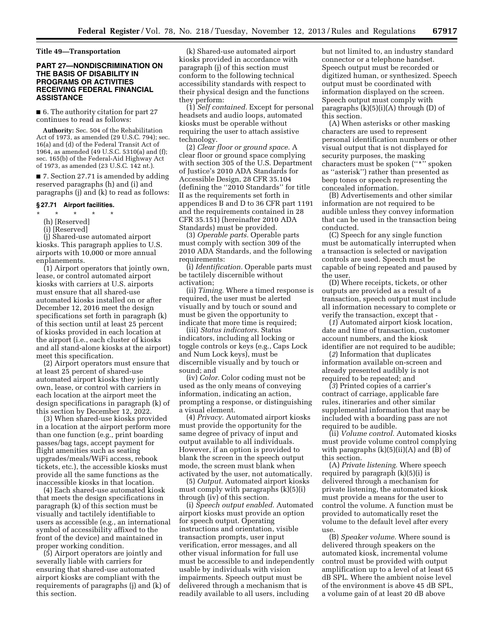# **Title 49—Transportation**

# **PART 27—NONDISCRIMINATION ON THE BASIS OF DISABILITY IN PROGRAMS OR ACTIVITIES RECEIVING FEDERAL FINANCIAL ASSISTANCE**

■ 6. The authority citation for part 27 continues to read as follows:

**Authority:** Sec. 504 of the Rehabilitation Act of 1973, as amended (29 U.S.C. 794); sec. 16(a) and (d) of the Federal Transit Act of 1964, as amended (49 U.S.C. 5310(a) and (f); sec. 165(b) of the Federal-Aid Highway Act of 1973, as amended (23 U.S.C. 142 nt.).

■ 7. Section 27.71 is amended by adding reserved paragraphs (h) and (i) and paragraphs (j) and (k) to read as follows:

# **§ 27.71 Airport facilities.**

# \* \* \* \* \*

(h) [Reserved]

# (i) [Reserved]

(j) Shared-use automated airport kiosks. This paragraph applies to U.S. airports with 10,000 or more annual enplanements.

(1) Airport operators that jointly own, lease, or control automated airport kiosks with carriers at U.S. airports must ensure that all shared-use automated kiosks installed on or after December 12, 2016 meet the design specifications set forth in paragraph (k) of this section until at least 25 percent of kiosks provided in each location at the airport (i.e., each cluster of kiosks and all stand-alone kiosks at the airport) meet this specification.

(2) Airport operators must ensure that at least 25 percent of shared-use automated airport kiosks they jointly own, lease, or control with carriers in each location at the airport meet the design specifications in paragraph (k) of this section by December 12, 2022.

(3) When shared-use kiosks provided in a location at the airport perform more than one function (e.g., print boarding passes/bag tags, accept payment for flight amenities such as seating upgrades/meals/WiFi access, rebook tickets, etc.), the accessible kiosks must provide all the same functions as the inaccessible kiosks in that location.

(4) Each shared-use automated kiosk that meets the design specifications in paragraph (k) of this section must be visually and tactilely identifiable to users as accessible (e.g., an international symbol of accessibility affixed to the front of the device) and maintained in proper working condition.

(5) Airport operators are jointly and severally liable with carriers for ensuring that shared-use automated airport kiosks are compliant with the requirements of paragraphs (j) and (k) of this section.

(k) Shared-use automated airport kiosks provided in accordance with paragraph (j) of this section must conform to the following technical accessibility standards with respect to their physical design and the functions they perform:

(1) *Self contained.* Except for personal headsets and audio loops, automated kiosks must be operable without requiring the user to attach assistive technology.

(2) *Clear floor or ground space.* A clear floor or ground space complying with section 305 of the U.S. Department of Justice's 2010 ADA Standards for Accessible Design, 28 CFR 35.104 (defining the ''2010 Standards'' for title II as the requirements set forth in appendices B and D to 36 CFR part 1191 and the requirements contained in 28 CFR 35.151) (hereinafter 2010 ADA Standards) must be provided.

(3) *Operable parts.* Operable parts must comply with section 309 of the 2010 ADA Standards, and the following requirements:

(i) *Identification.* Operable parts must be tactilely discernible without activation;

(ii) *Timing.* Where a timed response is required, the user must be alerted visually and by touch or sound and must be given the opportunity to indicate that more time is required;

(iii) *Status indicators.* Status indicators, including all locking or toggle controls or keys (e.g., Caps Lock and Num Lock keys), must be discernible visually and by touch or sound; and

(iv) *Color.* Color coding must not be used as the only means of conveying information, indicating an action, prompting a response, or distinguishing a visual element.

(4) *Privacy.* Automated airport kiosks must provide the opportunity for the same degree of privacy of input and output available to all individuals. However, if an option is provided to blank the screen in the speech output mode, the screen must blank when activated by the user, not automatically.

(5) *Output.* Automated airport kiosks must comply with paragraphs (k)(5)(i) through (iv) of this section.

(i) *Speech output enabled.* Automated airport kiosks must provide an option for speech output. Operating instructions and orientation, visible transaction prompts, user input verification, error messages, and all other visual information for full use must be accessible to and independently usable by individuals with vision impairments. Speech output must be delivered through a mechanism that is readily available to all users, including

but not limited to, an industry standard connector or a telephone handset. Speech output must be recorded or digitized human, or synthesized. Speech output must be coordinated with information displayed on the screen. Speech output must comply with paragraphs  $(k)(5)(i)(A)$  through  $(D)$  of this section.

(A) When asterisks or other masking characters are used to represent personal identification numbers or other visual output that is not displayed for security purposes, the masking characters must be spoken ("\*" spoken as ''asterisk'') rather than presented as beep tones or speech representing the concealed information.

(B) Advertisements and other similar information are not required to be audible unless they convey information that can be used in the transaction being conducted.

(C) Speech for any single function must be automatically interrupted when a transaction is selected or navigation controls are used. Speech must be capable of being repeated and paused by the user.

(D) Where receipts, tickets, or other outputs are provided as a result of a transaction, speech output must include all information necessary to complete or verify the transaction, except that -

(*1*) Automated airport kiosk location, date and time of transaction, customer account numbers, and the kiosk identifier are not required to be audible;

(*2*) Information that duplicates information available on-screen and already presented audibly is not required to be repeated; and

(*3*) Printed copies of a carrier's contract of carriage, applicable fare rules, itineraries and other similar supplemental information that may be included with a boarding pass are not required to be audible.

(ii) *Volume control.* Automated kiosks must provide volume control complying with paragraphs  $(k)(5)(ii)(A)$  and  $(B)$  of this section.

(A) *Private listening.* Where speech required by paragraph (k)(5)(i) is delivered through a mechanism for private listening, the automated kiosk must provide a means for the user to control the volume. A function must be provided to automatically reset the volume to the default level after every use.

(B) *Speaker volume.* Where sound is delivered through speakers on the automated kiosk, incremental volume control must be provided with output amplification up to a level of at least 65 dB SPL. Where the ambient noise level of the environment is above 45 dB SPL, a volume gain of at least 20 dB above